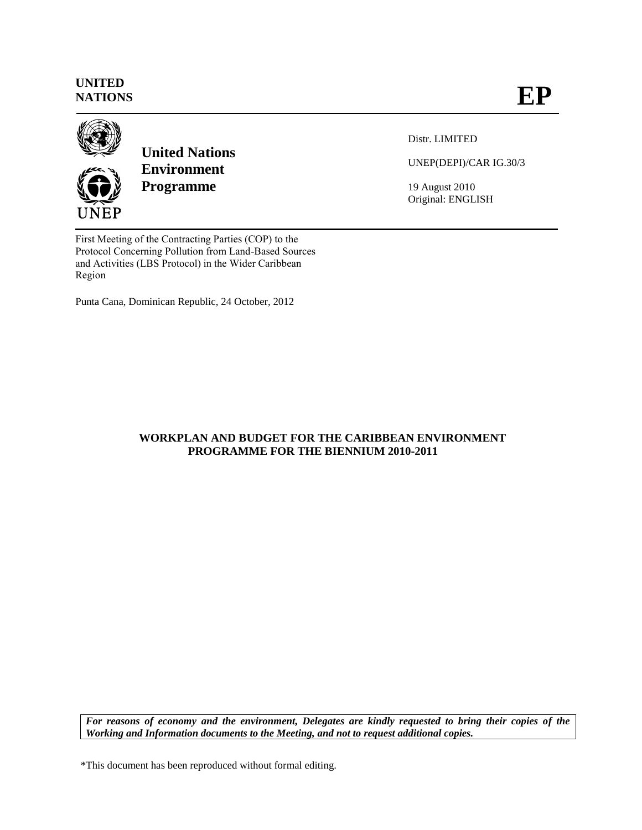# **UNITED NATIONS**



**United Nations Environment Programme**

Distr. LIMITED

UNEP(DEPI)/CAR IG.30/3

19 August 2010 Original: ENGLISH

First Meeting of the Contracting Parties (COP) to the Protocol Concerning Pollution from Land-Based Sources and Activities (LBS Protocol) in the Wider Caribbean Region

Punta Cana, Dominican Republic, 24 October, 2012

# **WORKPLAN AND BUDGET FOR THE CARIBBEAN ENVIRONMENT PROGRAMME FOR THE BIENNIUM 2010-2011**

*For reasons of economy and the environment, Delegates are kindly requested to bring their copies of the Working and Information documents to the Meeting, and not to request additional copies.*

\*This document has been reproduced without formal editing.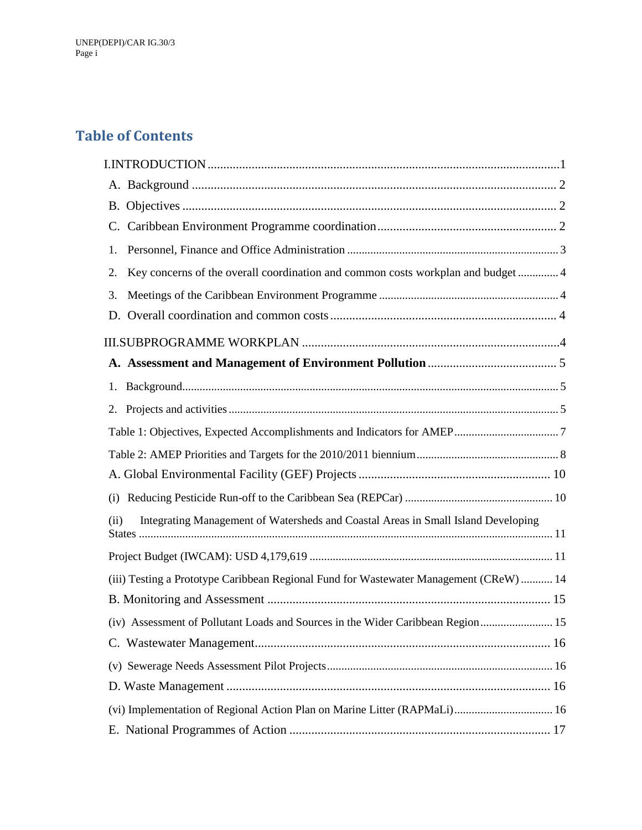# **Table of Contents**

| 1.                                                                                        |
|-------------------------------------------------------------------------------------------|
| Key concerns of the overall coordination and common costs workplan and budget  4<br>2.    |
| 3.                                                                                        |
|                                                                                           |
|                                                                                           |
|                                                                                           |
| 1.                                                                                        |
| 2.                                                                                        |
|                                                                                           |
|                                                                                           |
|                                                                                           |
| (i)                                                                                       |
| Integrating Management of Watersheds and Coastal Areas in Small Island Developing<br>(ii) |
|                                                                                           |
| (iii) Testing a Prototype Caribbean Regional Fund for Wastewater Management (CReW)  14    |
|                                                                                           |
| (iv) Assessment of Pollutant Loads and Sources in the Wider Caribbean Region              |
|                                                                                           |
|                                                                                           |
|                                                                                           |
|                                                                                           |
|                                                                                           |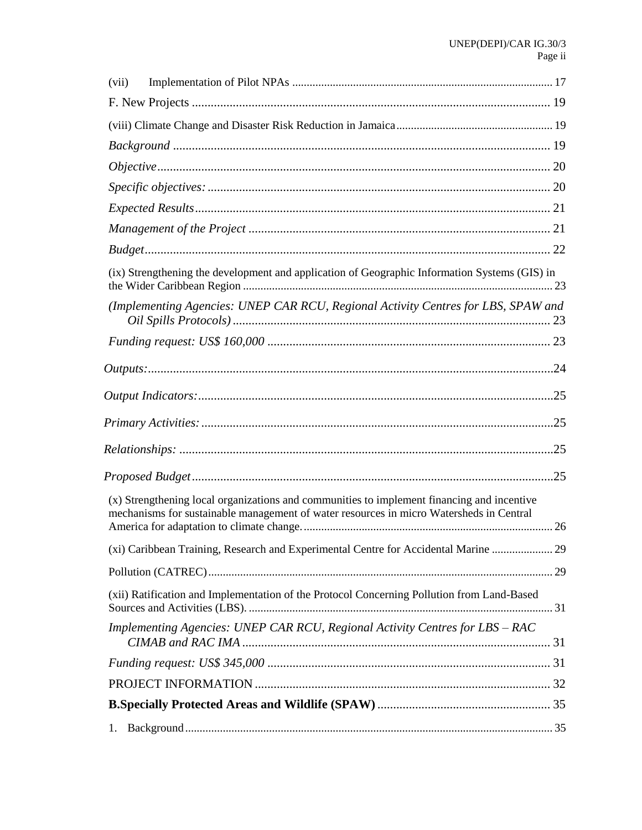| (vii)                                                                                                                                                                                 |  |
|---------------------------------------------------------------------------------------------------------------------------------------------------------------------------------------|--|
|                                                                                                                                                                                       |  |
|                                                                                                                                                                                       |  |
|                                                                                                                                                                                       |  |
|                                                                                                                                                                                       |  |
|                                                                                                                                                                                       |  |
|                                                                                                                                                                                       |  |
|                                                                                                                                                                                       |  |
|                                                                                                                                                                                       |  |
| (ix) Strengthening the development and application of Geographic Information Systems (GIS) in                                                                                         |  |
| (Implementing Agencies: UNEP CAR RCU, Regional Activity Centres for LBS, SPAW and                                                                                                     |  |
|                                                                                                                                                                                       |  |
|                                                                                                                                                                                       |  |
|                                                                                                                                                                                       |  |
|                                                                                                                                                                                       |  |
|                                                                                                                                                                                       |  |
|                                                                                                                                                                                       |  |
| (x) Strengthening local organizations and communities to implement financing and incentive<br>mechanisms for sustainable management of water resources in micro Watersheds in Central |  |
| (xi) Caribbean Training, Research and Experimental Centre for Accidental Marine  29                                                                                                   |  |
|                                                                                                                                                                                       |  |
| (xii) Ratification and Implementation of the Protocol Concerning Pollution from Land-Based                                                                                            |  |
| Implementing Agencies: UNEP CAR RCU, Regional Activity Centres for LBS - RAC                                                                                                          |  |
|                                                                                                                                                                                       |  |
|                                                                                                                                                                                       |  |
|                                                                                                                                                                                       |  |
| 1.                                                                                                                                                                                    |  |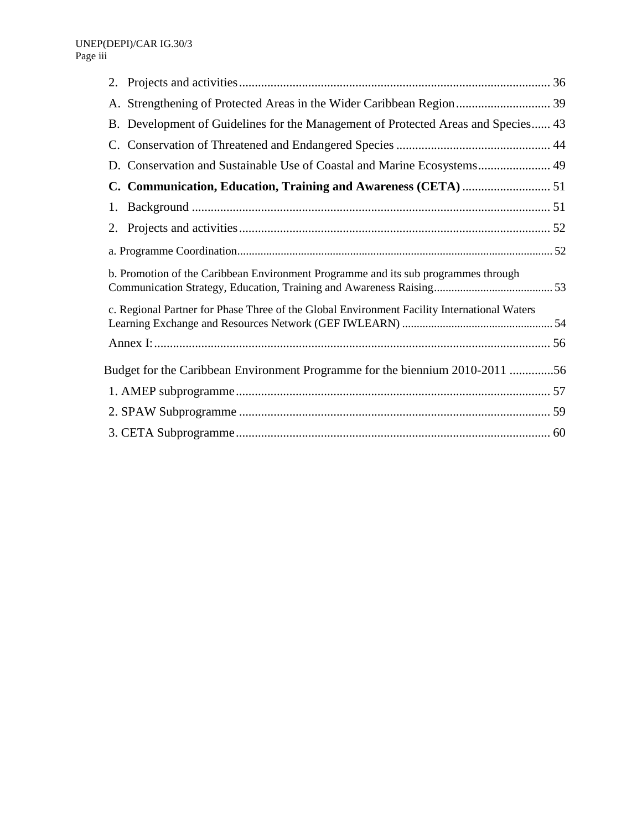| 2.                                                                                          |  |
|---------------------------------------------------------------------------------------------|--|
|                                                                                             |  |
| B. Development of Guidelines for the Management of Protected Areas and Species 43           |  |
|                                                                                             |  |
| D. Conservation and Sustainable Use of Coastal and Marine Ecosystems 49                     |  |
|                                                                                             |  |
| 1.                                                                                          |  |
| 2.                                                                                          |  |
|                                                                                             |  |
| b. Promotion of the Caribbean Environment Programme and its sub programmes through          |  |
| c. Regional Partner for Phase Three of the Global Environment Facility International Waters |  |
|                                                                                             |  |
| Budget for the Caribbean Environment Programme for the biennium 2010-2011 56                |  |
|                                                                                             |  |
|                                                                                             |  |
|                                                                                             |  |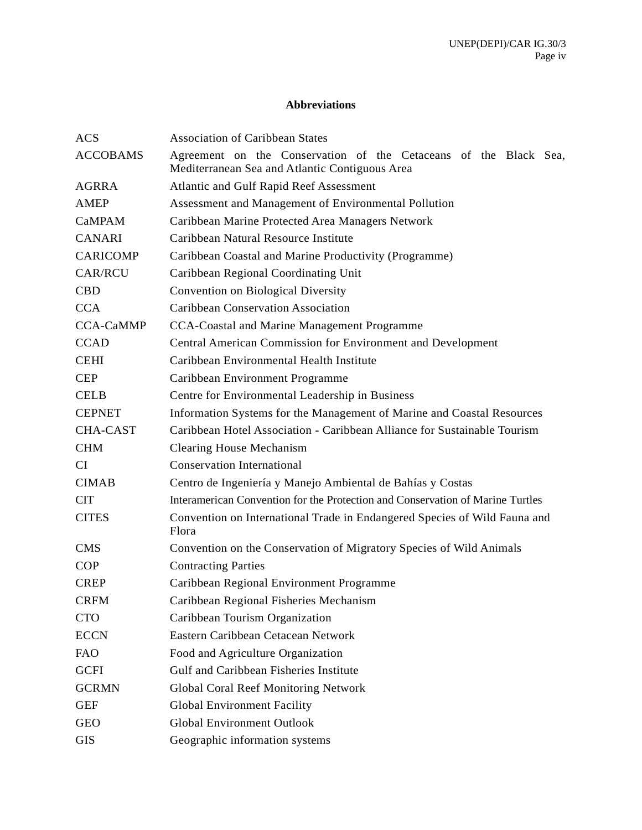# **Abbreviations**

| <b>ACS</b>       | <b>Association of Caribbean States</b>                                                                             |  |  |  |  |
|------------------|--------------------------------------------------------------------------------------------------------------------|--|--|--|--|
| <b>ACCOBAMS</b>  | Agreement on the Conservation of the Cetaceans of the Black Sea,<br>Mediterranean Sea and Atlantic Contiguous Area |  |  |  |  |
| <b>AGRRA</b>     | <b>Atlantic and Gulf Rapid Reef Assessment</b>                                                                     |  |  |  |  |
| <b>AMEP</b>      | Assessment and Management of Environmental Pollution                                                               |  |  |  |  |
| <b>CaMPAM</b>    | Caribbean Marine Protected Area Managers Network                                                                   |  |  |  |  |
| <b>CANARI</b>    | Caribbean Natural Resource Institute                                                                               |  |  |  |  |
| <b>CARICOMP</b>  | Caribbean Coastal and Marine Productivity (Programme)                                                              |  |  |  |  |
| <b>CAR/RCU</b>   | Caribbean Regional Coordinating Unit                                                                               |  |  |  |  |
| <b>CBD</b>       | Convention on Biological Diversity                                                                                 |  |  |  |  |
| <b>CCA</b>       | <b>Caribbean Conservation Association</b>                                                                          |  |  |  |  |
| <b>CCA-CaMMP</b> | CCA-Coastal and Marine Management Programme                                                                        |  |  |  |  |
| <b>CCAD</b>      | Central American Commission for Environment and Development                                                        |  |  |  |  |
| <b>CEHI</b>      | Caribbean Environmental Health Institute                                                                           |  |  |  |  |
| <b>CEP</b>       | Caribbean Environment Programme                                                                                    |  |  |  |  |
| <b>CELB</b>      | Centre for Environmental Leadership in Business                                                                    |  |  |  |  |
| <b>CEPNET</b>    | Information Systems for the Management of Marine and Coastal Resources                                             |  |  |  |  |
| <b>CHA-CAST</b>  | Caribbean Hotel Association - Caribbean Alliance for Sustainable Tourism                                           |  |  |  |  |
| <b>CHM</b>       | <b>Clearing House Mechanism</b>                                                                                    |  |  |  |  |
| CI               | <b>Conservation International</b>                                                                                  |  |  |  |  |
| <b>CIMAB</b>     | Centro de Ingeniería y Manejo Ambiental de Bahías y Costas                                                         |  |  |  |  |
| <b>CIT</b>       | Interamerican Convention for the Protection and Conservation of Marine Turtles                                     |  |  |  |  |
| <b>CITES</b>     | Convention on International Trade in Endangered Species of Wild Fauna and<br>Flora                                 |  |  |  |  |
| <b>CMS</b>       | Convention on the Conservation of Migratory Species of Wild Animals                                                |  |  |  |  |
| <b>COP</b>       | <b>Contracting Parties</b>                                                                                         |  |  |  |  |
| <b>CREP</b>      | Caribbean Regional Environment Programme                                                                           |  |  |  |  |
| <b>CRFM</b>      | Caribbean Regional Fisheries Mechanism                                                                             |  |  |  |  |
| <b>CTO</b>       | Caribbean Tourism Organization                                                                                     |  |  |  |  |
| <b>ECCN</b>      | Eastern Caribbean Cetacean Network                                                                                 |  |  |  |  |
| <b>FAO</b>       | Food and Agriculture Organization                                                                                  |  |  |  |  |
| <b>GCFI</b>      | Gulf and Caribbean Fisheries Institute                                                                             |  |  |  |  |
| <b>GCRMN</b>     | Global Coral Reef Monitoring Network                                                                               |  |  |  |  |
| <b>GEF</b>       | <b>Global Environment Facility</b>                                                                                 |  |  |  |  |
| <b>GEO</b>       | <b>Global Environment Outlook</b>                                                                                  |  |  |  |  |
| <b>GIS</b>       | Geographic information systems                                                                                     |  |  |  |  |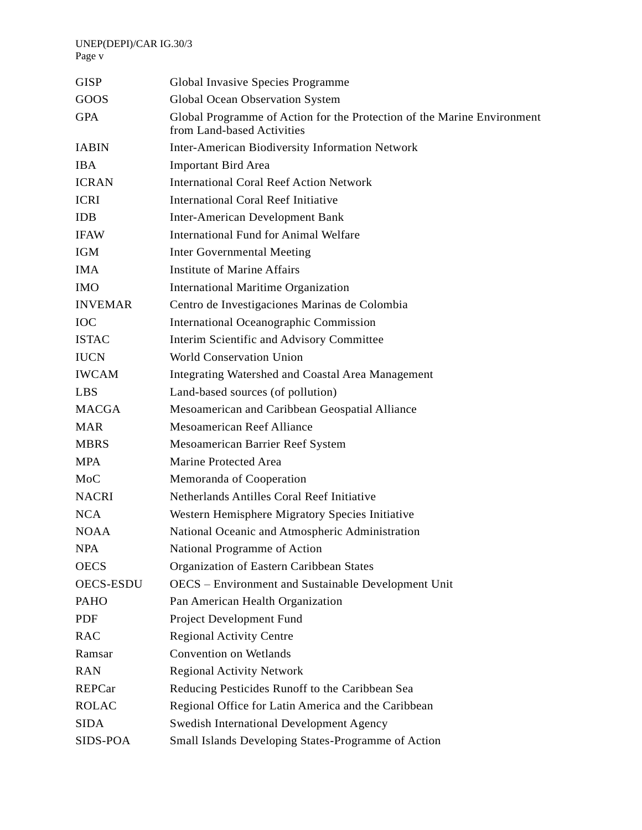| <b>GISP</b>      | Global Invasive Species Programme                                                                     |
|------------------|-------------------------------------------------------------------------------------------------------|
| GOOS             | Global Ocean Observation System                                                                       |
| <b>GPA</b>       | Global Programme of Action for the Protection of the Marine Environment<br>from Land-based Activities |
| <b>IABIN</b>     | <b>Inter-American Biodiversity Information Network</b>                                                |
| <b>IBA</b>       | <b>Important Bird Area</b>                                                                            |
| <b>ICRAN</b>     | <b>International Coral Reef Action Network</b>                                                        |
| <b>ICRI</b>      | <b>International Coral Reef Initiative</b>                                                            |
| <b>IDB</b>       | <b>Inter-American Development Bank</b>                                                                |
| <b>IFAW</b>      | <b>International Fund for Animal Welfare</b>                                                          |
| <b>IGM</b>       | <b>Inter Governmental Meeting</b>                                                                     |
| <b>IMA</b>       | <b>Institute of Marine Affairs</b>                                                                    |
| <b>IMO</b>       | <b>International Maritime Organization</b>                                                            |
| <b>INVEMAR</b>   | Centro de Investigaciones Marinas de Colombia                                                         |
| <b>IOC</b>       | International Oceanographic Commission                                                                |
| <b>ISTAC</b>     | Interim Scientific and Advisory Committee                                                             |
| <b>IUCN</b>      | <b>World Conservation Union</b>                                                                       |
| <b>IWCAM</b>     | Integrating Watershed and Coastal Area Management                                                     |
| <b>LBS</b>       | Land-based sources (of pollution)                                                                     |
| <b>MACGA</b>     | Mesoamerican and Caribbean Geospatial Alliance                                                        |
| <b>MAR</b>       | Mesoamerican Reef Alliance                                                                            |
| <b>MBRS</b>      | Mesoamerican Barrier Reef System                                                                      |
| <b>MPA</b>       | Marine Protected Area                                                                                 |
| MoC              | Memoranda of Cooperation                                                                              |
| <b>NACRI</b>     | Netherlands Antilles Coral Reef Initiative                                                            |
| <b>NCA</b>       | Western Hemisphere Migratory Species Initiative                                                       |
| <b>NOAA</b>      | National Oceanic and Atmospheric Administration                                                       |
| <b>NPA</b>       | National Programme of Action                                                                          |
| <b>OECS</b>      | Organization of Eastern Caribbean States                                                              |
| <b>OECS-ESDU</b> | OECS – Environment and Sustainable Development Unit                                                   |
| <b>PAHO</b>      | Pan American Health Organization                                                                      |
| PDF              | Project Development Fund                                                                              |
| <b>RAC</b>       | <b>Regional Activity Centre</b>                                                                       |
| Ramsar           | <b>Convention on Wetlands</b>                                                                         |
| <b>RAN</b>       | <b>Regional Activity Network</b>                                                                      |
| <b>REPCar</b>    | Reducing Pesticides Runoff to the Caribbean Sea                                                       |
| <b>ROLAC</b>     | Regional Office for Latin America and the Caribbean                                                   |
| <b>SIDA</b>      | Swedish International Development Agency                                                              |
| SIDS-POA         | Small Islands Developing States-Programme of Action                                                   |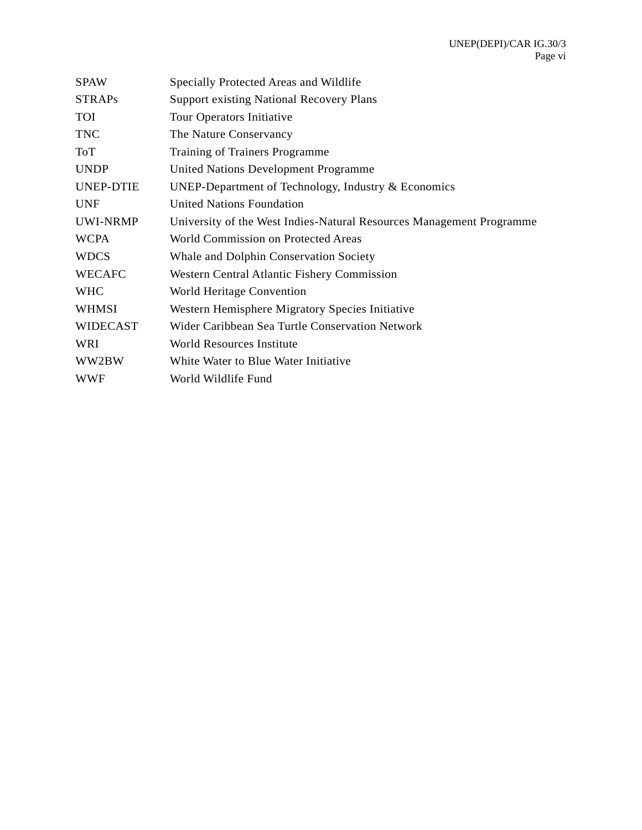<span id="page-7-0"></span>

| Specially Protected Areas and Wildlife                               |
|----------------------------------------------------------------------|
| <b>Support existing National Recovery Plans</b>                      |
| Tour Operators Initiative                                            |
| The Nature Conservancy                                               |
| Training of Trainers Programme                                       |
| <b>United Nations Development Programme</b>                          |
| UNEP-Department of Technology, Industry & Economics                  |
| <b>United Nations Foundation</b>                                     |
| University of the West Indies-Natural Resources Management Programme |
| <b>World Commission on Protected Areas</b>                           |
| Whale and Dolphin Conservation Society                               |
| Western Central Atlantic Fishery Commission                          |
| World Heritage Convention                                            |
| Western Hemisphere Migratory Species Initiative                      |
| Wider Caribbean Sea Turtle Conservation Network                      |
| <b>World Resources Institute</b>                                     |
| White Water to Blue Water Initiative                                 |
| World Wildlife Fund                                                  |
|                                                                      |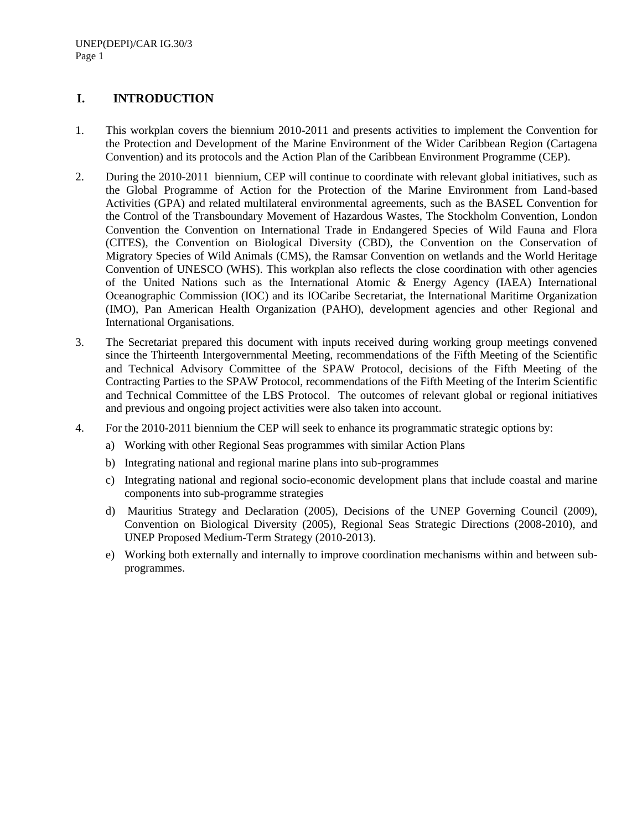# **I. INTRODUCTION**

- <span id="page-8-0"></span>1. This workplan covers the biennium 2010-2011 and presents activities to implement the Convention for the Protection and Development of the Marine Environment of the Wider Caribbean Region (Cartagena Convention) and its protocols and the Action Plan of the Caribbean Environment Programme (CEP).
- 2. During the 2010-2011 biennium, CEP will continue to coordinate with relevant global initiatives, such as the Global Programme of Action for the Protection of the Marine Environment from Land-based Activities (GPA) and related multilateral environmental agreements, such as the BASEL Convention for the Control of the Transboundary Movement of Hazardous Wastes, The Stockholm Convention, London Convention the Convention on International Trade in Endangered Species of Wild Fauna and Flora (CITES), the Convention on Biological Diversity (CBD), the Convention on the Conservation of Migratory Species of Wild Animals (CMS), the Ramsar Convention on wetlands and the World Heritage Convention of UNESCO (WHS). This workplan also reflects the close coordination with other agencies of the United Nations such as the International Atomic & Energy Agency (IAEA) International Oceanographic Commission (IOC) and its IOCaribe Secretariat, the International Maritime Organization (IMO), Pan American Health Organization (PAHO), development agencies and other Regional and International Organisations.
- 3. The Secretariat prepared this document with inputs received during working group meetings convened since the Thirteenth Intergovernmental Meeting, recommendations of the Fifth Meeting of the Scientific and Technical Advisory Committee of the SPAW Protocol, decisions of the Fifth Meeting of the Contracting Parties to the SPAW Protocol, recommendations of the Fifth Meeting of the Interim Scientific and Technical Committee of the LBS Protocol. The outcomes of relevant global or regional initiatives and previous and ongoing project activities were also taken into account.
- <span id="page-8-2"></span><span id="page-8-1"></span>4. For the 2010-2011 biennium the CEP will seek to enhance its programmatic strategic options by:
	- a) Working with other Regional Seas programmes with similar Action Plans
	- b) Integrating national and regional marine plans into sub-programmes
	- c) Integrating national and regional socio-economic development plans that include coastal and marine components into sub-programme strategies
	- d) Mauritius Strategy and Declaration (2005), Decisions of the UNEP Governing Council (2009), Convention on Biological Diversity (2005), Regional Seas Strategic Directions (2008-2010), and UNEP Proposed Medium-Term Strategy (2010-2013).
	- e) Working both externally and internally to improve coordination mechanisms within and between subprogrammes.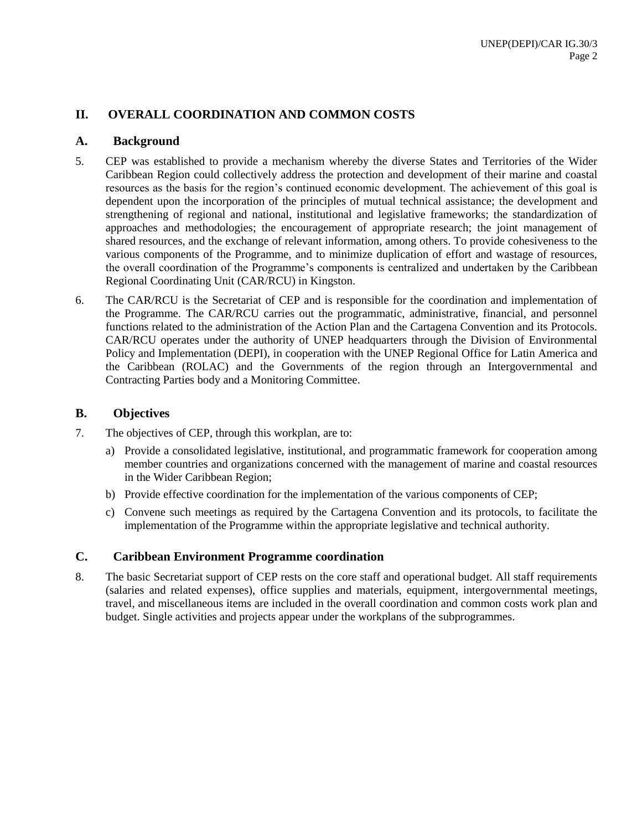# <span id="page-9-0"></span>**II. OVERALL COORDINATION AND COMMON COSTS**

#### **A. Background**

- 5. CEP was established to provide a mechanism whereby the diverse States and Territories of the Wider Caribbean Region could collectively address the protection and development of their marine and coastal resources as the basis for the region"s continued economic development. The achievement of this goal is dependent upon the incorporation of the principles of mutual technical assistance; the development and strengthening of regional and national, institutional and legislative frameworks; the standardization of approaches and methodologies; the encouragement of appropriate research; the joint management of shared resources, and the exchange of relevant information, among others. To provide cohesiveness to the various components of the Programme, and to minimize duplication of effort and wastage of resources, the overall coordination of the Programme"s components is centralized and undertaken by the Caribbean Regional Coordinating Unit (CAR/RCU) in Kingston.
- 6. The CAR/RCU is the Secretariat of CEP and is responsible for the coordination and implementation of the Programme. The CAR/RCU carries out the programmatic, administrative, financial, and personnel functions related to the administration of the Action Plan and the Cartagena Convention and its Protocols. CAR/RCU operates under the authority of UNEP headquarters through the Division of Environmental Policy and Implementation (DEPI), in cooperation with the UNEP Regional Office for Latin America and the Caribbean (ROLAC) and the Governments of the region through an Intergovernmental and Contracting Parties body and a Monitoring Committee.

#### **B. Objectives**

- 7. The objectives of CEP, through this workplan, are to:
	- a) Provide a consolidated legislative, institutional, and programmatic framework for cooperation among member countries and organizations concerned with the management of marine and coastal resources in the Wider Caribbean Region;
	- b) Provide effective coordination for the implementation of the various components of CEP;
	- c) Convene such meetings as required by the Cartagena Convention and its protocols, to facilitate the implementation of the Programme within the appropriate legislative and technical authority.

# **C. Caribbean Environment Programme coordination**

8. The basic Secretariat support of CEP rests on the core staff and operational budget. All staff requirements (salaries and related expenses), office supplies and materials, equipment, intergovernmental meetings, travel, and miscellaneous items are included in the overall coordination and common costs work plan and budget. Single activities and projects appear under the workplans of the subprogrammes.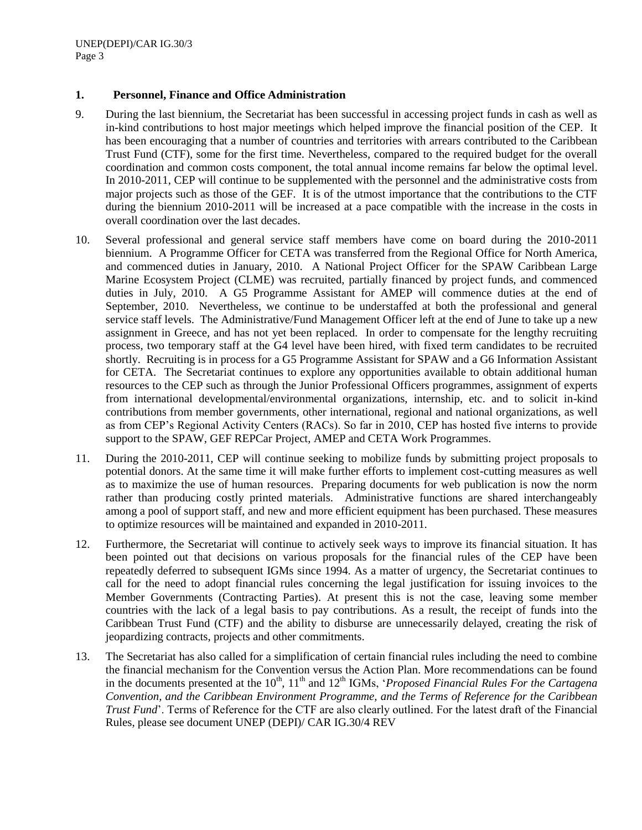#### <span id="page-10-0"></span>**1. Personnel, Finance and Office Administration**

- 9. During the last biennium, the Secretariat has been successful in accessing project funds in cash as well as in-kind contributions to host major meetings which helped improve the financial position of the CEP. It has been encouraging that a number of countries and territories with arrears contributed to the Caribbean Trust Fund (CTF), some for the first time. Nevertheless, compared to the required budget for the overall coordination and common costs component, the total annual income remains far below the optimal level. In 2010-2011, CEP will continue to be supplemented with the personnel and the administrative costs from major projects such as those of the GEF. It is of the utmost importance that the contributions to the CTF during the biennium 2010-2011 will be increased at a pace compatible with the increase in the costs in overall coordination over the last decades.
- <span id="page-10-1"></span>10. Several professional and general service staff members have come on board during the 2010-2011 biennium. A Programme Officer for CETA was transferred from the Regional Office for North America, and commenced duties in January, 2010. A National Project Officer for the SPAW Caribbean Large Marine Ecosystem Project (CLME) was recruited, partially financed by project funds, and commenced duties in July, 2010. A G5 Programme Assistant for AMEP will commence duties at the end of September, 2010. Nevertheless, we continue to be understaffed at both the professional and general service staff levels. The Administrative/Fund Management Officer left at the end of June to take up a new assignment in Greece, and has not yet been replaced. In order to compensate for the lengthy recruiting process, two temporary staff at the G4 level have been hired, with fixed term candidates to be recruited shortly. Recruiting is in process for a G5 Programme Assistant for SPAW and a G6 Information Assistant for CETA. The Secretariat continues to explore any opportunities available to obtain additional human resources to the CEP such as through the Junior Professional Officers programmes, assignment of experts from international developmental/environmental organizations, internship, etc. and to solicit in-kind contributions from member governments, other international, regional and national organizations, as well as from CEP"s Regional Activity Centers (RACs). So far in 2010, CEP has hosted five interns to provide support to the SPAW, GEF REPCar Project, AMEP and CETA Work Programmes.
- 11. During the 2010-2011, CEP will continue seeking to mobilize funds by submitting project proposals to potential donors. At the same time it will make further efforts to implement cost-cutting measures as well as to maximize the use of human resources. Preparing documents for web publication is now the norm rather than producing costly printed materials. Administrative functions are shared interchangeably among a pool of support staff, and new and more efficient equipment has been purchased. These measures to optimize resources will be maintained and expanded in 2010-2011.
- 12. Furthermore, the Secretariat will continue to actively seek ways to improve its financial situation. It has been pointed out that decisions on various proposals for the financial rules of the CEP have been repeatedly deferred to subsequent IGMs since 1994. As a matter of urgency, the Secretariat continues to call for the need to adopt financial rules concerning the legal justification for issuing invoices to the Member Governments (Contracting Parties). At present this is not the case, leaving some member countries with the lack of a legal basis to pay contributions. As a result, the receipt of funds into the Caribbean Trust Fund (CTF) and the ability to disburse are unnecessarily delayed, creating the risk of jeopardizing contracts, projects and other commitments.
- <span id="page-10-3"></span><span id="page-10-2"></span>13. The Secretariat has also called for a simplification of certain financial rules including the need to combine the financial mechanism for the Convention versus the Action Plan. More recommendations can be found in the documents presented at the  $10^{th}$ ,  $11^{th}$  and  $12^{th}$  IGMs, *'Proposed Financial Rules For the Cartagena Convention, and the Caribbean Environment Programme, and the Terms of Reference for the Caribbean Trust Fund*". Terms of Reference for the CTF are also clearly outlined. For the latest draft of the Financial Rules, please see document UNEP (DEPI)/ CAR IG.30/4 REV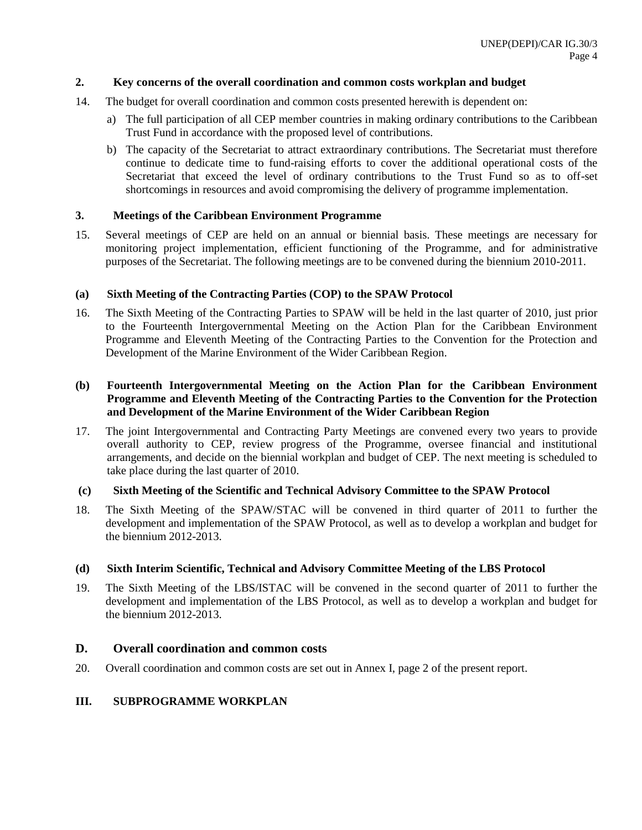#### <span id="page-11-0"></span>**2. Key concerns of the overall coordination and common costs workplan and budget**

- <span id="page-11-1"></span>14. The budget for overall coordination and common costs presented herewith is dependent on:
	- a) The full participation of all CEP member countries in making ordinary contributions to the Caribbean Trust Fund in accordance with the proposed level of contributions.
	- b) The capacity of the Secretariat to attract extraordinary contributions. The Secretariat must therefore continue to dedicate time to fund-raising efforts to cover the additional operational costs of the Secretariat that exceed the level of ordinary contributions to the Trust Fund so as to off-set shortcomings in resources and avoid compromising the delivery of programme implementation.

#### **3. Meetings of the Caribbean Environment Programme**

15. Several meetings of CEP are held on an annual or biennial basis. These meetings are necessary for monitoring project implementation, efficient functioning of the Programme, and for administrative purposes of the Secretariat. The following meetings are to be convened during the biennium 2010-2011.

#### **(a) Sixth Meeting of the Contracting Parties (COP) to the SPAW Protocol**

16. The Sixth Meeting of the Contracting Parties to SPAW will be held in the last quarter of 2010, just prior to the Fourteenth Intergovernmental Meeting on the Action Plan for the Caribbean Environment Programme and Eleventh Meeting of the Contracting Parties to the Convention for the Protection and Development of the Marine Environment of the Wider Caribbean Region.

# **(b) Fourteenth Intergovernmental Meeting on the Action Plan for the Caribbean Environment Programme and Eleventh Meeting of the Contracting Parties to the Convention for the Protection and Development of the Marine Environment of the Wider Caribbean Region**

17. The joint Intergovernmental and Contracting Party Meetings are convened every two years to provide overall authority to CEP, review progress of the Programme, oversee financial and institutional arrangements, and decide on the biennial workplan and budget of CEP. The next meeting is scheduled to take place during the last quarter of 2010.

#### **(c) Sixth Meeting of the Scientific and Technical Advisory Committee to the SPAW Protocol**

18. The Sixth Meeting of the SPAW/STAC will be convened in third quarter of 2011 to further the development and implementation of the SPAW Protocol, as well as to develop a workplan and budget for the biennium 2012-2013.

#### **(d) Sixth Interim Scientific, Technical and Advisory Committee Meeting of the LBS Protocol**

<span id="page-11-2"></span>19. The Sixth Meeting of the LBS/ISTAC will be convened in the second quarter of 2011 to further the development and implementation of the LBS Protocol, as well as to develop a workplan and budget for the biennium 2012-2013.

# **D. Overall coordination and common costs**

20. Overall coordination and common costs are set out in Annex I, page 2 of the present report.

# **III. SUBPROGRAMME WORKPLAN**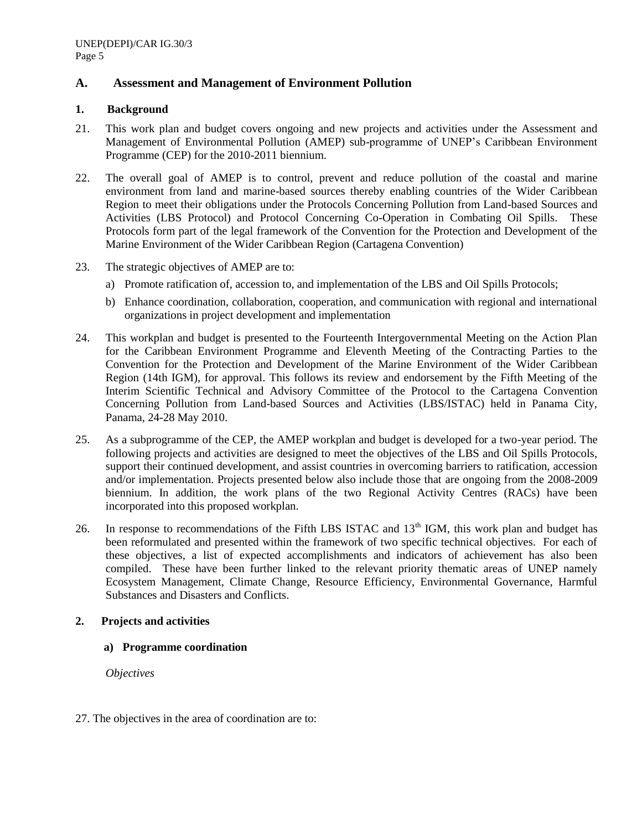# **A. Assessment and Management of Environment Pollution**

#### **1. Background**

- 21. This work plan and budget covers ongoing and new projects and activities under the Assessment and Management of Environmental Pollution (AMEP) sub-programme of UNEP"s Caribbean Environment Programme (CEP) for the 2010-2011 biennium.
- 22. The overall goal of AMEP is to control, prevent and reduce pollution of the coastal and marine environment from land and marine-based sources thereby enabling countries of the Wider Caribbean Region to meet their obligations under the Protocols Concerning Pollution from Land-based Sources and Activities (LBS Protocol) and Protocol Concerning Co-Operation in Combating Oil Spills. These Protocols form part of the legal framework of the Convention for the Protection and Development of the Marine Environment of the Wider Caribbean Region (Cartagena Convention)
- 23. The strategic objectives of AMEP are to:
	- a) Promote ratification of, accession to, and implementation of the LBS and Oil Spills Protocols;
	- b) Enhance coordination, collaboration, cooperation, and communication with regional and international organizations in project development and implementation
- 24. This workplan and budget is presented to the Fourteenth Intergovernmental Meeting on the Action Plan for the Caribbean Environment Programme and Eleventh Meeting of the Contracting Parties to the Convention for the Protection and Development of the Marine Environment of the Wider Caribbean Region (14th IGM), for approval. This follows its review and endorsement by the Fifth Meeting of the Interim Scientific Technical and Advisory Committee of the Protocol to the Cartagena Convention Concerning Pollution from Land-based Sources and Activities (LBS/ISTAC) held in Panama City, Panama, 24-28 May 2010.
- 25. As a subprogramme of the CEP, the AMEP workplan and budget is developed for a two-year period. The following projects and activities are designed to meet the objectives of the LBS and Oil Spills Protocols, support their continued development, and assist countries in overcoming barriers to ratification, accession and/or implementation. Projects presented below also include those that are ongoing from the 2008-2009 biennium. In addition, the work plans of the two Regional Activity Centres (RACs) have been incorporated into this proposed workplan.
- 26. In response to recommendations of the Fifth LBS ISTAC and 13<sup>th</sup> IGM, this work plan and budget has been reformulated and presented within the framework of two specific technical objectives. For each of these objectives, a list of expected accomplishments and indicators of achievement has also been compiled. These have been further linked to the relevant priority thematic areas of UNEP namely Ecosystem Management, Climate Change, Resource Efficiency, Environmental Governance, Harmful Substances and Disasters and Conflicts.

# **2. Projects and activities**

#### **a) Programme coordination**

*Objectives*

#### 27. The objectives in the area of coordination are to: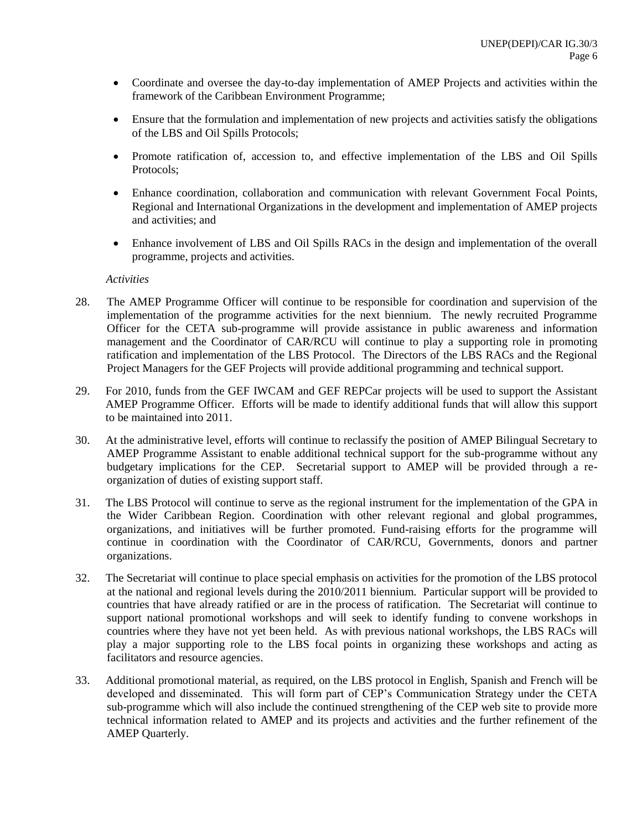- Coordinate and oversee the day-to-day implementation of AMEP Projects and activities within the framework of the Caribbean Environment Programme;
- Ensure that the formulation and implementation of new projects and activities satisfy the obligations of the LBS and Oil Spills Protocols;
- Promote ratification of, accession to, and effective implementation of the LBS and Oil Spills Protocols;
- Enhance coordination, collaboration and communication with relevant Government Focal Points, Regional and International Organizations in the development and implementation of AMEP projects and activities; and
- Enhance involvement of LBS and Oil Spills RACs in the design and implementation of the overall programme, projects and activities.

#### *Activities*

- 28. The AMEP Programme Officer will continue to be responsible for coordination and supervision of the implementation of the programme activities for the next biennium. The newly recruited Programme Officer for the CETA sub-programme will provide assistance in public awareness and information management and the Coordinator of CAR/RCU will continue to play a supporting role in promoting ratification and implementation of the LBS Protocol. The Directors of the LBS RACs and the Regional Project Managers for the GEF Projects will provide additional programming and technical support.
- <span id="page-13-0"></span>29. For 2010, funds from the GEF IWCAM and GEF REPCar projects will be used to support the Assistant AMEP Programme Officer. Efforts will be made to identify additional funds that will allow this support to be maintained into 2011.
- 30. At the administrative level, efforts will continue to reclassify the position of AMEP Bilingual Secretary to AMEP Programme Assistant to enable additional technical support for the sub-programme without any budgetary implications for the CEP. Secretarial support to AMEP will be provided through a reorganization of duties of existing support staff.
- 31. The LBS Protocol will continue to serve as the regional instrument for the implementation of the GPA in the Wider Caribbean Region. Coordination with other relevant regional and global programmes, organizations, and initiatives will be further promoted. Fund-raising efforts for the programme will continue in coordination with the Coordinator of CAR/RCU, Governments, donors and partner organizations.
- 32. The Secretariat will continue to place special emphasis on activities for the promotion of the LBS protocol at the national and regional levels during the 2010/2011 biennium. Particular support will be provided to countries that have already ratified or are in the process of ratification. The Secretariat will continue to support national promotional workshops and will seek to identify funding to convene workshops in countries where they have not yet been held. As with previous national workshops, the LBS RACs will play a major supporting role to the LBS focal points in organizing these workshops and acting as facilitators and resource agencies.
- 33. Additional promotional material, as required, on the LBS protocol in English, Spanish and French will be developed and disseminated. This will form part of CEP"s Communication Strategy under the CETA sub-programme which will also include the continued strengthening of the CEP web site to provide more technical information related to AMEP and its projects and activities and the further refinement of the AMEP Quarterly.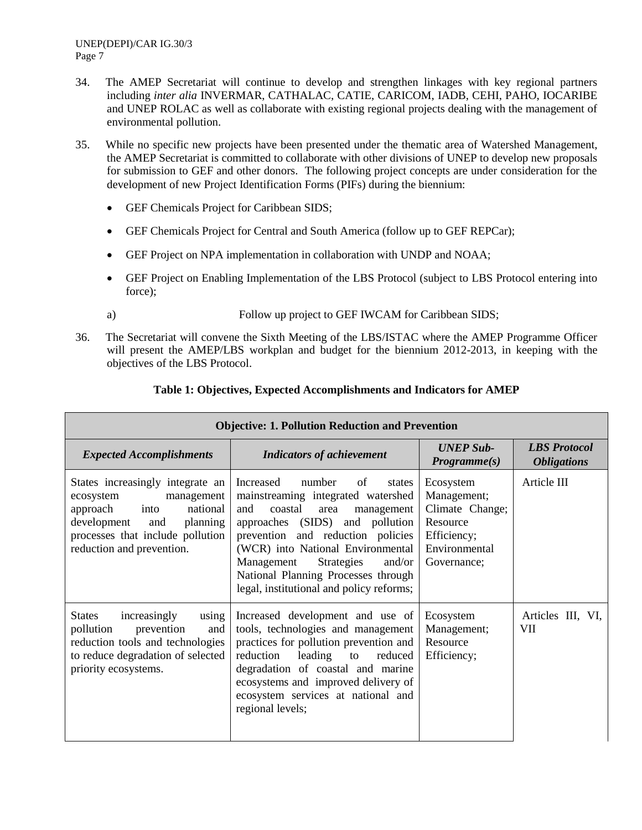- 34. The AMEP Secretariat will continue to develop and strengthen linkages with key regional partners including *inter alia* INVERMAR, CATHALAC, CATIE, CARICOM, IADB, CEHI, PAHO, IOCARIBE and UNEP ROLAC as well as collaborate with existing regional projects dealing with the management of environmental pollution.
- 35. While no specific new projects have been presented under the thematic area of Watershed Management, the AMEP Secretariat is committed to collaborate with other divisions of UNEP to develop new proposals for submission to GEF and other donors. The following project concepts are under consideration for the development of new Project Identification Forms (PIFs) during the biennium:
	- GEF Chemicals Project for Caribbean SIDS;
	- GEF Chemicals Project for Central and South America (follow up to GEF REPCar);
	- GEF Project on NPA implementation in collaboration with UNDP and NOAA;
	- GEF Project on Enabling Implementation of the LBS Protocol (subject to LBS Protocol entering into force);
	- a) Follow up project to GEF IWCAM for Caribbean SIDS;
- 36. The Secretariat will convene the Sixth Meeting of the LBS/ISTAC where the AMEP Programme Officer will present the AMEP/LBS workplan and budget for the biennium 2012-2013, in keeping with the objectives of the LBS Protocol.

<span id="page-14-0"></span>

| <b>Objective: 1. Pollution Reduction and Prevention</b>                                                                                                                                     |                                                                                                                                                                                                                                                                                                                                                         |                                                                                                        |                                                  |
|---------------------------------------------------------------------------------------------------------------------------------------------------------------------------------------------|---------------------------------------------------------------------------------------------------------------------------------------------------------------------------------------------------------------------------------------------------------------------------------------------------------------------------------------------------------|--------------------------------------------------------------------------------------------------------|--------------------------------------------------|
| <b>Expected Accomplishments</b>                                                                                                                                                             | <b>Indicators of achievement</b>                                                                                                                                                                                                                                                                                                                        | <b>UNEP Sub-</b><br>Programme(s)                                                                       | <b>LBS</b> Protocol<br><i><b>Obligations</b></i> |
| States increasingly integrate an<br>ecosystem<br>management<br>national<br>approach<br>into<br>development<br>and planning<br>processes that include pollution<br>reduction and prevention. | Increased<br>number<br>of<br>states<br>mainstreaming integrated watershed<br>coastal<br>and<br>area<br>management<br>approaches (SIDS) and pollution<br>prevention and reduction policies<br>(WCR) into National Environmental<br>Strategies<br>and/or<br>Management<br>National Planning Processes through<br>legal, institutional and policy reforms; | Ecosystem<br>Management;<br>Climate Change;<br>Resource<br>Efficiency;<br>Environmental<br>Governance; | Article III                                      |
| <b>States</b><br>increasingly<br>using<br>prevention<br>pollution<br>and<br>reduction tools and technologies<br>to reduce degradation of selected<br>priority ecosystems.                   | Increased development and use of<br>tools, technologies and management<br>practices for pollution prevention and<br>leading to<br>reduction<br>reduced<br>degradation of coastal and marine<br>ecosystems and improved delivery of<br>ecosystem services at national and<br>regional levels;                                                            | Ecosystem<br>Management;<br>Resource<br>Efficiency;                                                    | Articles III, VI,<br>VII                         |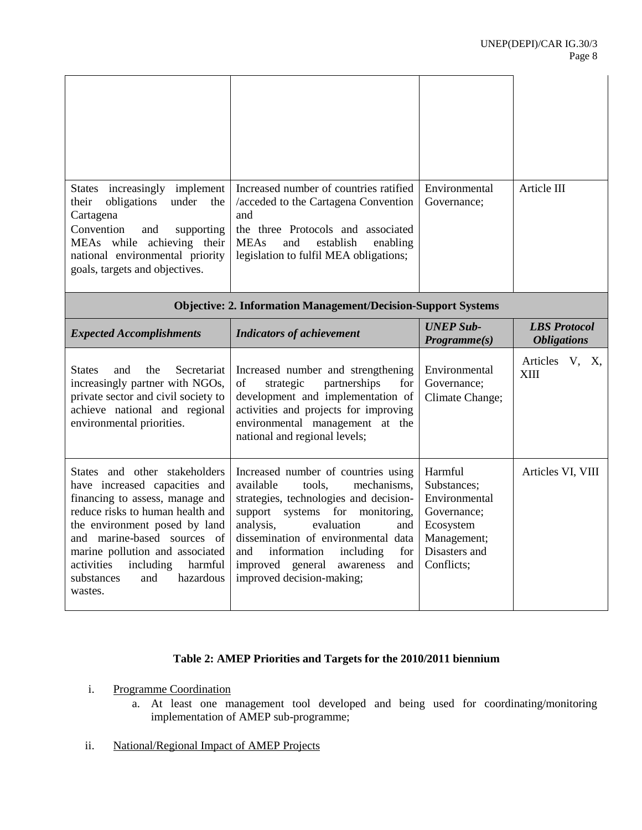| States increasingly<br>their<br>obligations<br>under the<br>Cartagena<br>Convention<br>and<br>supporting<br>MEAs while achieving their<br>national environmental priority<br>goals, targets and objectives. | implement   Increased number of countries ratified  <br>/acceded to the Cartagena Convention<br>and<br>the three Protocols and associated<br>MEAs and establish<br>enabling<br>legislation to fulfil MEA obligations; | Environmental<br>Governance; | Article III |
|-------------------------------------------------------------------------------------------------------------------------------------------------------------------------------------------------------------|-----------------------------------------------------------------------------------------------------------------------------------------------------------------------------------------------------------------------|------------------------------|-------------|

| <b>Objective: 2. Information Management/Decision-Support Systems</b>                                                                                                                                                                                                                                                        |                                                                                                                                                                                                                                                                                                                                             |                                                                                                                   |                                           |
|-----------------------------------------------------------------------------------------------------------------------------------------------------------------------------------------------------------------------------------------------------------------------------------------------------------------------------|---------------------------------------------------------------------------------------------------------------------------------------------------------------------------------------------------------------------------------------------------------------------------------------------------------------------------------------------|-------------------------------------------------------------------------------------------------------------------|-------------------------------------------|
| <b>Expected Accomplishments</b>                                                                                                                                                                                                                                                                                             | <b>Indicators of achievement</b>                                                                                                                                                                                                                                                                                                            | <b>UNEP Sub-</b><br>Programme(s)                                                                                  | <b>LBS</b> Protocol<br><b>Obligations</b> |
| the<br>Secretariat<br><b>States</b><br>and<br>increasingly partner with NGOs,<br>private sector and civil society to<br>achieve national and regional<br>environmental priorities.                                                                                                                                          | Increased number and strengthening<br>partnerships<br>for<br>of<br>strategic<br>development and implementation of<br>activities and projects for improving<br>environmental management at the<br>national and regional levels;                                                                                                              | Environmental<br>Governance;<br>Climate Change;                                                                   | Articles V, X,<br>XIII                    |
| States and other stakeholders<br>have increased capacities and<br>financing to assess, manage and<br>reduce risks to human health and<br>the environment posed by land<br>and marine-based sources of<br>marine pollution and associated<br>activities<br>including<br>harmful<br>substances<br>and<br>hazardous<br>wastes. | Increased number of countries using<br>mechanisms,<br>available<br>tools,<br>strategies, technologies and decision-<br>support systems for monitoring,<br>analysis,<br>evaluation<br>and<br>dissemination of environmental data<br>information<br>including<br>for<br>and<br>improved general awareness<br>and<br>improved decision-making; | Harmful<br>Substances;<br>Environmental<br>Governance;<br>Ecosystem<br>Management;<br>Disasters and<br>Conflicts; | Articles VI, VIII                         |

# **Table 2: AMEP Priorities and Targets for the 2010/2011 biennium**

- i. Programme Coordination
	- a. At least one management tool developed and being used for coordinating/monitoring implementation of AMEP sub-programme;
- ii. National/Regional Impact of AMEP Projects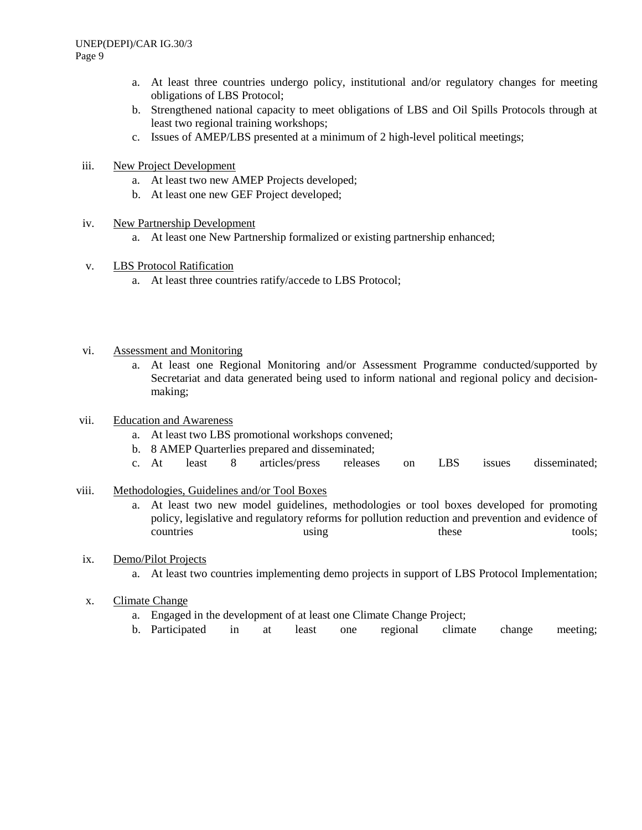- a. At least three countries undergo policy, institutional and/or regulatory changes for meeting obligations of LBS Protocol;
- b. Strengthened national capacity to meet obligations of LBS and Oil Spills Protocols through at least two regional training workshops;
- c. Issues of AMEP/LBS presented at a minimum of 2 high-level political meetings;
- <span id="page-16-1"></span><span id="page-16-0"></span>iii. New Project Development
	- a. At least two new AMEP Projects developed;
	- b. At least one new GEF Project developed;
- iv. New Partnership Development
	- a. At least one New Partnership formalized or existing partnership enhanced;
- v. LBS Protocol Ratification
	- a. At least three countries ratify/accede to LBS Protocol;

#### vi. Assessment and Monitoring

a. At least one Regional Monitoring and/or Assessment Programme conducted/supported by Secretariat and data generated being used to inform national and regional policy and decisionmaking;

#### vii. Education and Awareness

- a. At least two LBS promotional workshops convened;
- b. 8 AMEP Quarterlies prepared and disseminated;
- c. At least 8 articles/press releases on LBS issues disseminated;

# viii. Methodologies, Guidelines and/or Tool Boxes

a. At least two new model guidelines, methodologies or tool boxes developed for promoting policy, legislative and regulatory reforms for pollution reduction and prevention and evidence of countries using these tools;

# ix. Demo/Pilot Projects

a. At least two countries implementing demo projects in support of LBS Protocol Implementation;

# x. Climate Change

- a. Engaged in the development of at least one Climate Change Project;
- b. Participated in at least one regional climate change meeting;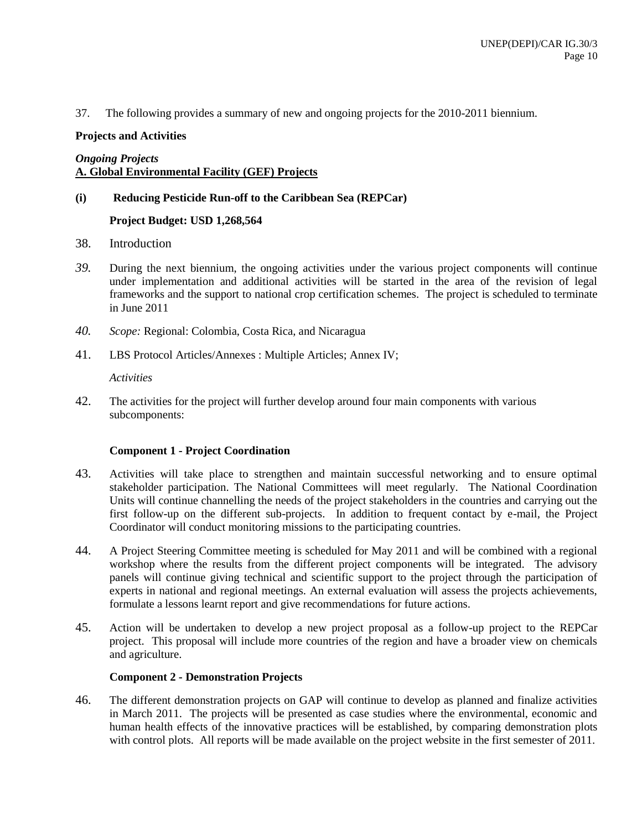37. The following provides a summary of new and ongoing projects for the 2010-2011 biennium.

#### **Projects and Activities**

# *Ongoing Projects* **A. Global Environmental Facility (GEF) Projects**

#### **(i) Reducing Pesticide Run-off to the Caribbean Sea (REPCar)**

#### **Project Budget: USD 1,268,564**

- 38. Introduction
- *39.* During the next biennium, the ongoing activities under the various project components will continue under implementation and additional activities will be started in the area of the revision of legal frameworks and the support to national crop certification schemes. The project is scheduled to terminate in June 2011
- *40. Scope:* Regional: Colombia, Costa Rica, and Nicaragua
- 41. LBS Protocol Articles/Annexes : Multiple Articles; Annex IV;

*Activities*

42. The activities for the project will further develop around four main components with various subcomponents:

#### **Component 1 - Project Coordination**

- 43. Activities will take place to strengthen and maintain successful networking and to ensure optimal stakeholder participation. The National Committees will meet regularly. The National Coordination Units will continue channelling the needs of the project stakeholders in the countries and carrying out the first follow-up on the different sub-projects. In addition to frequent contact by e-mail, the Project Coordinator will conduct monitoring missions to the participating countries.
- 44. A Project Steering Committee meeting is scheduled for May 2011 and will be combined with a regional workshop where the results from the different project components will be integrated. The advisory panels will continue giving technical and scientific support to the project through the participation of experts in national and regional meetings. An external evaluation will assess the projects achievements, formulate a lessons learnt report and give recommendations for future actions.
- <span id="page-17-1"></span><span id="page-17-0"></span>45. Action will be undertaken to develop a new project proposal as a follow-up project to the REPCar project. This proposal will include more countries of the region and have a broader view on chemicals and agriculture.

#### **Component 2 - Demonstration Projects**

46. The different demonstration projects on GAP will continue to develop as planned and finalize activities in March 2011. The projects will be presented as case studies where the environmental, economic and human health effects of the innovative practices will be established, by comparing demonstration plots with control plots. All reports will be made available on the project website in the first semester of 2011.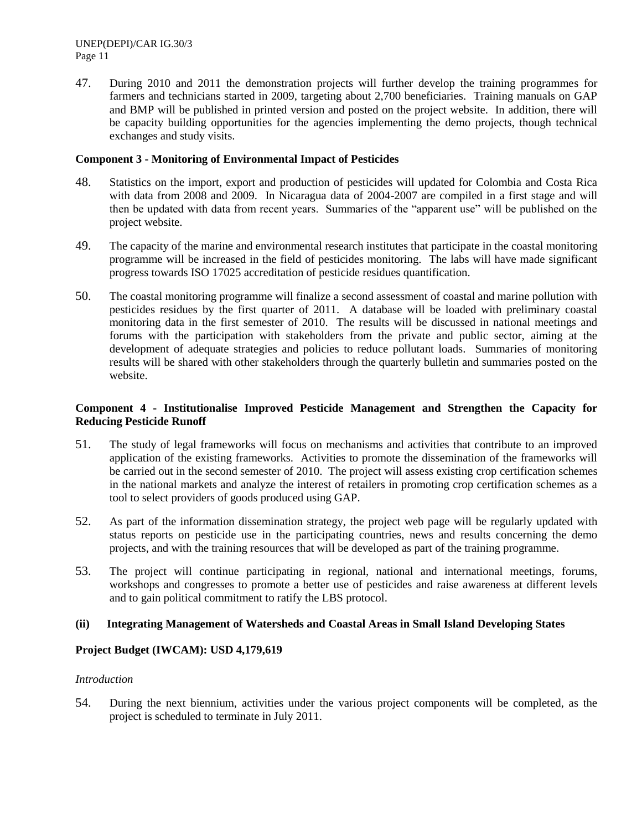47. During 2010 and 2011 the demonstration projects will further develop the training programmes for farmers and technicians started in 2009, targeting about 2,700 beneficiaries. Training manuals on GAP and BMP will be published in printed version and posted on the project website. In addition, there will be capacity building opportunities for the agencies implementing the demo projects, though technical exchanges and study visits.

#### **Component 3 - Monitoring of Environmental Impact of Pesticides**

- 48. Statistics on the import, export and production of pesticides will updated for Colombia and Costa Rica with data from 2008 and 2009. In Nicaragua data of 2004-2007 are compiled in a first stage and will then be updated with data from recent years. Summaries of the "apparent use" will be published on the project website.
- 49. The capacity of the marine and environmental research institutes that participate in the coastal monitoring programme will be increased in the field of pesticides monitoring. The labs will have made significant progress towards ISO 17025 accreditation of pesticide residues quantification.
- 50. The coastal monitoring programme will finalize a second assessment of coastal and marine pollution with pesticides residues by the first quarter of 2011. A database will be loaded with preliminary coastal monitoring data in the first semester of 2010. The results will be discussed in national meetings and forums with the participation with stakeholders from the private and public sector, aiming at the development of adequate strategies and policies to reduce pollutant loads. Summaries of monitoring results will be shared with other stakeholders through the quarterly bulletin and summaries posted on the website.

# **Component 4 - Institutionalise Improved Pesticide Management and Strengthen the Capacity for Reducing Pesticide Runoff**

- 51. The study of legal frameworks will focus on mechanisms and activities that contribute to an improved application of the existing frameworks. Activities to promote the dissemination of the frameworks will be carried out in the second semester of 2010. The project will assess existing crop certification schemes in the national markets and analyze the interest of retailers in promoting crop certification schemes as a tool to select providers of goods produced using GAP.
- 52. As part of the information dissemination strategy, the project web page will be regularly updated with status reports on pesticide use in the participating countries, news and results concerning the demo projects, and with the training resources that will be developed as part of the training programme.
- 53. The project will continue participating in regional, national and international meetings, forums, workshops and congresses to promote a better use of pesticides and raise awareness at different levels and to gain political commitment to ratify the LBS protocol.

#### **(ii) Integrating Management of Watersheds and Coastal Areas in Small Island Developing States**

# **Project Budget (IWCAM): USD 4,179,619**

#### *Introduction*

54. During the next biennium, activities under the various project components will be completed, as the project is scheduled to terminate in July 2011.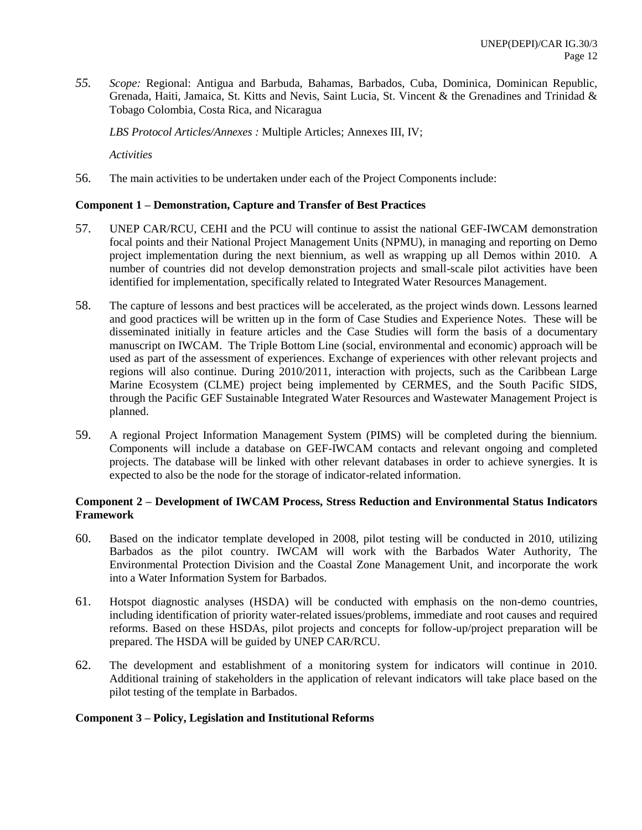*55. Scope:* Regional: Antigua and Barbuda, Bahamas, Barbados, Cuba, Dominica, Dominican Republic, Grenada, Haiti, Jamaica, St. Kitts and Nevis, Saint Lucia, St. Vincent & the Grenadines and Trinidad & Tobago Colombia, Costa Rica, and Nicaragua

*LBS Protocol Articles/Annexes :* Multiple Articles; Annexes III, IV;

*Activities*

56. The main activities to be undertaken under each of the Project Components include:

#### **Component 1 – Demonstration, Capture and Transfer of Best Practices**

- 57. UNEP CAR/RCU, CEHI and the PCU will continue to assist the national GEF-IWCAM demonstration focal points and their National Project Management Units (NPMU), in managing and reporting on Demo project implementation during the next biennium, as well as wrapping up all Demos within 2010. A number of countries did not develop demonstration projects and small-scale pilot activities have been identified for implementation, specifically related to Integrated Water Resources Management.
- 58. The capture of lessons and best practices will be accelerated, as the project winds down. Lessons learned and good practices will be written up in the form of Case Studies and Experience Notes. These will be disseminated initially in feature articles and the Case Studies will form the basis of a documentary manuscript on IWCAM. The Triple Bottom Line (social, environmental and economic) approach will be used as part of the assessment of experiences. Exchange of experiences with other relevant projects and regions will also continue. During 2010/2011, interaction with projects, such as the Caribbean Large Marine Ecosystem (CLME) project being implemented by CERMES, and the South Pacific SIDS, through the Pacific GEF Sustainable Integrated Water Resources and Wastewater Management Project is planned.
- 59. A regional Project Information Management System (PIMS) will be completed during the biennium. Components will include a database on GEF-IWCAM contacts and relevant ongoing and completed projects. The database will be linked with other relevant databases in order to achieve synergies. It is expected to also be the node for the storage of indicator-related information.

# **Component 2 – Development of IWCAM Process, Stress Reduction and Environmental Status Indicators Framework**

- 60. Based on the indicator template developed in 2008, pilot testing will be conducted in 2010, utilizing Barbados as the pilot country. IWCAM will work with the Barbados Water Authority, The Environmental Protection Division and the Coastal Zone Management Unit, and incorporate the work into a Water Information System for Barbados.
- 61. Hotspot diagnostic analyses (HSDA) will be conducted with emphasis on the non-demo countries, including identification of priority water-related issues/problems, immediate and root causes and required reforms. Based on these HSDAs, pilot projects and concepts for follow-up/project preparation will be prepared. The HSDA will be guided by UNEP CAR/RCU.
- 62. The development and establishment of a monitoring system for indicators will continue in 2010. Additional training of stakeholders in the application of relevant indicators will take place based on the pilot testing of the template in Barbados.

# **Component 3 – Policy, Legislation and Institutional Reforms**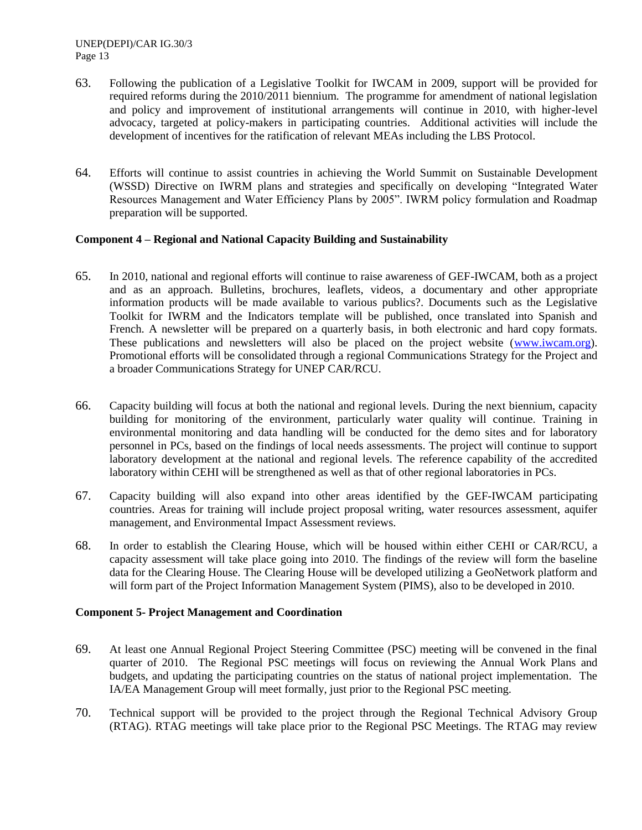UNEP(DEPI)/CAR IG.30/3 Page 13

- 63. Following the publication of a Legislative Toolkit for IWCAM in 2009, support will be provided for required reforms during the 2010/2011 biennium. The programme for amendment of national legislation and policy and improvement of institutional arrangements will continue in 2010, with higher-level advocacy, targeted at policy-makers in participating countries. Additional activities will include the development of incentives for the ratification of relevant MEAs including the LBS Protocol.
- <span id="page-20-0"></span>64. Efforts will continue to assist countries in achieving the World Summit on Sustainable Development (WSSD) Directive on IWRM plans and strategies and specifically on developing "Integrated Water Resources Management and Water Efficiency Plans by 2005". IWRM policy formulation and Roadmap preparation will be supported.

# **Component 4 – Regional and National Capacity Building and Sustainability**

- 65. In 2010, national and regional efforts will continue to raise awareness of GEF-IWCAM, both as a project and as an approach. Bulletins, brochures, leaflets, videos, a documentary and other appropriate information products will be made available to various publics?. Documents such as the Legislative Toolkit for IWRM and the Indicators template will be published, once translated into Spanish and French. A newsletter will be prepared on a quarterly basis, in both electronic and hard copy formats. These publications and newsletters will also be placed on the project website [\(www.iwcam.org\)](http://www.iwcam.org/). Promotional efforts will be consolidated through a regional Communications Strategy for the Project and a broader Communications Strategy for UNEP CAR/RCU.
- 66. Capacity building will focus at both the national and regional levels. During the next biennium, capacity building for monitoring of the environment, particularly water quality will continue. Training in environmental monitoring and data handling will be conducted for the demo sites and for laboratory personnel in PCs, based on the findings of local needs assessments. The project will continue to support laboratory development at the national and regional levels. The reference capability of the accredited laboratory within CEHI will be strengthened as well as that of other regional laboratories in PCs.
- 67. Capacity building will also expand into other areas identified by the GEF-IWCAM participating countries. Areas for training will include project proposal writing, water resources assessment, aquifer management, and Environmental Impact Assessment reviews.
- 68. In order to establish the Clearing House, which will be housed within either CEHI or CAR/RCU, a capacity assessment will take place going into 2010. The findings of the review will form the baseline data for the Clearing House. The Clearing House will be developed utilizing a GeoNetwork platform and will form part of the Project Information Management System (PIMS), also to be developed in 2010.

# **Component 5- Project Management and Coordination**

- 69. At least one Annual Regional Project Steering Committee (PSC) meeting will be convened in the final quarter of 2010. The Regional PSC meetings will focus on reviewing the Annual Work Plans and budgets, and updating the participating countries on the status of national project implementation. The IA/EA Management Group will meet formally, just prior to the Regional PSC meeting.
- 70. Technical support will be provided to the project through the Regional Technical Advisory Group (RTAG). RTAG meetings will take place prior to the Regional PSC Meetings. The RTAG may review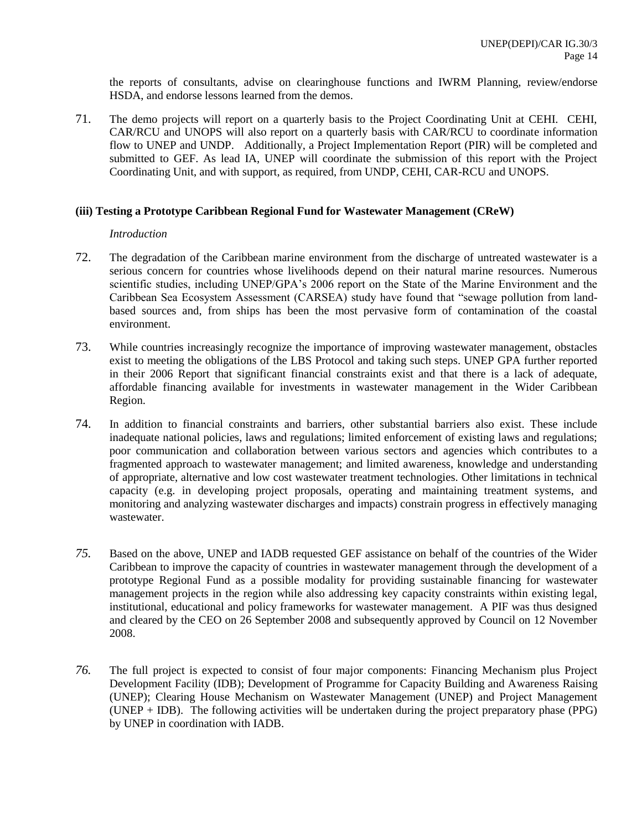the reports of consultants, advise on clearinghouse functions and IWRM Planning, review/endorse HSDA, and endorse lessons learned from the demos.

71. The demo projects will report on a quarterly basis to the Project Coordinating Unit at CEHI. CEHI, CAR/RCU and UNOPS will also report on a quarterly basis with CAR/RCU to coordinate information flow to UNEP and UNDP. Additionally, a Project Implementation Report (PIR) will be completed and submitted to GEF. As lead IA, UNEP will coordinate the submission of this report with the Project Coordinating Unit, and with support, as required, from UNDP, CEHI, CAR-RCU and UNOPS.

#### **(iii) Testing a Prototype Caribbean Regional Fund for Wastewater Management (CReW)**

#### *Introduction*

- 72. The degradation of the Caribbean marine environment from the discharge of untreated wastewater is a serious concern for countries whose livelihoods depend on their natural marine resources. Numerous scientific studies, including UNEP/GPA's 2006 report on the State of the Marine Environment and the Caribbean Sea Ecosystem Assessment (CARSEA) study have found that "sewage pollution from landbased sources and, from ships has been the most pervasive form of contamination of the coastal environment.
- 73. While countries increasingly recognize the importance of improving wastewater management, obstacles exist to meeting the obligations of the LBS Protocol and taking such steps. UNEP GPA further reported in their 2006 Report that significant financial constraints exist and that there is a lack of adequate, affordable financing available for investments in wastewater management in the Wider Caribbean Region.
- <span id="page-21-0"></span>74. In addition to financial constraints and barriers, other substantial barriers also exist. These include inadequate national policies, laws and regulations; limited enforcement of existing laws and regulations; poor communication and collaboration between various sectors and agencies which contributes to a fragmented approach to wastewater management; and limited awareness, knowledge and understanding of appropriate, alternative and low cost wastewater treatment technologies. Other limitations in technical capacity (e.g. in developing project proposals, operating and maintaining treatment systems, and monitoring and analyzing wastewater discharges and impacts) constrain progress in effectively managing wastewater.
- <span id="page-21-1"></span>*75.* Based on the above, UNEP and IADB requested GEF assistance on behalf of the countries of the Wider Caribbean to improve the capacity of countries in wastewater management through the development of a prototype Regional Fund as a possible modality for providing sustainable financing for wastewater management projects in the region while also addressing key capacity constraints within existing legal, institutional, educational and policy frameworks for wastewater management. A PIF was thus designed and cleared by the CEO on 26 September 2008 and subsequently approved by Council on 12 November 2008.
- *76.* The full project is expected to consist of four major components: Financing Mechanism plus Project Development Facility (IDB); Development of Programme for Capacity Building and Awareness Raising (UNEP); Clearing House Mechanism on Wastewater Management (UNEP) and Project Management (UNEP + IDB). The following activities will be undertaken during the project preparatory phase (PPG) by UNEP in coordination with IADB.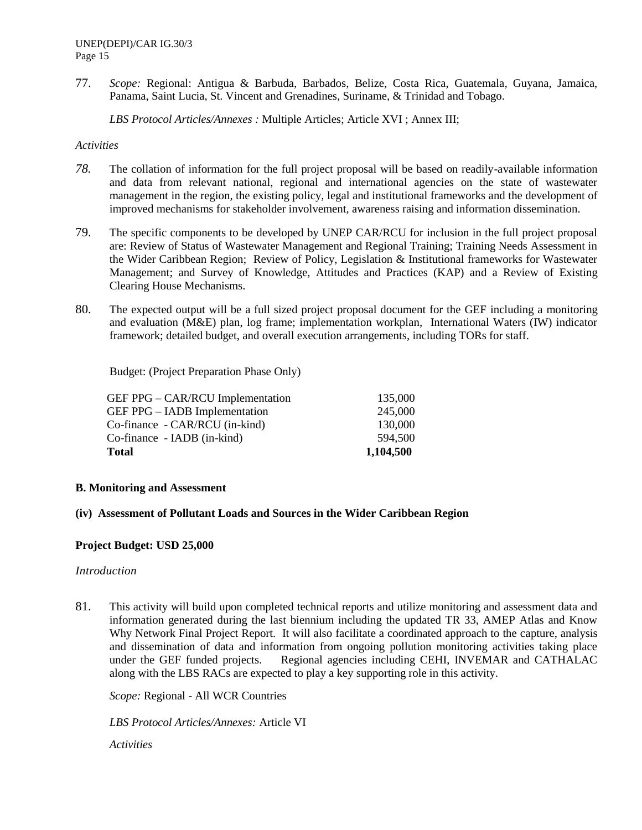77. *Scope:* Regional: Antigua & Barbuda, Barbados, Belize, Costa Rica, Guatemala, Guyana, Jamaica, Panama, Saint Lucia, St. Vincent and Grenadines, Suriname, & Trinidad and Tobago.

*LBS Protocol Articles/Annexes :* Multiple Articles; Article XVI ; Annex III;

#### *Activities*

- *78.* The collation of information for the full project proposal will be based on readily-available information and data from relevant national, regional and international agencies on the state of wastewater management in the region, the existing policy, legal and institutional frameworks and the development of improved mechanisms for stakeholder involvement, awareness raising and information dissemination.
- <span id="page-22-0"></span>79. The specific components to be developed by UNEP CAR/RCU for inclusion in the full project proposal are: Review of Status of Wastewater Management and Regional Training; Training Needs Assessment in the Wider Caribbean Region; Review of Policy, Legislation & Institutional frameworks for Wastewater Management; and Survey of Knowledge, Attitudes and Practices (KAP) and a Review of Existing Clearing House Mechanisms.
- <span id="page-22-1"></span>80. The expected output will be a full sized project proposal document for the GEF including a monitoring and evaluation (M&E) plan, log frame; implementation workplan, International Waters (IW) indicator framework; detailed budget, and overall execution arrangements, including TORs for staff.

Budget: (Project Preparation Phase Only)

| Total                                | 1,104,500 |
|--------------------------------------|-----------|
| Co-finance - IADB (in-kind)          | 594.500   |
| Co-finance - CAR/RCU (in-kind)       | 130.000   |
| <b>GEF PPG – IADB Implementation</b> | 245,000   |
| GEF PPG – CAR/RCU Implementation     | 135,000   |

#### **B. Monitoring and Assessment**

# **(iv) Assessment of Pollutant Loads and Sources in the Wider Caribbean Region**

#### **Project Budget: USD 25,000**

#### *Introduction*

<span id="page-22-3"></span><span id="page-22-2"></span>81. This activity will build upon completed technical reports and utilize monitoring and assessment data and information generated during the last biennium including the updated TR 33, AMEP Atlas and Know Why Network Final Project Report. It will also facilitate a coordinated approach to the capture, analysis and dissemination of data and information from ongoing pollution monitoring activities taking place under the GEF funded projects. Regional agencies including CEHI, INVEMAR and CATHALAC along with the LBS RACs are expected to play a key supporting role in this activity.

*Scope:* Regional - All WCR Countries

*LBS Protocol Articles/Annexes:* Article VI

*Activities*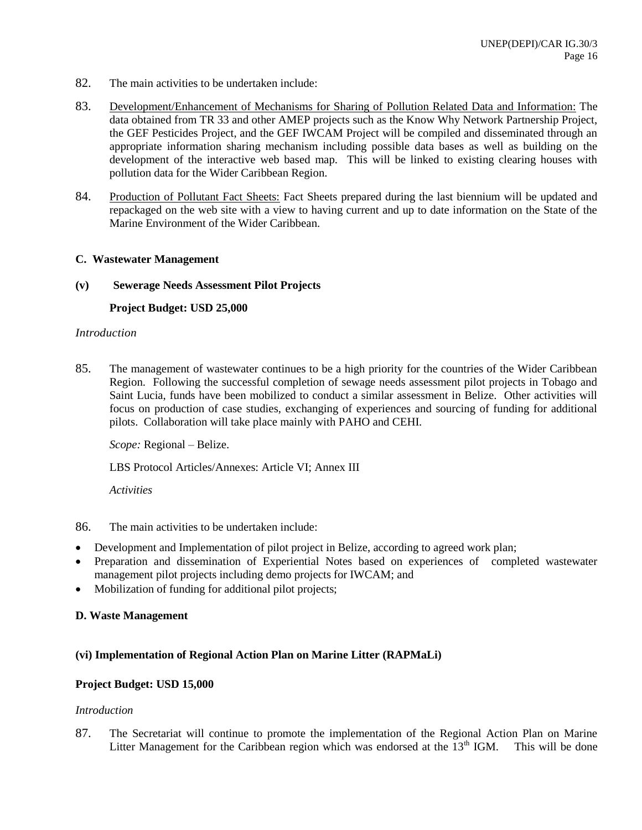- 82. The main activities to be undertaken include:
- 83. Development/Enhancement of Mechanisms for Sharing of Pollution Related Data and Information: The data obtained from TR 33 and other AMEP projects such as the Know Why Network Partnership Project, the GEF Pesticides Project, and the GEF IWCAM Project will be compiled and disseminated through an appropriate information sharing mechanism including possible data bases as well as building on the development of the interactive web based map. This will be linked to existing clearing houses with pollution data for the Wider Caribbean Region.
- 84. Production of Pollutant Fact Sheets: Fact Sheets prepared during the last biennium will be updated and repackaged on the web site with a view to having current and up to date information on the State of the Marine Environment of the Wider Caribbean.

# **C. Wastewater Management**

#### **(v) Sewerage Needs Assessment Pilot Projects**

# **Project Budget: USD 25,000**

#### *Introduction*

85. The management of wastewater continues to be a high priority for the countries of the Wider Caribbean Region. Following the successful completion of sewage needs assessment pilot projects in Tobago and Saint Lucia, funds have been mobilized to conduct a similar assessment in Belize. Other activities will focus on production of case studies, exchanging of experiences and sourcing of funding for additional pilots. Collaboration will take place mainly with PAHO and CEHI.

*Scope:* Regional – Belize.

<span id="page-23-0"></span>LBS Protocol Articles/Annexes: Article VI; Annex III

<span id="page-23-1"></span>*Activities*

86. The main activities to be undertaken include:

- Development and Implementation of pilot project in Belize, according to agreed work plan;
- Preparation and dissemination of Experiential Notes based on experiences of completed wastewater management pilot projects including demo projects for IWCAM; and
- Mobilization of funding for additional pilot projects;

#### **D. Waste Management**

# **(vi) Implementation of Regional Action Plan on Marine Litter (RAPMaLi)**

#### **Project Budget: USD 15,000**

#### *Introduction*

87. The Secretariat will continue to promote the implementation of the Regional Action Plan on Marine Litter Management for the Caribbean region which was endorsed at the  $13<sup>th</sup>$  IGM. This will be done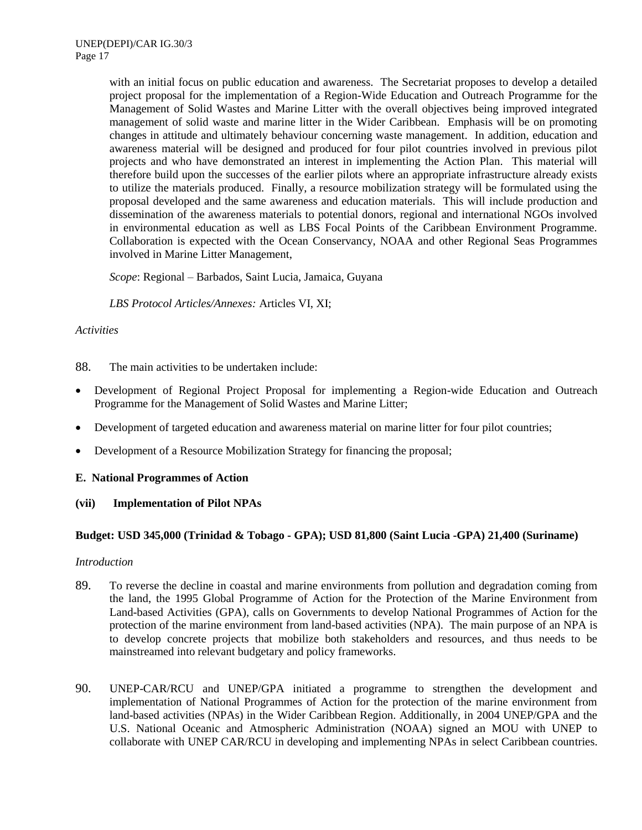with an initial focus on public education and awareness. The Secretariat proposes to develop a detailed project proposal for the implementation of a Region-Wide Education and Outreach Programme for the Management of Solid Wastes and Marine Litter with the overall objectives being improved integrated management of solid waste and marine litter in the Wider Caribbean. Emphasis will be on promoting changes in attitude and ultimately behaviour concerning waste management. In addition, education and awareness material will be designed and produced for four pilot countries involved in previous pilot projects and who have demonstrated an interest in implementing the Action Plan. This material will therefore build upon the successes of the earlier pilots where an appropriate infrastructure already exists to utilize the materials produced. Finally, a resource mobilization strategy will be formulated using the proposal developed and the same awareness and education materials. This will include production and dissemination of the awareness materials to potential donors, regional and international NGOs involved in environmental education as well as LBS Focal Points of the Caribbean Environment Programme. Collaboration is expected with the Ocean Conservancy, NOAA and other Regional Seas Programmes involved in Marine Litter Management,

*Scope*: Regional – Barbados, Saint Lucia, Jamaica, Guyana

*LBS Protocol Articles/Annexes:* Articles VI, XI;

# *Activities*

- 88. The main activities to be undertaken include:
- Development of Regional Project Proposal for implementing a Region-wide Education and Outreach Programme for the Management of Solid Wastes and Marine Litter;
- Development of targeted education and awareness material on marine litter for four pilot countries;
- Development of a Resource Mobilization Strategy for financing the proposal;

# **E. National Programmes of Action**

#### **(vii) Implementation of Pilot NPAs**

#### **Budget: USD 345,000 (Trinidad & Tobago - GPA); USD 81,800 (Saint Lucia -GPA) 21,400 (Suriname)**

#### *Introduction*

- 89. To reverse the decline in coastal and marine environments from pollution and degradation coming from the land, the 1995 Global Programme of Action for the Protection of the Marine Environment from Land-based Activities (GPA), calls on Governments to develop National Programmes of Action for the protection of the marine environment from land-based activities (NPA). The main purpose of an NPA is to develop concrete projects that mobilize both stakeholders and resources, and thus needs to be mainstreamed into relevant budgetary and policy frameworks.
- 90. UNEP-CAR/RCU and UNEP/GPA initiated a programme to strengthen the development and implementation of National Programmes of Action for the protection of the marine environment from land-based activities (NPAs) in the Wider Caribbean Region. Additionally, in 2004 UNEP/GPA and the U.S. National Oceanic and Atmospheric Administration (NOAA) signed an MOU with UNEP to collaborate with UNEP CAR/RCU in developing and implementing NPAs in select Caribbean countries.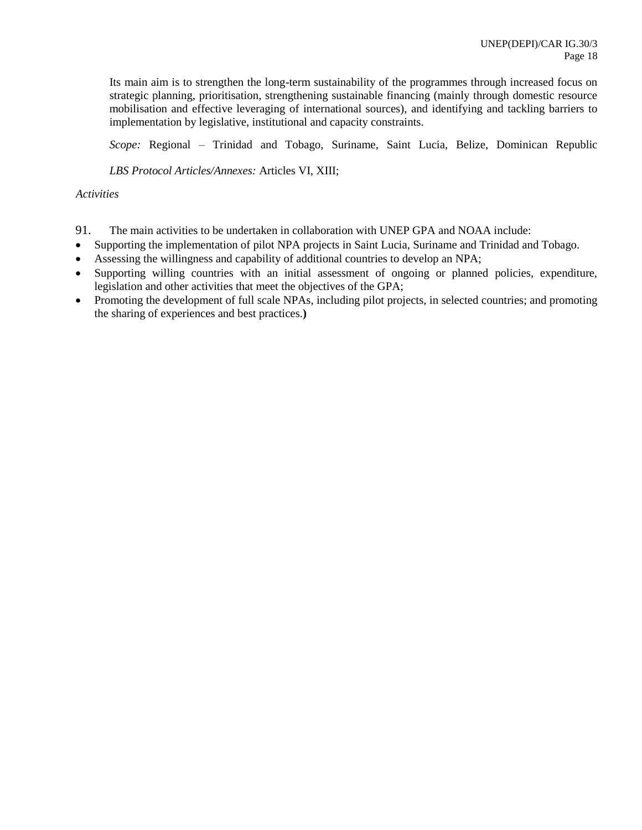<span id="page-25-0"></span>Its main aim is to strengthen the long-term sustainability of the programmes through increased focus on strategic planning, prioritisation, strengthening sustainable financing (mainly through domestic resource mobilisation and effective leveraging of international sources), and identifying and tackling barriers to implementation by legislative, institutional and capacity constraints.

<span id="page-25-1"></span>*Scope:* Regional – Trinidad and Tobago, Suriname, Saint Lucia, Belize, Dominican Republic

*LBS Protocol Articles/Annexes:* Articles VI, XIII;

#### <span id="page-25-2"></span>*Activities*

- 91. The main activities to be undertaken in collaboration with UNEP GPA and NOAA include:
- Supporting the implementation of pilot NPA projects in Saint Lucia, Suriname and Trinidad and Tobago.
- Assessing the willingness and capability of additional countries to develop an NPA;
- Supporting willing countries with an initial assessment of ongoing or planned policies, expenditure, legislation and other activities that meet the objectives of the GPA;
- Promoting the development of full scale NPAs, including pilot projects, in selected countries; and promoting the sharing of experiences and best practices.**)**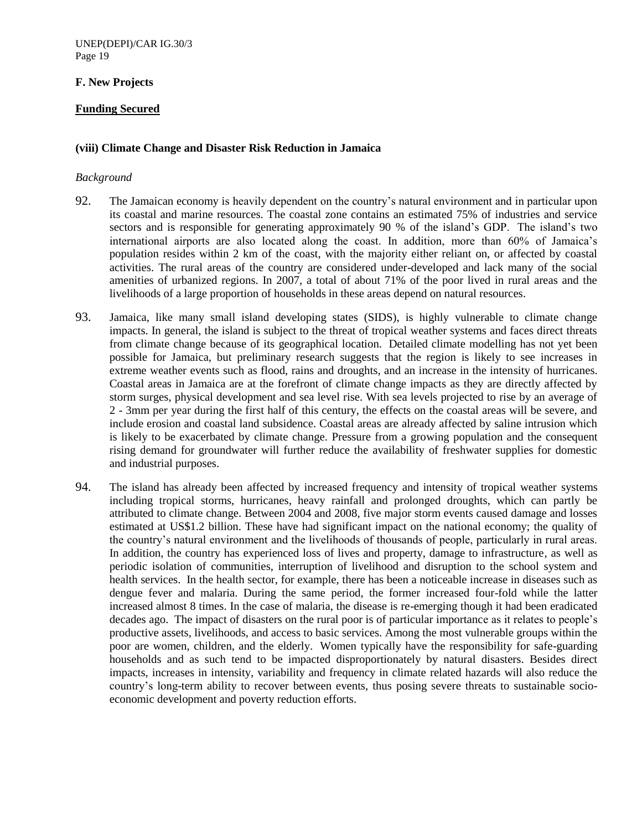# **F. New Projects**

# **Funding Secured**

# **(viii) Climate Change and Disaster Risk Reduction in Jamaica**

# *Background*

- 92. The Jamaican economy is heavily dependent on the country"s natural environment and in particular upon its coastal and marine resources. The coastal zone contains an estimated 75% of industries and service sectors and is responsible for generating approximately 90 % of the island's GDP. The island's two international airports are also located along the coast. In addition, more than 60% of Jamaica"s population resides within 2 km of the coast, with the majority either reliant on, or affected by coastal activities. The rural areas of the country are considered under-developed and lack many of the social amenities of urbanized regions. In 2007, a total of about 71% of the poor lived in rural areas and the livelihoods of a large proportion of households in these areas depend on natural resources.
- 93. Jamaica, like many small island developing states (SIDS), is highly vulnerable to climate change impacts. In general, the island is subject to the threat of tropical weather systems and faces direct threats from climate change because of its geographical location. Detailed climate modelling has not yet been possible for Jamaica, but preliminary research suggests that the region is likely to see increases in extreme weather events such as flood, rains and droughts, and an increase in the intensity of hurricanes. Coastal areas in Jamaica are at the forefront of climate change impacts as they are directly affected by storm surges, physical development and sea level rise. With sea levels projected to rise by an average of 2 - 3mm per year during the first half of this century, the effects on the coastal areas will be severe, and include erosion and coastal land subsidence. Coastal areas are already affected by saline intrusion which is likely to be exacerbated by climate change. Pressure from a growing population and the consequent rising demand for groundwater will further reduce the availability of freshwater supplies for domestic and industrial purposes.
- <span id="page-26-1"></span><span id="page-26-0"></span>94. The island has already been affected by increased frequency and intensity of tropical weather systems including tropical storms, hurricanes, heavy rainfall and prolonged droughts, which can partly be attributed to climate change. Between 2004 and 2008, five major storm events caused damage and losses estimated at US\$1.2 billion. These have had significant impact on the national economy; the quality of the country"s natural environment and the livelihoods of thousands of people, particularly in rural areas. In addition, the country has experienced loss of lives and property, damage to infrastructure, as well as periodic isolation of communities, interruption of livelihood and disruption to the school system and health services. In the health sector, for example, there has been a noticeable increase in diseases such as dengue fever and malaria. During the same period, the former increased four-fold while the latter increased almost 8 times. In the case of malaria, the disease is re-emerging though it had been eradicated decades ago. The impact of disasters on the rural poor is of particular importance as it relates to people"s productive assets, livelihoods, and access to basic services. Among the most vulnerable groups within the poor are women, children, and the elderly. Women typically have the responsibility for safe-guarding households and as such tend to be impacted disproportionately by natural disasters. Besides direct impacts, increases in intensity, variability and frequency in climate related hazards will also reduce the country"s long-term ability to recover between events, thus posing severe threats to sustainable socioeconomic development and poverty reduction efforts.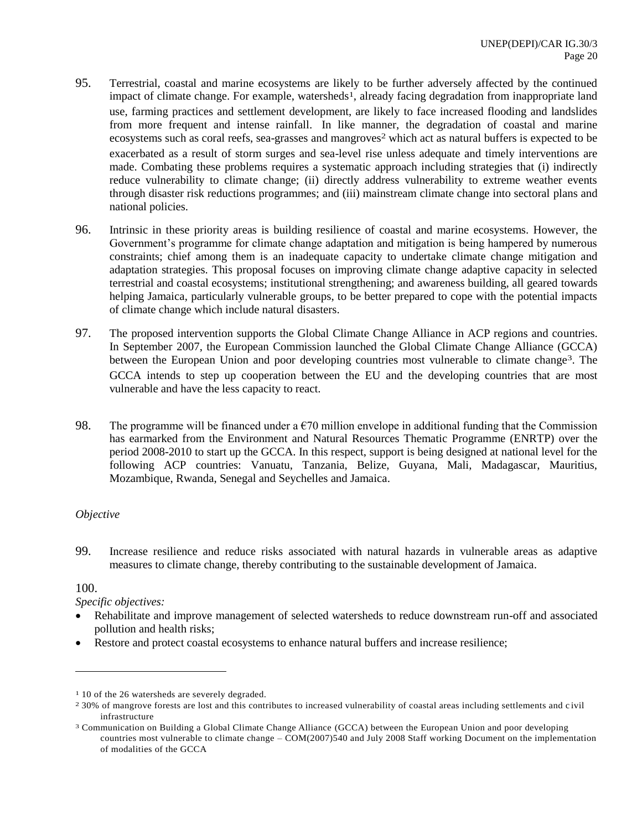- <span id="page-27-0"></span>95. Terrestrial, coastal and marine ecosystems are likely to be further adversely affected by the continued impact of climate change. For example, watersheds<sup>1</sup>, already facing degradation from inappropriate land use, farming practices and settlement development, are likely to face increased flooding and landslides from more frequent and intense rainfall. In like manner, the degradation of coastal and marine ecosystems such as coral reefs, sea-grasses and mangroves<sup>2</sup> which act as natural buffers is expected to be exacerbated as a result of storm surges and sea-level rise unless adequate and timely interventions are made. Combating these problems requires a systematic approach including strategies that (i) indirectly reduce vulnerability to climate change; (ii) directly address vulnerability to extreme weather events through disaster risk reductions programmes; and (iii) mainstream climate change into sectoral plans and national policies.
- 96. Intrinsic in these priority areas is building resilience of coastal and marine ecosystems. However, the Government's programme for climate change adaptation and mitigation is being hampered by numerous constraints; chief among them is an inadequate capacity to undertake climate change mitigation and adaptation strategies. This proposal focuses on improving climate change adaptive capacity in selected terrestrial and coastal ecosystems; institutional strengthening; and awareness building, all geared towards helping Jamaica, particularly vulnerable groups, to be better prepared to cope with the potential impacts of climate change which include natural disasters.
- 97. The proposed intervention supports the Global Climate Change Alliance in ACP regions and countries. In September 2007, the European Commission launched the Global Climate Change Alliance (GCCA) between the European Union and poor developing countries most vulnerable to climate change<sup>3</sup>. The GCCA intends to step up cooperation between the EU and the developing countries that are most vulnerable and have the less capacity to react.
- 98. The programme will be financed under a  $\epsilon$ 70 million envelope in additional funding that the Commission has earmarked from the Environment and Natural Resources Thematic Programme (ENRTP) over the period 2008-2010 to start up the GCCA. In this respect, support is being designed at national level for the following ACP countries: Vanuatu, Tanzania, Belize, Guyana, Mali, Madagascar, Mauritius, Mozambique, Rwanda, Senegal and Seychelles and Jamaica.

# *Objective*

99. Increase resilience and reduce risks associated with natural hazards in vulnerable areas as adaptive measures to climate change, thereby contributing to the sustainable development of Jamaica.

# 100.

<span id="page-27-1"></span> $\overline{\phantom{a}}$ 

# *Specific objectives:*

- Rehabilitate and improve management of selected watersheds to reduce downstream run-off and associated pollution and health risks;
- Restore and protect coastal ecosystems to enhance natural buffers and increase resilience;

<sup>&</sup>lt;sup>1</sup> 10 of the 26 watersheds are severely degraded.

<sup>&</sup>lt;sup>2</sup> 30% of mangrove forests are lost and this contributes to increased vulnerability of coastal areas including settlements and civil infrastructure

<sup>3</sup> Communication on Building a Global Climate Change Alliance (GCCA) between the European Union and poor developing countries most vulnerable to climate change – COM(2007)540 and July 2008 Staff working Document on the implementation of modalities of the GCCA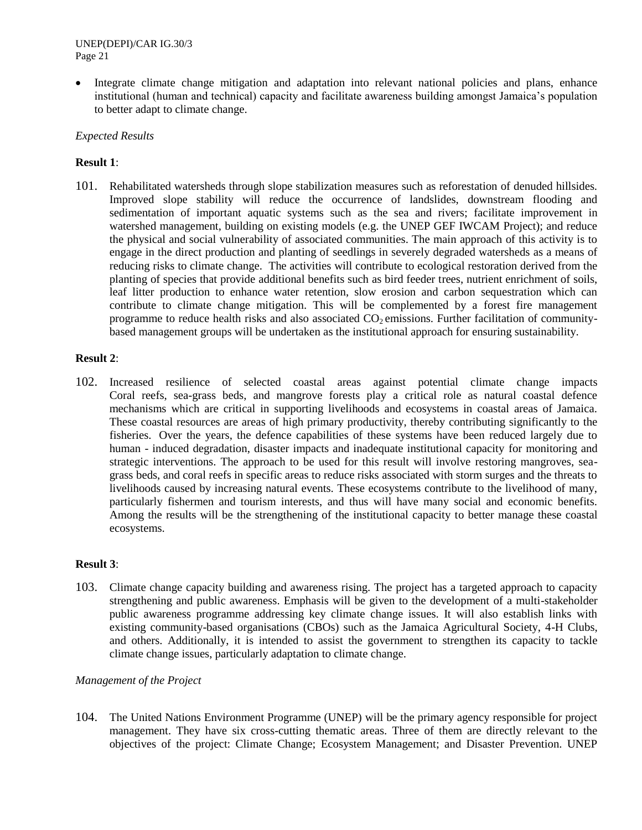Integrate climate change mitigation and adaptation into relevant national policies and plans, enhance institutional (human and technical) capacity and facilitate awareness building amongst Jamaica"s population to better adapt to climate change.

# *Expected Results*

# **Result 1**:

101. Rehabilitated watersheds through slope stabilization measures such as reforestation of denuded hillsides. Improved slope stability will reduce the occurrence of landslides, downstream flooding and sedimentation of important aquatic systems such as the sea and rivers; facilitate improvement in watershed management, building on existing models (e.g. the UNEP GEF IWCAM Project); and reduce the physical and social vulnerability of associated communities. The main approach of this activity is to engage in the direct production and planting of seedlings in severely degraded watersheds as a means of reducing risks to climate change. The activities will contribute to ecological restoration derived from the planting of species that provide additional benefits such as bird feeder trees, nutrient enrichment of soils, leaf litter production to enhance water retention, slow erosion and carbon sequestration which can contribute to climate change mitigation. This will be complemented by a forest fire management programme to reduce health risks and also associated  $CO<sub>2</sub>$  emissions. Further facilitation of communitybased management groups will be undertaken as the institutional approach for ensuring sustainability.

# **Result 2**:

<span id="page-28-0"></span>102. Increased resilience of selected coastal areas against potential climate change impacts Coral reefs, sea-grass beds, and mangrove forests play a critical role as natural coastal defence mechanisms which are critical in supporting livelihoods and ecosystems in coastal areas of Jamaica. These coastal resources are areas of high primary productivity, thereby contributing significantly to the fisheries. Over the years, the defence capabilities of these systems have been reduced largely due to human - induced degradation, disaster impacts and inadequate institutional capacity for monitoring and strategic interventions. The approach to be used for this result will involve restoring mangroves, seagrass beds, and coral reefs in specific areas to reduce risks associated with storm surges and the threats to livelihoods caused by increasing natural events. These ecosystems contribute to the livelihood of many, particularly fishermen and tourism interests, and thus will have many social and economic benefits. Among the results will be the strengthening of the institutional capacity to better manage these coastal ecosystems.

# **Result 3**:

103. Climate change capacity building and awareness rising. The project has a targeted approach to capacity strengthening and public awareness. Emphasis will be given to the development of a multi-stakeholder public awareness programme addressing key climate change issues. It will also establish links with existing community-based organisations (CBOs) such as the Jamaica Agricultural Society, 4-H Clubs, and others. Additionally, it is intended to assist the government to strengthen its capacity to tackle climate change issues, particularly adaptation to climate change.

# *Management of the Project*

104. The United Nations Environment Programme (UNEP) will be the primary agency responsible for project management. They have six cross-cutting thematic areas. Three of them are directly relevant to the objectives of the project: Climate Change; Ecosystem Management; and Disaster Prevention. UNEP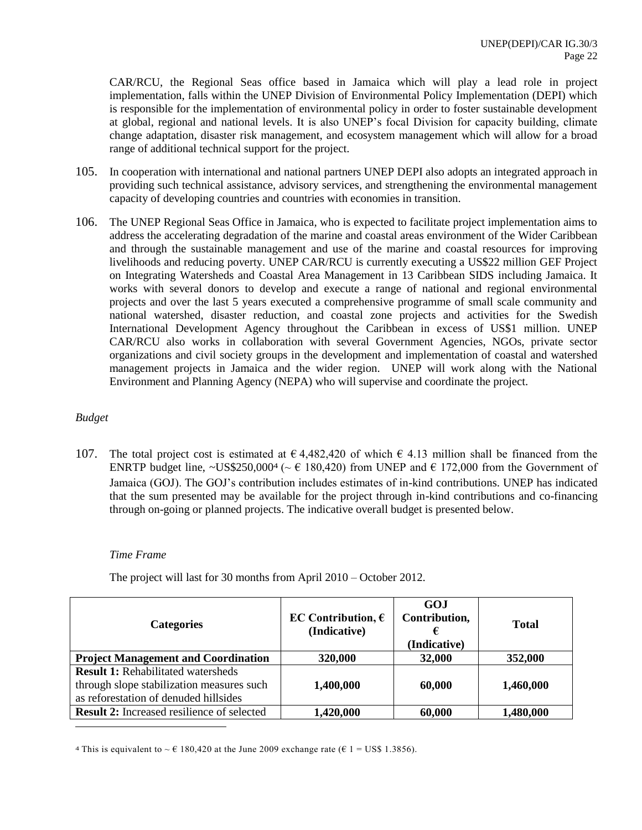CAR/RCU, the Regional Seas office based in Jamaica which will play a lead role in project implementation, falls within the UNEP Division of Environmental Policy Implementation (DEPI) which is responsible for the implementation of environmental policy in order to foster sustainable development at global, regional and national levels. It is also UNEP"s focal Division for capacity building, climate change adaptation, disaster risk management, and ecosystem management which will allow for a broad range of additional technical support for the project.

- 105. In cooperation with international and national partners UNEP DEPI also adopts an integrated approach in providing such technical assistance, advisory services, and strengthening the environmental management capacity of developing countries and countries with economies in transition.
- 106. The UNEP Regional Seas Office in Jamaica, who is expected to facilitate project implementation aims to address the accelerating degradation of the marine and coastal areas environment of the Wider Caribbean and through the sustainable management and use of the marine and coastal resources for improving livelihoods and reducing poverty. UNEP CAR/RCU is currently executing a US\$22 million GEF Project on Integrating Watersheds and Coastal Area Management in 13 Caribbean SIDS including Jamaica. It works with several donors to develop and execute a range of national and regional environmental projects and over the last 5 years executed a comprehensive programme of small scale community and national watershed, disaster reduction, and coastal zone projects and activities for the Swedish International Development Agency throughout the Caribbean in excess of US\$1 million. UNEP CAR/RCU also works in collaboration with several Government Agencies, NGOs, private sector organizations and civil society groups in the development and implementation of coastal and watershed management projects in Jamaica and the wider region. UNEP will work along with the National Environment and Planning Agency (NEPA) who will supervise and coordinate the project.

# <span id="page-29-0"></span>*Budget*

 $\overline{\phantom{a}}$ 

<span id="page-29-2"></span><span id="page-29-1"></span>107. The total project cost is estimated at  $\epsilon$  4,482,420 of which  $\epsilon$  4.13 million shall be financed from the ENRTP budget line, ~US\$250,000<sup>4</sup> (~  $\epsilon$  180,420) from UNEP and  $\epsilon$  172,000 from the Government of Jamaica (GOJ). The GOJ"s contribution includes estimates of in-kind contributions. UNEP has indicated that the sum presented may be available for the project through in-kind contributions and co-financing through on-going or planned projects. The indicative overall budget is presented below.

#### *Time Frame*

The project will last for 30 months from April 2010 – October 2012.

| <b>Categories</b>                                 | EC Contribution, $\epsilon$<br>(Indicative) | GOJ<br>Contribution,<br>€<br>(Indicative) | <b>Total</b> |
|---------------------------------------------------|---------------------------------------------|-------------------------------------------|--------------|
| <b>Project Management and Coordination</b>        | 320,000                                     | 32,000                                    | 352,000      |
| <b>Result 1:</b> Rehabilitated watersheds         |                                             |                                           |              |
| through slope stabilization measures such         | 1,400,000                                   | 60,000                                    | 1,460,000    |
| as reforestation of denuded hillsides             |                                             |                                           |              |
| <b>Result 2:</b> Increased resilience of selected | 1,420,000                                   | 60,000                                    | 1,480,000    |

<sup>4</sup> This is equivalent to  $\sim \text{\textsterling} 180,420$  at the June 2009 exchange rate ( $\text{\textsterling} 1 = \text{USS} 1.3856$ ).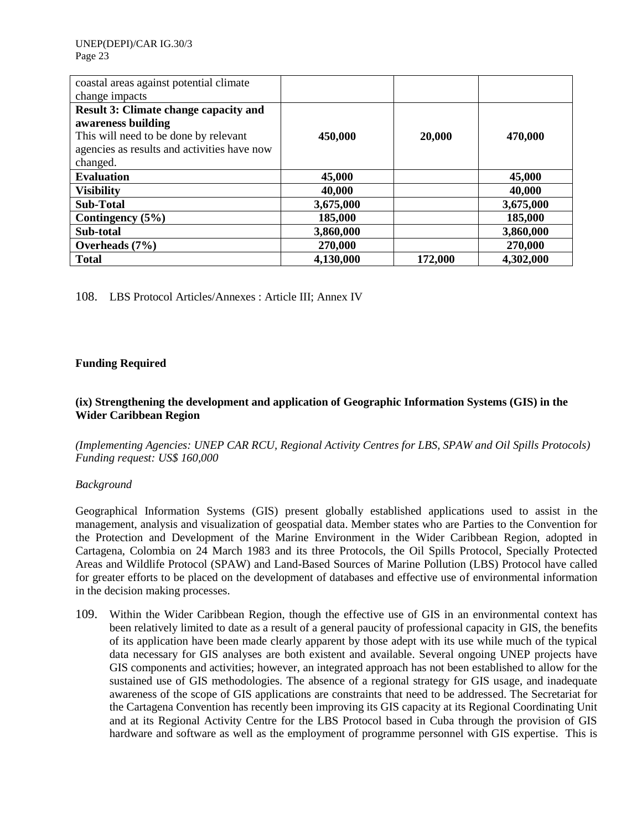| coastal areas against potential climate     |           |         |           |
|---------------------------------------------|-----------|---------|-----------|
| change impacts                              |           |         |           |
| Result 3: Climate change capacity and       |           |         |           |
| awareness building                          |           |         |           |
| This will need to be done by relevant       | 450,000   | 20,000  | 470,000   |
| agencies as results and activities have now |           |         |           |
| changed.                                    |           |         |           |
| <b>Evaluation</b>                           | 45,000    |         | 45,000    |
| <b>Visibility</b>                           | 40,000    |         | 40,000    |
| <b>Sub-Total</b>                            | 3,675,000 |         | 3,675,000 |
| Contingency $(5\%)$                         | 185,000   |         | 185,000   |
| Sub-total                                   | 3,860,000 |         | 3,860,000 |
| Overheads $(7%)$                            | 270,000   |         | 270,000   |
| <b>Total</b>                                | 4,130,000 | 172,000 | 4,302,000 |

108. LBS Protocol Articles/Annexes : Article III; Annex IV

# **Funding Required**

# **(ix) Strengthening the development and application of Geographic Information Systems (GIS) in the Wider Caribbean Region**

*(Implementing Agencies: UNEP CAR RCU, Regional Activity Centres for LBS, SPAW and Oil Spills Protocols) Funding request: US\$ 160,000*

# *Background*

Geographical Information Systems (GIS) present globally established applications used to assist in the management, analysis and visualization of geospatial data. Member states who are Parties to the Convention for the Protection and Development of the Marine Environment in the Wider Caribbean Region, adopted in Cartagena, Colombia on 24 March 1983 and its three Protocols, the Oil Spills Protocol, Specially Protected Areas and Wildlife Protocol (SPAW) and Land-Based Sources of Marine Pollution (LBS) Protocol have called for greater efforts to be placed on the development of databases and effective use of environmental information in the decision making processes.

<span id="page-30-0"></span>109. Within the Wider Caribbean Region, though the effective use of GIS in an environmental context has been relatively limited to date as a result of a general paucity of professional capacity in GIS, the benefits of its application have been made clearly apparent by those adept with its use while much of the typical data necessary for GIS analyses are both existent and available. Several ongoing UNEP projects have GIS components and activities; however, an integrated approach has not been established to allow for the sustained use of GIS methodologies. The absence of a regional strategy for GIS usage, and inadequate awareness of the scope of GIS applications are constraints that need to be addressed. The Secretariat for the Cartagena Convention has recently been improving its GIS capacity at its Regional Coordinating Unit and at its Regional Activity Centre for the LBS Protocol based in Cuba through the provision of GIS hardware and software as well as the employment of programme personnel with GIS expertise. This is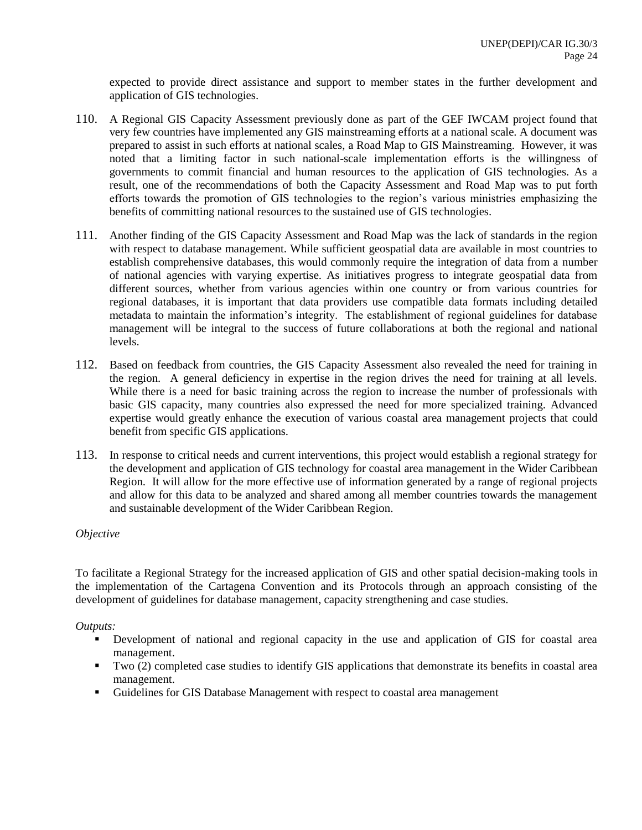expected to provide direct assistance and support to member states in the further development and application of GIS technologies.

- <span id="page-31-1"></span><span id="page-31-0"></span>110. A Regional GIS Capacity Assessment previously done as part of the GEF IWCAM project found that very few countries have implemented any GIS mainstreaming efforts at a national scale. A document was prepared to assist in such efforts at national scales, a Road Map to GIS Mainstreaming. However, it was noted that a limiting factor in such national-scale implementation efforts is the willingness of governments to commit financial and human resources to the application of GIS technologies. As a result, one of the recommendations of both the Capacity Assessment and Road Map was to put forth efforts towards the promotion of GIS technologies to the region"s various ministries emphasizing the benefits of committing national resources to the sustained use of GIS technologies.
- 111. Another finding of the GIS Capacity Assessment and Road Map was the lack of standards in the region with respect to database management. While sufficient geospatial data are available in most countries to establish comprehensive databases, this would commonly require the integration of data from a number of national agencies with varying expertise. As initiatives progress to integrate geospatial data from different sources, whether from various agencies within one country or from various countries for regional databases, it is important that data providers use compatible data formats including detailed metadata to maintain the information"s integrity. The establishment of regional guidelines for database management will be integral to the success of future collaborations at both the regional and national levels.
- 112. Based on feedback from countries, the GIS Capacity Assessment also revealed the need for training in the region. A general deficiency in expertise in the region drives the need for training at all levels. While there is a need for basic training across the region to increase the number of professionals with basic GIS capacity, many countries also expressed the need for more specialized training. Advanced expertise would greatly enhance the execution of various coastal area management projects that could benefit from specific GIS applications.
- 113. In response to critical needs and current interventions, this project would establish a regional strategy for the development and application of GIS technology for coastal area management in the Wider Caribbean Region. It will allow for the more effective use of information generated by a range of regional projects and allow for this data to be analyzed and shared among all member countries towards the management and sustainable development of the Wider Caribbean Region.

# <span id="page-31-2"></span>*Objective*

To facilitate a Regional Strategy for the increased application of GIS and other spatial decision-making tools in the implementation of the Cartagena Convention and its Protocols through an approach consisting of the development of guidelines for database management, capacity strengthening and case studies.

# <span id="page-31-3"></span>*Outputs:*

- Development of national and regional capacity in the use and application of GIS for coastal area management.
- Two (2) completed case studies to identify GIS applications that demonstrate its benefits in coastal area management.
- Guidelines for GIS Database Management with respect to coastal area management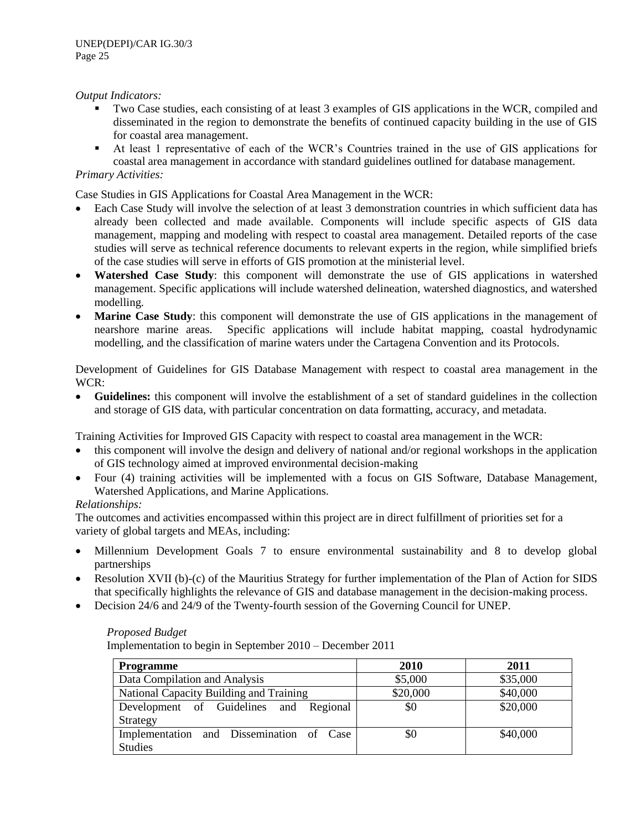#### *Output Indicators:*

- Two Case studies, each consisting of at least 3 examples of GIS applications in the WCR, compiled and disseminated in the region to demonstrate the benefits of continued capacity building in the use of GIS for coastal area management.
- At least 1 representative of each of the WCR"s Countries trained in the use of GIS applications for coastal area management in accordance with standard guidelines outlined for database management.

#### *Primary Activities:*

Case Studies in GIS Applications for Coastal Area Management in the WCR:

- <span id="page-32-0"></span> Each Case Study will involve the selection of at least 3 demonstration countries in which sufficient data has already been collected and made available. Components will include specific aspects of GIS data management, mapping and modeling with respect to coastal area management. Detailed reports of the case studies will serve as technical reference documents to relevant experts in the region, while simplified briefs of the case studies will serve in efforts of GIS promotion at the ministerial level.
- **Watershed Case Study**: this component will demonstrate the use of GIS applications in watershed management. Specific applications will include watershed delineation, watershed diagnostics, and watershed modelling.
- **Marine Case Study**: this component will demonstrate the use of GIS applications in the management of nearshore marine areas. Specific applications will include habitat mapping, coastal hydrodynamic modelling, and the classification of marine waters under the Cartagena Convention and its Protocols.

Development of Guidelines for GIS Database Management with respect to coastal area management in the WCR:

 **Guidelines:** this component will involve the establishment of a set of standard guidelines in the collection and storage of GIS data, with particular concentration on data formatting, accuracy, and metadata.

Training Activities for Improved GIS Capacity with respect to coastal area management in the WCR:

- this component will involve the design and delivery of national and/or regional workshops in the application of GIS technology aimed at improved environmental decision-making
- Four (4) training activities will be implemented with a focus on GIS Software, Database Management, Watershed Applications, and Marine Applications.

# *Relationships:*

The outcomes and activities encompassed within this project are in direct fulfillment of priorities set for a variety of global targets and MEAs, including:

- Millennium Development Goals 7 to ensure environmental sustainability and 8 to develop global partnerships
- Resolution XVII (b)-(c) of the Mauritius Strategy for further implementation of the Plan of Action for SIDS that specifically highlights the relevance of GIS and database management in the decision-making process.
- Decision 24/6 and 24/9 of the Twenty-fourth session of the Governing Council for UNEP.

# *Proposed Budget*

Implementation to begin in September 2010 – December 2011

| <b>Programme</b>                         | 2010     | 2011     |
|------------------------------------------|----------|----------|
| Data Compilation and Analysis            | \$5,000  | \$35,000 |
| National Capacity Building and Training  | \$20,000 | \$40,000 |
| Development of Guidelines and Regional   | \$20,000 |          |
| Strategy                                 |          |          |
| Implementation and Dissemination of Case | \$0      | \$40,000 |
| <b>Studies</b>                           |          |          |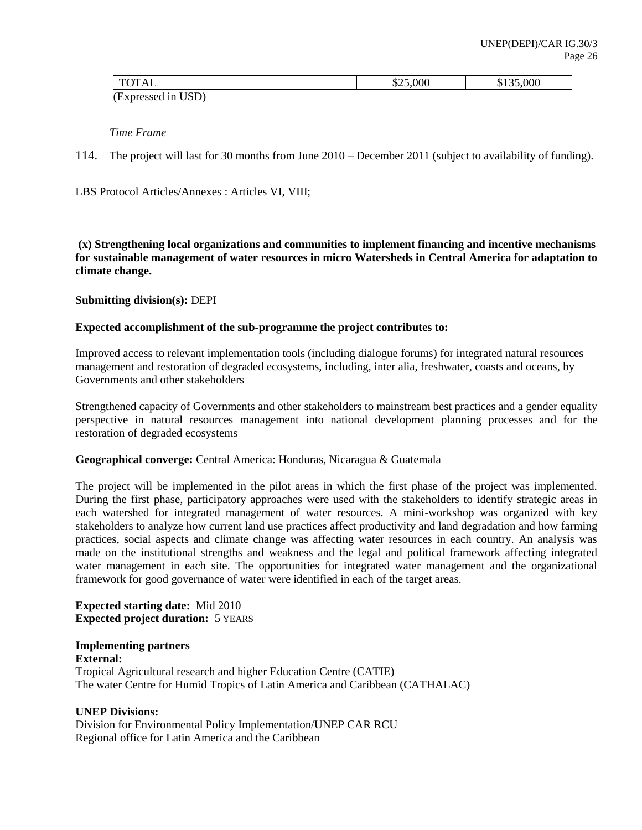| <b>TOTAL</b>       | \$25,000 | 35,000 |
|--------------------|----------|--------|
| (Expressed in USD) |          |        |

*Time Frame*

114. The project will last for 30 months from June 2010 – December 2011 (subject to availability of funding).

LBS Protocol Articles/Annexes : Articles VI, VIII;

**(x) Strengthening local organizations and communities to implement financing and incentive mechanisms for sustainable management of water resources in micro Watersheds in Central America for adaptation to climate change.**

**Submitting division(s):** DEPI

#### **Expected accomplishment of the sub-programme the project contributes to:**

Improved access to relevant implementation tools (including dialogue forums) for integrated natural resources management and restoration of degraded ecosystems, including, inter alia, freshwater, coasts and oceans, by Governments and other stakeholders

Strengthened capacity of Governments and other stakeholders to mainstream best practices and a gender equality perspective in natural resources management into national development planning processes and for the restoration of degraded ecosystems

#### **Geographical converge:** Central America: Honduras, Nicaragua & Guatemala

The project will be implemented in the pilot areas in which the first phase of the project was implemented. During the first phase, participatory approaches were used with the stakeholders to identify strategic areas in each watershed for integrated management of water resources. A mini-workshop was organized with key stakeholders to analyze how current land use practices affect productivity and land degradation and how farming practices, social aspects and climate change was affecting water resources in each country. An analysis was made on the institutional strengths and weakness and the legal and political framework affecting integrated water management in each site. The opportunities for integrated water management and the organizational framework for good governance of water were identified in each of the target areas.

#### **Expected starting date:** Mid 2010 **Expected project duration:** 5 YEARS

# **Implementing partners**

**External:**  Tropical Agricultural research and higher Education Centre (CATIE)

The water Centre for Humid Tropics of Latin America and Caribbean (CATHALAC)

# **UNEP Divisions:**

Division for Environmental Policy Implementation/UNEP CAR RCU Regional office for Latin America and the Caribbean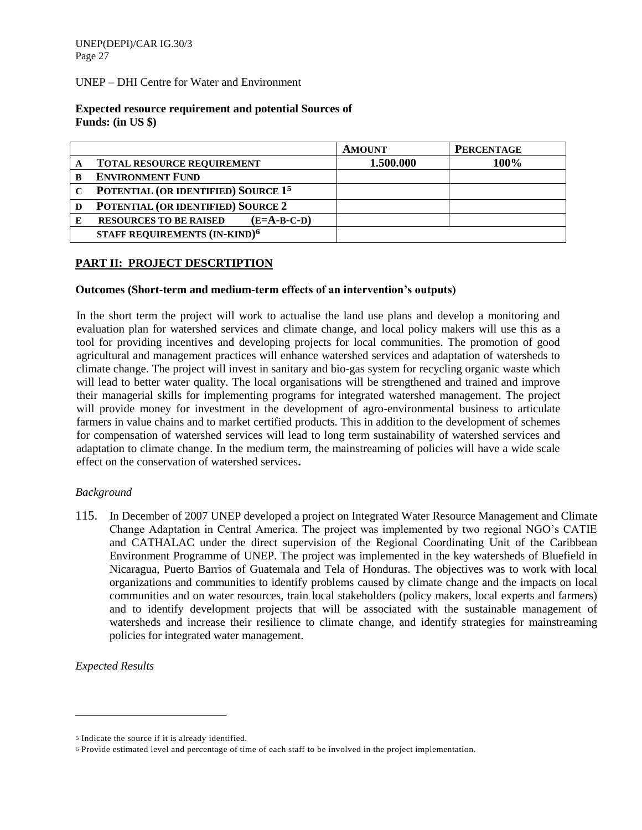#### UNEP – DHI Centre for Water and Environment

#### **Expected resource requirement and potential Sources of Funds: (in US \$)**

|                                                | <b>AMOUNT</b> | <b>PERCENTAGE</b> |
|------------------------------------------------|---------------|-------------------|
| <b>TOTAL RESOURCE REQUIREMENT</b>              | 1.500.000     | 100%              |
| <b>ENVIRONMENT FUND</b>                        |               |                   |
| POTENTIAL (OR IDENTIFIED) SOURCE 15            |               |                   |
| POTENTIAL (OR IDENTIFIED) SOURCE 2             |               |                   |
| $(E=A-B-C-D)$<br><b>RESOURCES TO BE RAISED</b> |               |                   |
| STAFF REQUIREMENTS (IN-KIND) <sup>6</sup>      |               |                   |

# **PART II: PROJECT DESCRTIPTION**

# **Outcomes (Short-term and medium-term effects of an intervention's outputs)**

In the short term the project will work to actualise the land use plans and develop a monitoring and evaluation plan for watershed services and climate change, and local policy makers will use this as a tool for providing incentives and developing projects for local communities. The promotion of good agricultural and management practices will enhance watershed services and adaptation of watersheds to climate change. The project will invest in sanitary and bio-gas system for recycling organic waste which will lead to better water quality. The local organisations will be strengthened and trained and improve their managerial skills for implementing programs for integrated watershed management. The project will provide money for investment in the development of agro-environmental business to articulate farmers in value chains and to market certified products. This in addition to the development of schemes for compensation of watershed services will lead to long term sustainability of watershed services and adaptation to climate change. In the medium term, the mainstreaming of policies will have a wide scale effect on the conservation of watershed services**.**

# *Background*

115. In December of 2007 UNEP developed a project on Integrated Water Resource Management and Climate Change Adaptation in Central America. The project was implemented by two regional NGO"s CATIE and CATHALAC under the direct supervision of the Regional Coordinating Unit of the Caribbean Environment Programme of UNEP. The project was implemented in the key watersheds of Bluefield in Nicaragua, Puerto Barrios of Guatemala and Tela of Honduras. The objectives was to work with local organizations and communities to identify problems caused by climate change and the impacts on local communities and on water resources, train local stakeholders (policy makers, local experts and farmers) and to identify development projects that will be associated with the sustainable management of watersheds and increase their resilience to climate change, and identify strategies for mainstreaming policies for integrated water management.

*Expected Results*

 $\overline{\phantom{a}}$ 

<sup>5</sup> Indicate the source if it is already identified.

<sup>6</sup> Provide estimated level and percentage of time of each staff to be involved in the project implementation.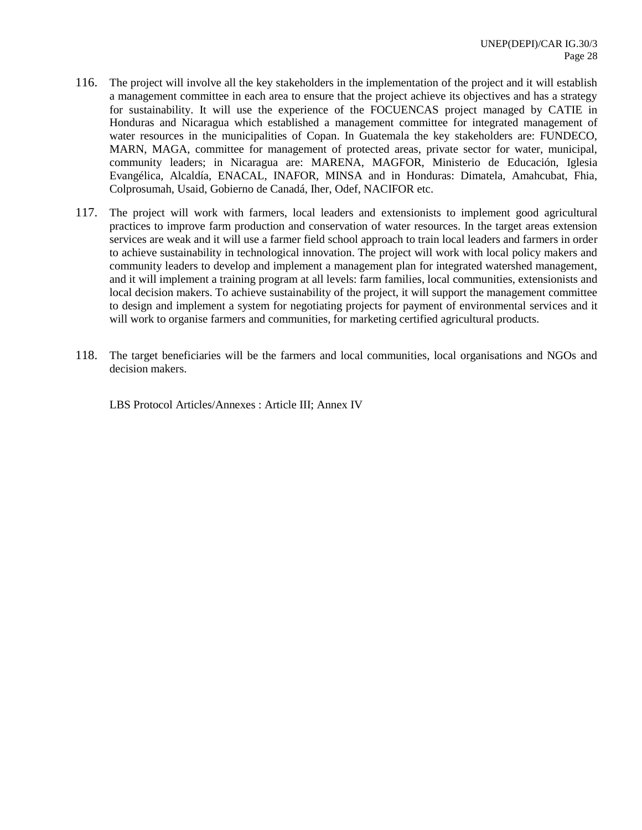- <span id="page-35-1"></span><span id="page-35-0"></span>116. The project will involve all the key stakeholders in the implementation of the project and it will establish a management committee in each area to ensure that the project achieve its objectives and has a strategy for sustainability. It will use the experience of the FOCUENCAS project managed by CATIE in Honduras and Nicaragua which established a management committee for integrated management of water resources in the municipalities of Copan. In Guatemala the key stakeholders are: FUNDECO, MARN, MAGA, committee for management of protected areas, private sector for water, municipal, community leaders; in Nicaragua are: MARENA, MAGFOR, Ministerio de Educación, Iglesia Evangélica, Alcaldía, ENACAL, INAFOR, MINSA and in Honduras: Dimatela, Amahcubat, Fhia, Colprosumah, Usaid, Gobierno de Canadá, Iher, Odef, NACIFOR etc.
- 117. The project will work with farmers, local leaders and extensionists to implement good agricultural practices to improve farm production and conservation of water resources. In the target areas extension services are weak and it will use a farmer field school approach to train local leaders and farmers in order to achieve sustainability in technological innovation. The project will work with local policy makers and community leaders to develop and implement a management plan for integrated watershed management, and it will implement a training program at all levels: farm families, local communities, extensionists and local decision makers. To achieve sustainability of the project, it will support the management committee to design and implement a system for negotiating projects for payment of environmental services and it will work to organise farmers and communities, for marketing certified agricultural products.
- 118. The target beneficiaries will be the farmers and local communities, local organisations and NGOs and decision makers.

LBS Protocol Articles/Annexes : Article III; Annex IV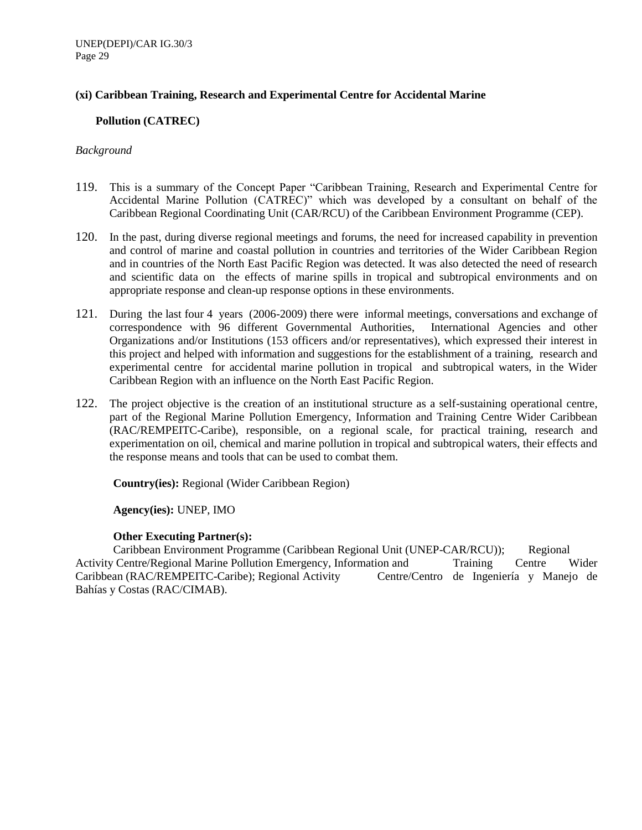# **(xi) Caribbean Training, Research and Experimental Centre for Accidental Marine**

#### **Pollution (CATREC)**

## *Background*

- 119. This is a summary of the Concept Paper "Caribbean Training, Research and Experimental Centre for Accidental Marine Pollution (CATREC)" which was developed by a consultant on behalf of the Caribbean Regional Coordinating Unit (CAR/RCU) of the Caribbean Environment Programme (CEP).
- 120. In the past, during diverse regional meetings and forums, the need for increased capability in prevention and control of marine and coastal pollution in countries and territories of the Wider Caribbean Region and in countries of the North East Pacific Region was detected. It was also detected the need of research and scientific data on the effects of marine spills in tropical and subtropical environments and on appropriate response and clean-up response options in these environments.
- 121. During the last four 4 years (2006-2009) there were informal meetings, conversations and exchange of correspondence with 96 different Governmental Authorities, International Agencies and other Organizations and/or Institutions (153 officers and/or representatives), which expressed their interest in this project and helped with information and suggestions for the establishment of a training, research and experimental centre for accidental marine pollution in tropical and subtropical waters, in the Wider Caribbean Region with an influence on the North East Pacific Region.
- 122. The project objective is the creation of an institutional structure as a self-sustaining operational centre, part of the Regional Marine Pollution Emergency, Information and Training Centre Wider Caribbean (RAC/REMPEITC-Caribe), responsible, on a regional scale, for practical training, research and experimentation on oil, chemical and marine pollution in tropical and subtropical waters, their effects and the response means and tools that can be used to combat them.

**Country(ies):** Regional (Wider Caribbean Region)

**Agency(ies):** UNEP, IMO

# **Other Executing Partner(s):**

Caribbean Environment Programme (Caribbean Regional Unit (UNEP-CAR/RCU)); Regional Activity Centre/Regional Marine Pollution Emergency, Information and Training Centre Wider Caribbean (RAC/REMPEITC-Caribe); Regional Activity Centre/Centro de Ingeniería y Manejo de Bahías y Costas (RAC/CIMAB).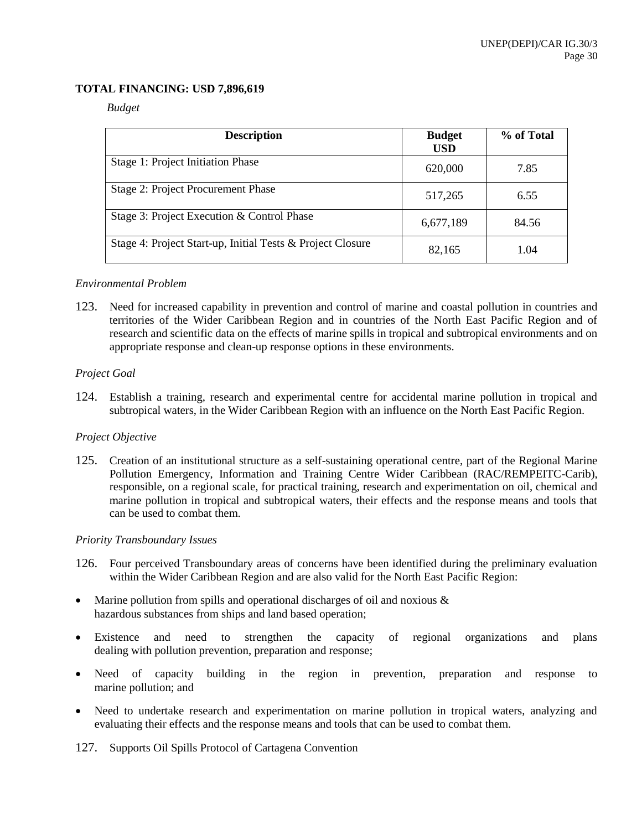#### <span id="page-37-0"></span>**TOTAL FINANCING: USD 7,896,619**

#### *Budget*

<span id="page-37-2"></span><span id="page-37-1"></span>

| <b>Description</b>                                         | <b>Budget</b><br><b>USD</b> | % of Total |
|------------------------------------------------------------|-----------------------------|------------|
| Stage 1: Project Initiation Phase                          | 620,000                     | 7.85       |
| Stage 2: Project Procurement Phase                         | 517,265                     | 6.55       |
| Stage 3: Project Execution & Control Phase                 | 6,677,189                   | 84.56      |
| Stage 4: Project Start-up, Initial Tests & Project Closure | 82,165                      | 1.04       |

#### *Environmental Problem*

123. Need for increased capability in prevention and control of marine and coastal pollution in countries and territories of the Wider Caribbean Region and in countries of the North East Pacific Region and of research and scientific data on the effects of marine spills in tropical and subtropical environments and on appropriate response and clean-up response options in these environments.

#### *Project Goal*

124. Establish a training, research and experimental centre for accidental marine pollution in tropical and subtropical waters, in the Wider Caribbean Region with an influence on the North East Pacific Region.

#### *Project Objective*

125. Creation of an institutional structure as a self-sustaining operational centre, part of the Regional Marine Pollution Emergency, Information and Training Centre Wider Caribbean (RAC/REMPEITC-Carib), responsible, on a regional scale, for practical training, research and experimentation on oil, chemical and marine pollution in tropical and subtropical waters, their effects and the response means and tools that can be used to combat them.

#### *Priority Transboundary Issues*

- 126. Four perceived Transboundary areas of concerns have been identified during the preliminary evaluation within the Wider Caribbean Region and are also valid for the North East Pacific Region:
- Marine pollution from spills and operational discharges of oil and noxious  $\&$ hazardous substances from ships and land based operation;
- Existence and need to strengthen the capacity of regional organizations and plans dealing with pollution prevention, preparation and response;
- Need of capacity building in the region in prevention, preparation and response to marine pollution; and
- Need to undertake research and experimentation on marine pollution in tropical waters, analyzing and evaluating their effects and the response means and tools that can be used to combat them.

127. Supports Oil Spills Protocol of Cartagena Convention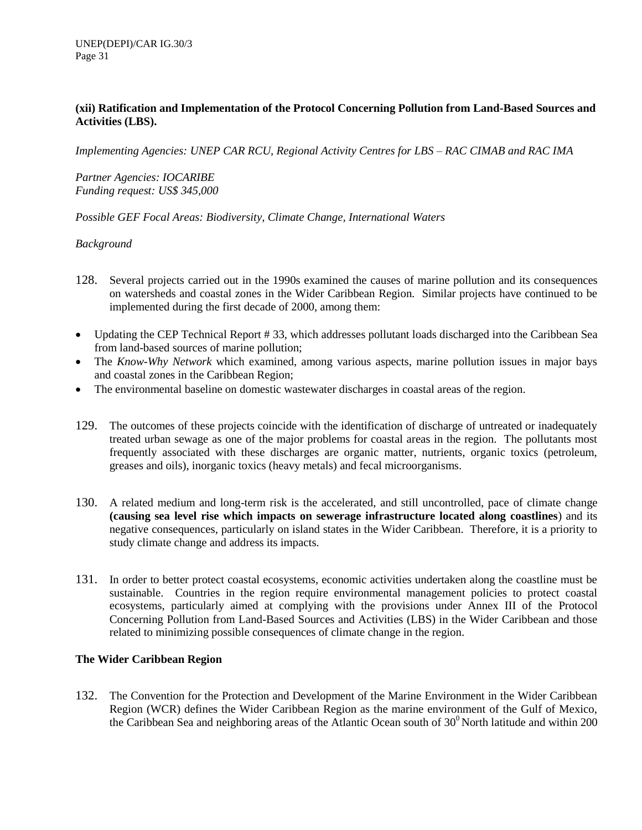# **(xii) Ratification and Implementation of the Protocol Concerning Pollution from Land-Based Sources and Activities (LBS).**

*Implementing Agencies: UNEP CAR RCU, Regional Activity Centres for LBS – RAC CIMAB and RAC IMA*

*Partner Agencies: IOCARIBE Funding request: US\$ 345,000*

*Possible GEF Focal Areas: Biodiversity, Climate Change, International Waters*

#### *Background*

- 128. Several projects carried out in the 1990s examined the causes of marine pollution and its consequences on watersheds and coastal zones in the Wider Caribbean Region. Similar projects have continued to be implemented during the first decade of 2000, among them:
- Updating the CEP Technical Report # 33, which addresses pollutant loads discharged into the Caribbean Sea from land-based sources of marine pollution;
- The *Know-Why Network* which examined, among various aspects, marine pollution issues in major bays and coastal zones in the Caribbean Region;
- The environmental baseline on domestic wastewater discharges in coastal areas of the region.
- 129. The outcomes of these projects coincide with the identification of discharge of untreated or inadequately treated urban sewage as one of the major problems for coastal areas in the region. The pollutants most frequently associated with these discharges are organic matter, nutrients, organic toxics (petroleum, greases and oils), inorganic toxics (heavy metals) and fecal microorganisms.
- <span id="page-38-0"></span>130. A related medium and long-term risk is the accelerated, and still uncontrolled, pace of climate change **(causing sea level rise which impacts on sewerage infrastructure located along coastlines**) and its negative consequences, particularly on island states in the Wider Caribbean. Therefore, it is a priority to study climate change and address its impacts.
- 131. In order to better protect coastal ecosystems, economic activities undertaken along the coastline must be sustainable. Countries in the region require environmental management policies to protect coastal ecosystems, particularly aimed at complying with the provisions under Annex III of the Protocol Concerning Pollution from Land-Based Sources and Activities (LBS) in the Wider Caribbean and those related to minimizing possible consequences of climate change in the region.

#### **The Wider Caribbean Region**

132. The Convention for the Protection and Development of the Marine Environment in the Wider Caribbean Region (WCR) defines the Wider Caribbean Region as the marine environment of the Gulf of Mexico, the Caribbean Sea and neighboring areas of the Atlantic Ocean south of  $30^0$  North latitude and within 200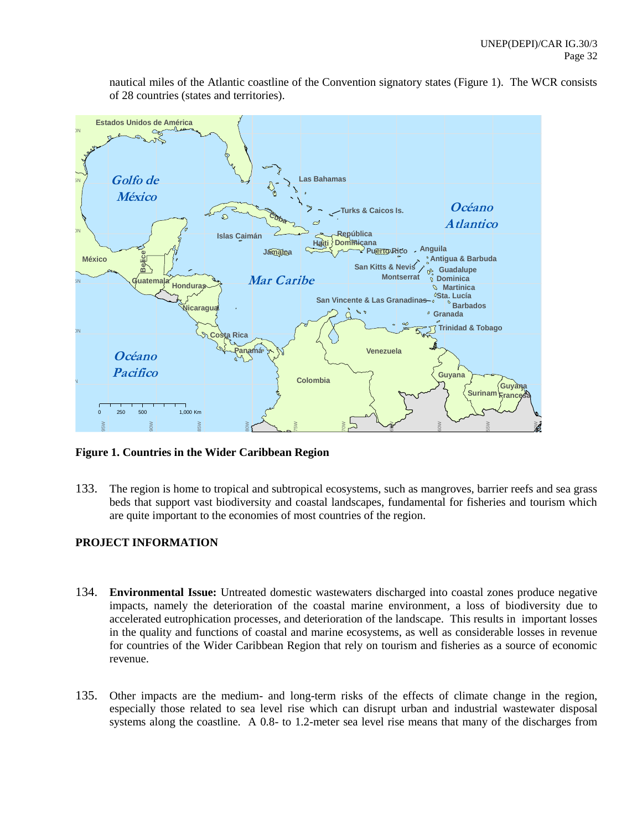nautical miles of the Atlantic coastline of the Convention signatory states (Figure 1). The WCR consists of 28 countries (states and territories).



**Figure 1. Countries in the Wider Caribbean Region**

133. The region is home to tropical and subtropical ecosystems, such as mangroves, barrier reefs and sea grass beds that support vast biodiversity and coastal landscapes, fundamental for fisheries and tourism which are quite important to the economies of most countries of the region.

# **PROJECT INFORMATION**

- 134. **Environmental Issue:** Untreated domestic wastewaters discharged into coastal zones produce negative impacts, namely the deterioration of the coastal marine environment, a loss of biodiversity due to accelerated eutrophication processes, and deterioration of the landscape. This results in important losses in the quality and functions of coastal and marine ecosystems, as well as considerable losses in revenue for countries of the Wider Caribbean Region that rely on tourism and fisheries as a source of economic revenue.
- 135. Other impacts are the medium- and long-term risks of the effects of climate change in the region, especially those related to sea level rise which can disrupt urban and industrial wastewater disposal systems along the coastline. A 0.8- to 1.2-meter sea level rise means that many of the discharges from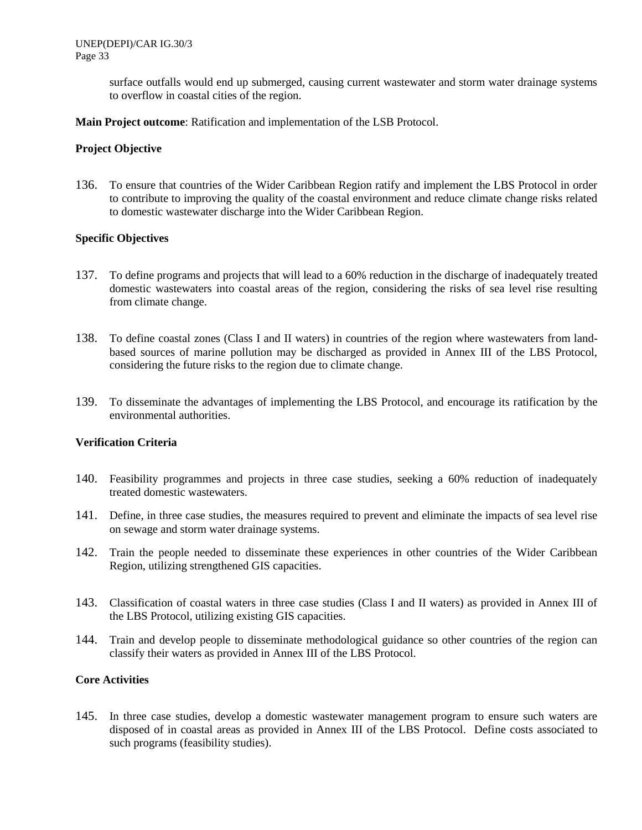surface outfalls would end up submerged, causing current wastewater and storm water drainage systems to overflow in coastal cities of the region.

**Main Project outcome**: Ratification and implementation of the LSB Protocol.

#### **Project Objective**

136. To ensure that countries of the Wider Caribbean Region ratify and implement the LBS Protocol in order to contribute to improving the quality of the coastal environment and reduce climate change risks related to domestic wastewater discharge into the Wider Caribbean Region.

# **Specific Objectives**

- 137. To define programs and projects that will lead to a 60% reduction in the discharge of inadequately treated domestic wastewaters into coastal areas of the region, considering the risks of sea level rise resulting from climate change.
- 138. To define coastal zones (Class I and II waters) in countries of the region where wastewaters from landbased sources of marine pollution may be discharged as provided in Annex III of the LBS Protocol, considering the future risks to the region due to climate change.
- 139. To disseminate the advantages of implementing the LBS Protocol, and encourage its ratification by the environmental authorities.

# **Verification Criteria**

- 140. Feasibility programmes and projects in three case studies, seeking a 60% reduction of inadequately treated domestic wastewaters.
- 141. Define, in three case studies, the measures required to prevent and eliminate the impacts of sea level rise on sewage and storm water drainage systems.
- 142. Train the people needed to disseminate these experiences in other countries of the Wider Caribbean Region, utilizing strengthened GIS capacities.
- 143. Classification of coastal waters in three case studies (Class I and II waters) as provided in Annex III of the LBS Protocol, utilizing existing GIS capacities.
- 144. Train and develop people to disseminate methodological guidance so other countries of the region can classify their waters as provided in Annex III of the LBS Protocol.

# **Core Activities**

145. In three case studies, develop a domestic wastewater management program to ensure such waters are disposed of in coastal areas as provided in Annex III of the LBS Protocol. Define costs associated to such programs (feasibility studies).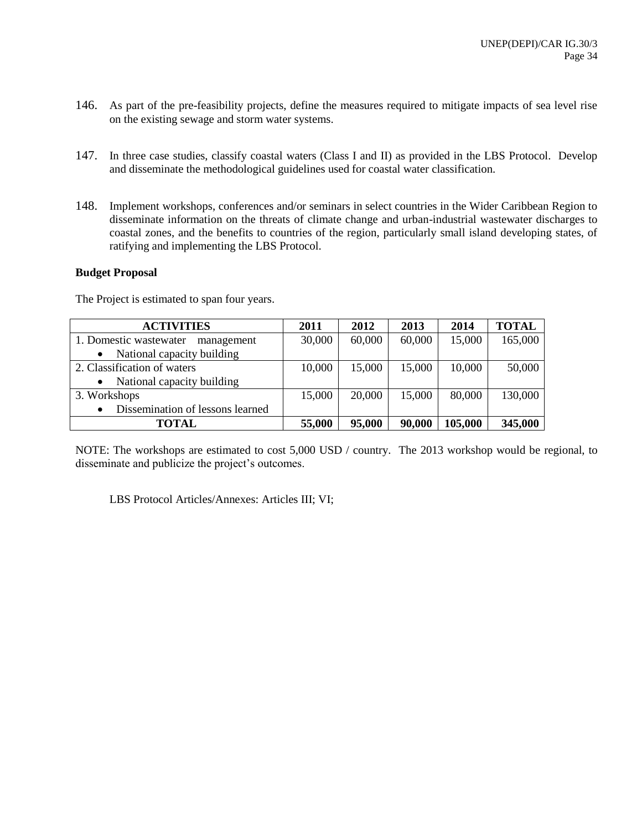- <span id="page-41-1"></span><span id="page-41-0"></span>146. As part of the pre-feasibility projects, define the measures required to mitigate impacts of sea level rise on the existing sewage and storm water systems.
- 147. In three case studies, classify coastal waters (Class I and II) as provided in the LBS Protocol. Develop and disseminate the methodological guidelines used for coastal water classification.
- 148. Implement workshops, conferences and/or seminars in select countries in the Wider Caribbean Region to disseminate information on the threats of climate change and urban-industrial wastewater discharges to coastal zones, and the benefits to countries of the region, particularly small island developing states, of ratifying and implementing the LBS Protocol.

#### **Budget Proposal**

The Project is estimated to span four years.

| <b>ACTIVITIES</b>                    | 2011   | 2012   | 2013   | 2014    | <b>TOTAL</b> |
|--------------------------------------|--------|--------|--------|---------|--------------|
| 1. Domestic wastewater<br>management | 30,000 | 60,000 | 60,000 | 15,000  | 165,000      |
| National capacity building           |        |        |        |         |              |
| 2. Classification of waters          | 10,000 | 15,000 | 15,000 | 10,000  | 50,000       |
| National capacity building           |        |        |        |         |              |
| 3. Workshops                         | 15,000 | 20,000 | 15,000 | 80,000  | 130,000      |
| Dissemination of lessons learned     |        |        |        |         |              |
| TOTAL                                | 55,000 | 95,000 | 90,000 | 105,000 | 345,000      |

NOTE: The workshops are estimated to cost 5,000 USD / country. The 2013 workshop would be regional, to disseminate and publicize the project's outcomes.

LBS Protocol Articles/Annexes: Articles III; VI;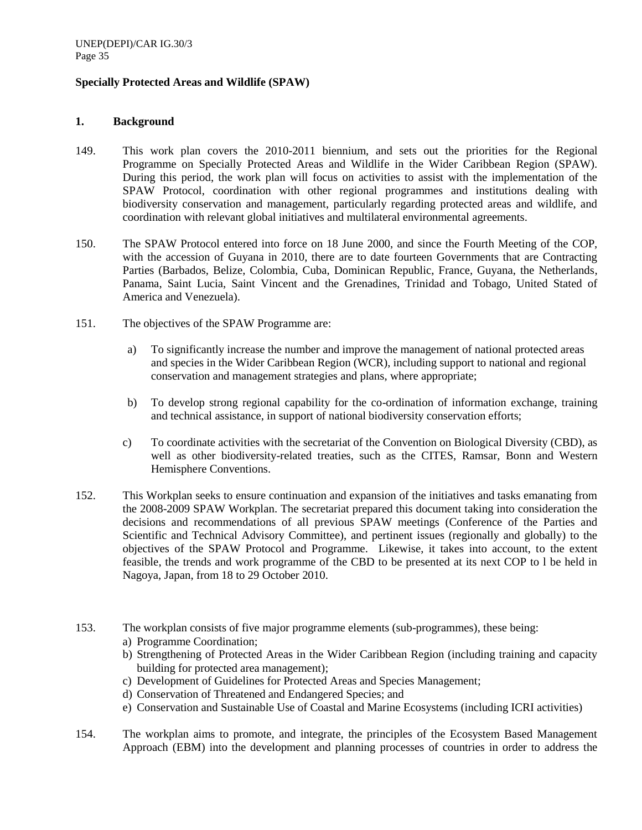#### **Specially Protected Areas and Wildlife (SPAW)**

# **1. Background**

- 149. This work plan covers the 2010-2011 biennium, and sets out the priorities for the Regional Programme on Specially Protected Areas and Wildlife in the Wider Caribbean Region (SPAW). During this period, the work plan will focus on activities to assist with the implementation of the SPAW Protocol, coordination with other regional programmes and institutions dealing with biodiversity conservation and management, particularly regarding protected areas and wildlife, and coordination with relevant global initiatives and multilateral environmental agreements.
- 150. The SPAW Protocol entered into force on 18 June 2000, and since the Fourth Meeting of the COP, with the accession of Guyana in 2010, there are to date fourteen Governments that are Contracting Parties (Barbados, Belize, Colombia, Cuba, Dominican Republic, France, Guyana, the Netherlands, Panama, Saint Lucia, Saint Vincent and the Grenadines, Trinidad and Tobago, United Stated of America and Venezuela).
- <span id="page-42-0"></span>151. The objectives of the SPAW Programme are:
	- a) To significantly increase the number and improve the management of national protected areas and species in the Wider Caribbean Region (WCR), including support to national and regional conservation and management strategies and plans, where appropriate;
	- b) To develop strong regional capability for the co-ordination of information exchange, training and technical assistance, in support of national biodiversity conservation efforts;
	- c) To coordinate activities with the secretariat of the Convention on Biological Diversity (CBD), as well as other biodiversity-related treaties, such as the CITES, Ramsar, Bonn and Western Hemisphere Conventions.
- 152. This Workplan seeks to ensure continuation and expansion of the initiatives and tasks emanating from the 2008-2009 SPAW Workplan. The secretariat prepared this document taking into consideration the decisions and recommendations of all previous SPAW meetings (Conference of the Parties and Scientific and Technical Advisory Committee), and pertinent issues (regionally and globally) to the objectives of the SPAW Protocol and Programme. Likewise, it takes into account, to the extent feasible, the trends and work programme of the CBD to be presented at its next COP to l be held in Nagoya, Japan, from 18 to 29 October 2010.
- 153. The workplan consists of five major programme elements (sub-programmes), these being:
	- a) Programme Coordination;
	- b) Strengthening of Protected Areas in the Wider Caribbean Region (including training and capacity building for protected area management);
	- c) Development of Guidelines for Protected Areas and Species Management;
	- d) Conservation of Threatened and Endangered Species; and
	- e) Conservation and Sustainable Use of Coastal and Marine Ecosystems (including ICRI activities)
- 154. The workplan aims to promote, and integrate, the principles of the Ecosystem Based Management Approach (EBM) into the development and planning processes of countries in order to address the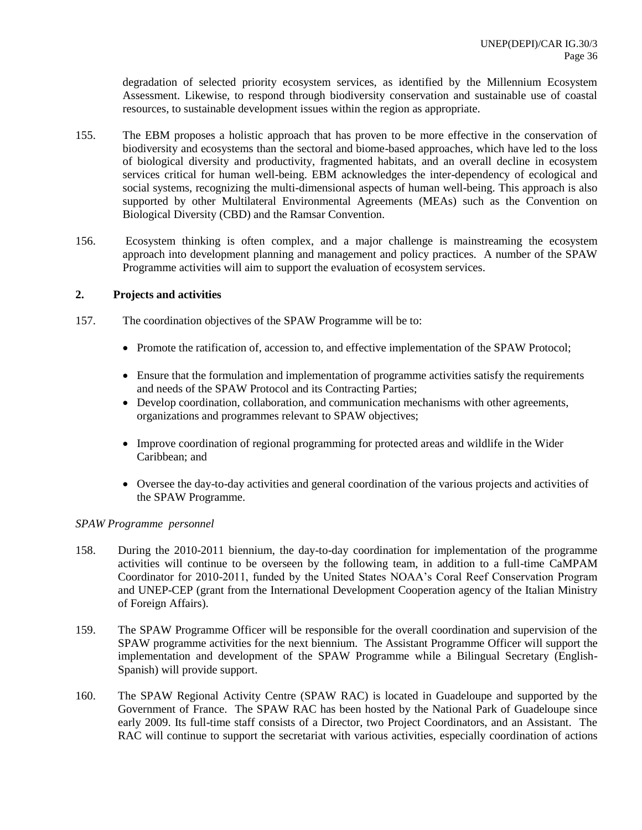degradation of selected priority ecosystem services, as identified by the Millennium Ecosystem Assessment. Likewise, to respond through biodiversity conservation and sustainable use of coastal resources, to sustainable development issues within the region as appropriate.

- 155. The EBM proposes a holistic approach that has proven to be more effective in the conservation of biodiversity and ecosystems than the sectoral and biome-based approaches, which have led to the loss of biological diversity and productivity, fragmented habitats, and an overall decline in ecosystem services critical for human well-being. EBM acknowledges the inter-dependency of ecological and social systems, recognizing the multi-dimensional aspects of human well-being. This approach is also supported by other Multilateral Environmental Agreements (MEAs) such as the Convention on Biological Diversity (CBD) and the Ramsar Convention.
- 156. Ecosystem thinking is often complex, and a major challenge is mainstreaming the ecosystem approach into development planning and management and policy practices. A number of the SPAW Programme activities will aim to support the evaluation of ecosystem services.

#### **2. Projects and activities**

- 157. The coordination objectives of the SPAW Programme will be to:
	- Promote the ratification of, accession to, and effective implementation of the SPAW Protocol;
	- Ensure that the formulation and implementation of programme activities satisfy the requirements and needs of the SPAW Protocol and its Contracting Parties;
	- Develop coordination, collaboration, and communication mechanisms with other agreements, organizations and programmes relevant to SPAW objectives;
	- Improve coordination of regional programming for protected areas and wildlife in the Wider Caribbean; and
	- Oversee the day-to-day activities and general coordination of the various projects and activities of the SPAW Programme.

# *SPAW Programme personnel*

- 158. During the 2010-2011 biennium, the day-to-day coordination for implementation of the programme activities will continue to be overseen by the following team, in addition to a full-time CaMPAM Coordinator for 2010-2011, funded by the United States NOAA"s Coral Reef Conservation Program and UNEP-CEP (grant from the International Development Cooperation agency of the Italian Ministry of Foreign Affairs).
- 159. The SPAW Programme Officer will be responsible for the overall coordination and supervision of the SPAW programme activities for the next biennium. The Assistant Programme Officer will support the implementation and development of the SPAW Programme while a Bilingual Secretary (English-Spanish) will provide support.
- 160. The SPAW Regional Activity Centre (SPAW RAC) is located in Guadeloupe and supported by the Government of France. The SPAW RAC has been hosted by the National Park of Guadeloupe since early 2009. Its full-time staff consists of a Director, two Project Coordinators, and an Assistant. The RAC will continue to support the secretariat with various activities, especially coordination of actions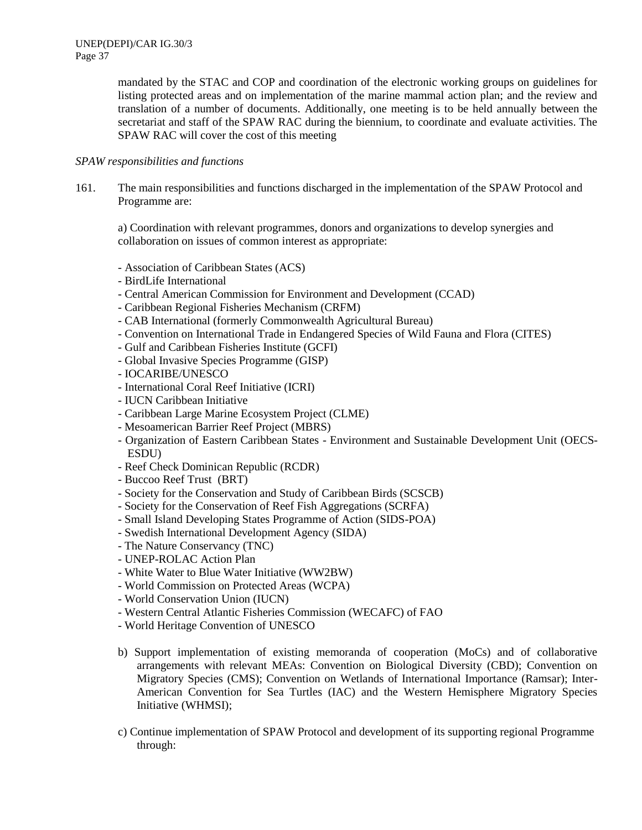mandated by the STAC and COP and coordination of the electronic working groups on guidelines for listing protected areas and on implementation of the marine mammal action plan; and the review and translation of a number of documents. Additionally, one meeting is to be held annually between the secretariat and staff of the SPAW RAC during the biennium, to coordinate and evaluate activities. The SPAW RAC will cover the cost of this meeting

# *SPAW responsibilities and functions*

161. The main responsibilities and functions discharged in the implementation of the SPAW Protocol and Programme are:

a) Coordination with relevant programmes, donors and organizations to develop synergies and collaboration on issues of common interest as appropriate:

- Association of Caribbean States (ACS)
- BirdLife International
- Central American Commission for Environment and Development (CCAD)
- Caribbean Regional Fisheries Mechanism (CRFM)
- CAB International (formerly Commonwealth Agricultural Bureau)
- Convention on International Trade in Endangered Species of Wild Fauna and Flora (CITES)
- Gulf and Caribbean Fisheries Institute (GCFI)
- Global Invasive Species Programme (GISP)
- IOCARIBE/UNESCO
- International Coral Reef Initiative (ICRI)
- IUCN Caribbean Initiative
- Caribbean Large Marine Ecosystem Project (CLME)
- Mesoamerican Barrier Reef Project (MBRS)
- Organization of Eastern Caribbean States Environment and Sustainable Development Unit (OECS-ESDU)
- Reef Check Dominican Republic (RCDR)
- Buccoo Reef Trust (BRT)
- Society for the Conservation and Study of Caribbean Birds (SCSCB)
- Society for the Conservation of Reef Fish Aggregations (SCRFA)
- Small Island Developing States Programme of Action (SIDS-POA)
- Swedish International Development Agency (SIDA)
- The Nature Conservancy (TNC)
- UNEP-ROLAC Action Plan
- White Water to Blue Water Initiative (WW2BW)
- World Commission on Protected Areas (WCPA)
- World Conservation Union (IUCN)
- Western Central Atlantic Fisheries Commission (WECAFC) of FAO
- World Heritage Convention of UNESCO
- b) Support implementation of existing memoranda of cooperation (MoCs) and of collaborative arrangements with relevant MEAs: Convention on Biological Diversity (CBD); Convention on Migratory Species (CMS); Convention on Wetlands of International Importance (Ramsar); Inter-American Convention for Sea Turtles (IAC) and the Western Hemisphere Migratory Species Initiative (WHMSI);
- c) Continue implementation of SPAW Protocol and development of its supporting regional Programme through: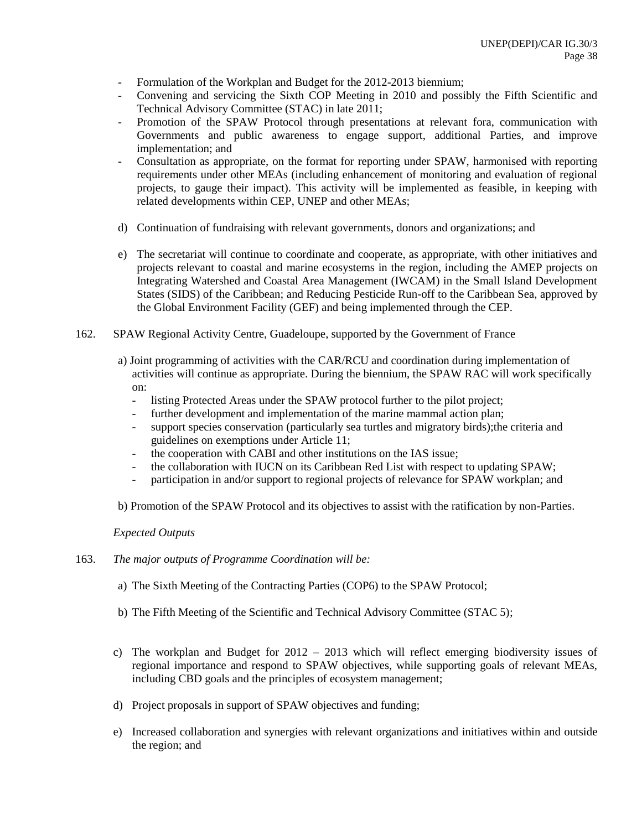- Formulation of the Workplan and Budget for the 2012-2013 biennium;
- Convening and servicing the Sixth COP Meeting in 2010 and possibly the Fifth Scientific and Technical Advisory Committee (STAC) in late 2011;
- Promotion of the SPAW Protocol through presentations at relevant fora, communication with Governments and public awareness to engage support, additional Parties, and improve implementation; and
- <span id="page-45-0"></span>- Consultation as appropriate, on the format for reporting under SPAW, harmonised with reporting requirements under other MEAs (including enhancement of monitoring and evaluation of regional projects, to gauge their impact). This activity will be implemented as feasible, in keeping with related developments within CEP, UNEP and other MEAs;
- d) Continuation of fundraising with relevant governments, donors and organizations; and
- e) The secretariat will continue to coordinate and cooperate, as appropriate, with other initiatives and projects relevant to coastal and marine ecosystems in the region, including the AMEP projects on Integrating Watershed and Coastal Area Management (IWCAM) in the Small Island Development States (SIDS) of the Caribbean; and Reducing Pesticide Run-off to the Caribbean Sea, approved by the Global Environment Facility (GEF) and being implemented through the CEP.
- 162. SPAW Regional Activity Centre, Guadeloupe, supported by the Government of France
	- a) Joint programming of activities with the CAR/RCU and coordination during implementation of activities will continue as appropriate. During the biennium, the SPAW RAC will work specifically on:
		- listing Protected Areas under the SPAW protocol further to the pilot project;
		- further development and implementation of the marine mammal action plan;
		- support species conservation (particularly sea turtles and migratory birds); the criteria and guidelines on exemptions under Article 11;
		- the cooperation with CABI and other institutions on the IAS issue;
		- the collaboration with IUCN on its Caribbean Red List with respect to updating SPAW;
		- participation in and/or support to regional projects of relevance for SPAW workplan; and
	- b) Promotion of the SPAW Protocol and its objectives to assist with the ratification by non-Parties.

#### *Expected Outputs*

- 163. *The major outputs of Programme Coordination will be:*
	- a) The Sixth Meeting of the Contracting Parties (COP6) to the SPAW Protocol;
	- b) The Fifth Meeting of the Scientific and Technical Advisory Committee (STAC 5);
	- c) The workplan and Budget for 2012 2013 which will reflect emerging biodiversity issues of regional importance and respond to SPAW objectives, while supporting goals of relevant MEAs, including CBD goals and the principles of ecosystem management;
	- d) Project proposals in support of SPAW objectives and funding;
	- e) Increased collaboration and synergies with relevant organizations and initiatives within and outside the region; and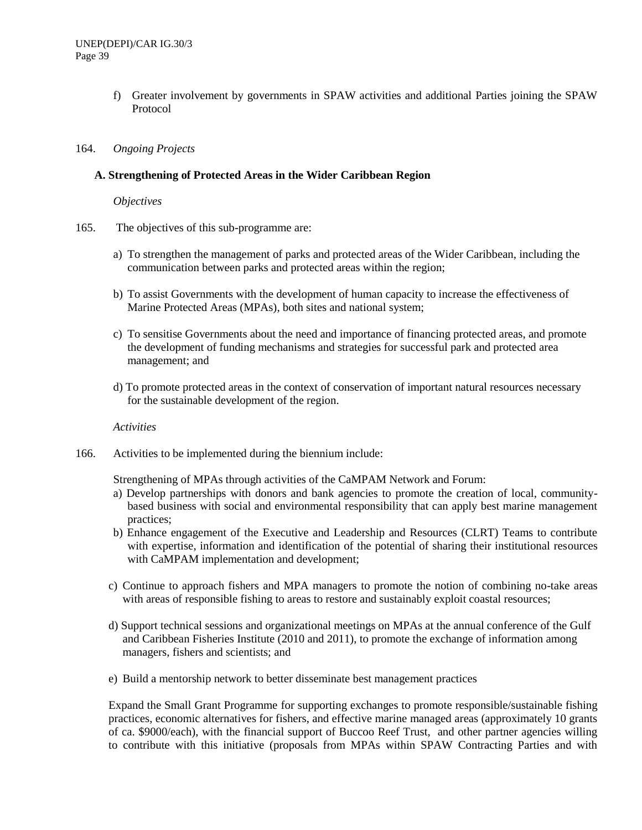f) Greater involvement by governments in SPAW activities and additional Parties joining the SPAW Protocol

#### 164. *Ongoing Projects*

#### **A. Strengthening of Protected Areas in the Wider Caribbean Region**

*Objectives*

- 165. The objectives of this sub-programme are:
	- a) To strengthen the management of parks and protected areas of the Wider Caribbean, including the communication between parks and protected areas within the region;
	- b) To assist Governments with the development of human capacity to increase the effectiveness of Marine Protected Areas (MPAs), both sites and national system;
	- c) To sensitise Governments about the need and importance of financing protected areas, and promote the development of funding mechanisms and strategies for successful park and protected area management; and
	- d) To promote protected areas in the context of conservation of important natural resources necessary for the sustainable development of the region.

*Activities*

166. Activities to be implemented during the biennium include:

Strengthening of MPAs through activities of the CaMPAM Network and Forum:

- a) Develop partnerships with donors and bank agencies to promote the creation of local, communitybased business with social and environmental responsibility that can apply best marine management practices;
- b) Enhance engagement of the Executive and Leadership and Resources (CLRT) Teams to contribute with expertise, information and identification of the potential of sharing their institutional resources with CaMPAM implementation and development;
- c) Continue to approach fishers and MPA managers to promote the notion of combining no-take areas with areas of responsible fishing to areas to restore and sustainably exploit coastal resources;
- d) Support technical sessions and organizational meetings on MPAs at the annual conference of the Gulf and Caribbean Fisheries Institute (2010 and 2011), to promote the exchange of information among managers, fishers and scientists; and
- e) Build a mentorship network to better disseminate best management practices

Expand the Small Grant Programme for supporting exchanges to promote responsible/sustainable fishing practices, economic alternatives for fishers, and effective marine managed areas (approximately 10 grants of ca. \$9000/each), with the financial support of Buccoo Reef Trust, and other partner agencies willing to contribute with this initiative (proposals from MPAs within SPAW Contracting Parties and with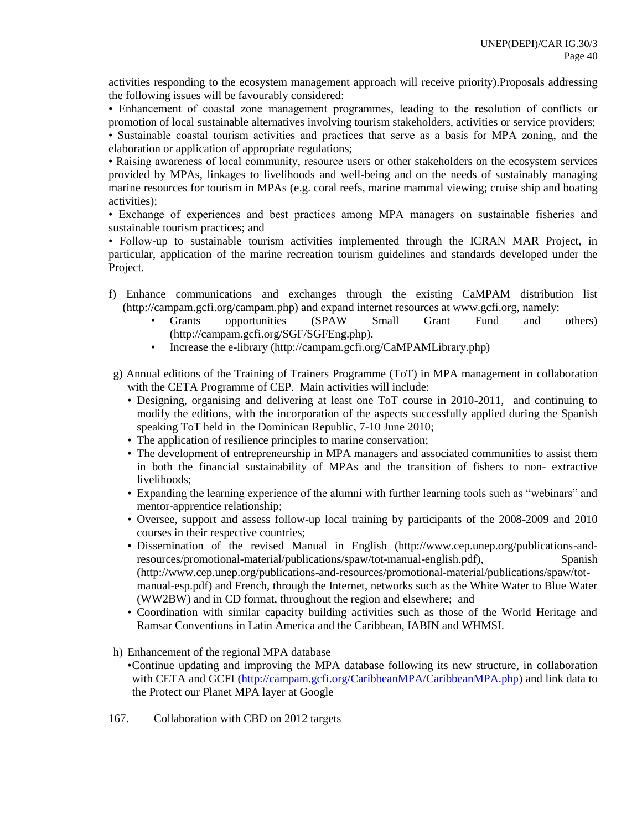activities responding to the ecosystem management approach will receive priority).Proposals addressing the following issues will be favourably considered:

• Enhancement of coastal zone management programmes, leading to the resolution of conflicts or promotion of local sustainable alternatives involving tourism stakeholders, activities or service providers;

• Sustainable coastal tourism activities and practices that serve as a basis for MPA zoning, and the elaboration or application of appropriate regulations;

• Raising awareness of local community, resource users or other stakeholders on the ecosystem services provided by MPAs, linkages to livelihoods and well-being and on the needs of sustainably managing marine resources for tourism in MPAs (e.g. coral reefs, marine mammal viewing; cruise ship and boating activities);

• Exchange of experiences and best practices among MPA managers on sustainable fisheries and sustainable tourism practices; and

• Follow-up to sustainable tourism activities implemented through the ICRAN MAR Project, in particular, application of the marine recreation tourism guidelines and standards developed under the Project.

- f) Enhance communications and exchanges through the existing CaMPAM distribution list (http://campam.gcfi.org/campam.php) and expand internet resources at www.gcfi.org, namely:
	- Grants opportunities (SPAW Small Grant Fund and others) (http://campam.gcfi.org/SGF/SGFEng.php).
	- Increase the e-library (http://campam.gcfi.org/CaMPAMLibrary.php)
- g) Annual editions of the Training of Trainers Programme (ToT) in MPA management in collaboration with the CETA Programme of CEP. Main activities will include:
	- Designing, organising and delivering at least one ToT course in 2010-2011, and continuing to modify the editions, with the incorporation of the aspects successfully applied during the Spanish speaking ToT held in the Dominican Republic, 7-10 June 2010;
	- The application of resilience principles to marine conservation;
	- The development of entrepreneurship in MPA managers and associated communities to assist them in both the financial sustainability of MPAs and the transition of fishers to non- extractive livelihoods;
	- Expanding the learning experience of the alumni with further learning tools such as "webinars" and mentor-apprentice relationship;
	- Oversee, support and assess follow-up local training by participants of the 2008-2009 and 2010 courses in their respective countries;
	- Dissemination of the revised Manual in English (http://www.cep.unep.org/publications-andresources/promotional-material/publications/spaw/tot-manual-english.pdf), Spanish (http://www.cep.unep.org/publications-and-resources/promotional-material/publications/spaw/totmanual-esp.pdf) and French, through the Internet, networks such as the White Water to Blue Water (WW2BW) and in CD format, throughout the region and elsewhere; and
	- Coordination with similar capacity building activities such as those of the World Heritage and Ramsar Conventions in Latin America and the Caribbean, IABIN and WHMSI.
- h) Enhancement of the regional MPA database

•Continue updating and improving the MPA database following its new structure, in collaboration with CETA and GCFI [\(http://campam.gcfi.org/CaribbeanMPA/CaribbeanMPA.php\)](http://campam.gcfi.org/CaribbeanMPA/CaribbeanMPA.php) and link data to the Protect our Planet MPA layer at Google

167. Collaboration with CBD on 2012 targets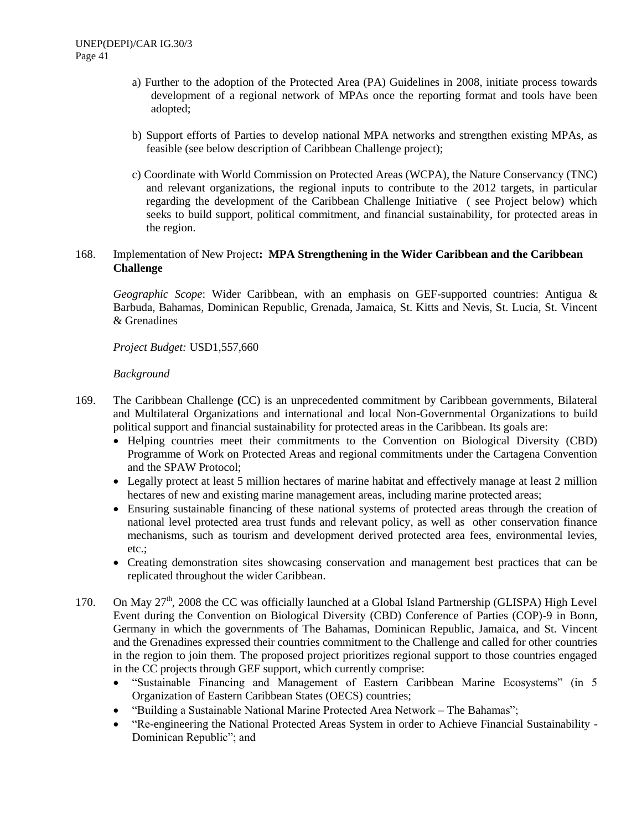- a) Further to the adoption of the Protected Area (PA) Guidelines in 2008, initiate process towards development of a regional network of MPAs once the reporting format and tools have been adopted;
- b) Support efforts of Parties to develop national MPA networks and strengthen existing MPAs, as feasible (see below description of Caribbean Challenge project);
- c) Coordinate with World Commission on Protected Areas (WCPA), the Nature Conservancy (TNC) and relevant organizations, the regional inputs to contribute to the 2012 targets, in particular regarding the development of the Caribbean Challenge Initiative ( see Project below) which seeks to build support, political commitment, and financial sustainability, for protected areas in the region.

# 168. Implementation of New Project**: MPA Strengthening in the Wider Caribbean and the Caribbean Challenge**

*Geographic Scope*: Wider Caribbean, with an emphasis on GEF-supported countries: Antigua & Barbuda, Bahamas, Dominican Republic, Grenada, Jamaica, St. Kitts and Nevis, St. Lucia, St. Vincent & Grenadines

*Project Budget:* USD1,557,660

#### *Background*

- 169. The Caribbean Challenge **(**CC) is an unprecedented commitment by Caribbean governments, Bilateral and Multilateral Organizations and international and local Non-Governmental Organizations to build political support and financial sustainability for protected areas in the Caribbean. Its goals are:
	- Helping countries meet their commitments to the Convention on Biological Diversity (CBD) Programme of Work on Protected Areas and regional commitments under the Cartagena Convention and the SPAW Protocol;
	- Legally protect at least 5 million hectares of marine habitat and effectively manage at least 2 million hectares of new and existing marine management areas, including marine protected areas;
	- Ensuring sustainable financing of these national systems of protected areas through the creation of national level protected area trust funds and relevant policy, as well as other conservation finance mechanisms, such as tourism and development derived protected area fees, environmental levies, etc.;
	- Creating demonstration sites showcasing conservation and management best practices that can be replicated throughout the wider Caribbean.
- 170. On May  $27<sup>th</sup>$ , 2008 the CC was officially launched at a Global Island Partnership (GLISPA) High Level Event during the Convention on Biological Diversity (CBD) Conference of Parties (COP)-9 in Bonn, Germany in which the governments of The Bahamas, Dominican Republic, Jamaica, and St. Vincent and the Grenadines expressed their countries commitment to the Challenge and called for other countries in the region to join them. The proposed project prioritizes regional support to those countries engaged in the CC projects through GEF support, which currently comprise:
	- "Sustainable Financing and Management of Eastern Caribbean Marine Ecosystems" (in 5 Organization of Eastern Caribbean States (OECS) countries;
	- "Building a Sustainable National Marine Protected Area Network The Bahamas";
	- "Re-engineering the National Protected Areas System in order to Achieve Financial Sustainability Dominican Republic"; and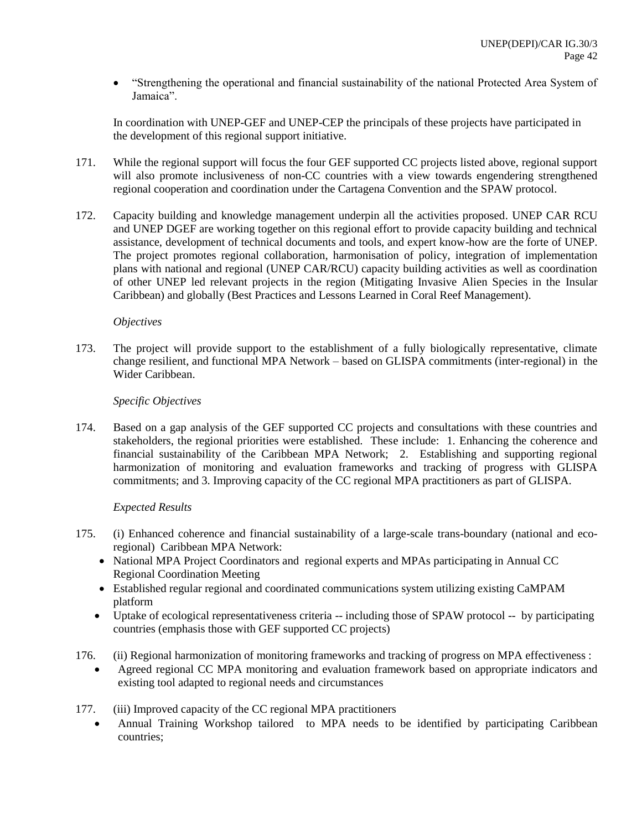"Strengthening the operational and financial sustainability of the national Protected Area System of Jamaica".

In coordination with UNEP-GEF and UNEP-CEP the principals of these projects have participated in the development of this regional support initiative.

- 171. While the regional support will focus the four GEF supported CC projects listed above, regional support will also promote inclusiveness of non-CC countries with a view towards engendering strengthened regional cooperation and coordination under the Cartagena Convention and the SPAW protocol.
- <span id="page-49-0"></span>172. Capacity building and knowledge management underpin all the activities proposed. UNEP CAR RCU and UNEP DGEF are working together on this regional effort to provide capacity building and technical assistance, development of technical documents and tools, and expert know-how are the forte of UNEP. The project promotes regional collaboration, harmonisation of policy, integration of implementation plans with national and regional (UNEP CAR/RCU) capacity building activities as well as coordination of other UNEP led relevant projects in the region (Mitigating Invasive Alien Species in the Insular Caribbean) and globally (Best Practices and Lessons Learned in Coral Reef Management).

# *Objectives*

173. The project will provide support to the establishment of a fully biologically representative, climate change resilient, and functional MPA Network – based on GLISPA commitments (inter-regional) in the Wider Caribbean.

# *Specific Objectives*

174. Based on a gap analysis of the GEF supported CC projects and consultations with these countries and stakeholders, the regional priorities were established. These include: 1. Enhancing the coherence and financial sustainability of the Caribbean MPA Network; 2. Establishing and supporting regional harmonization of monitoring and evaluation frameworks and tracking of progress with GLISPA commitments; and 3. Improving capacity of the CC regional MPA practitioners as part of GLISPA.

# *Expected Results*

- 175. (i) Enhanced coherence and financial sustainability of a large-scale trans-boundary (national and ecoregional) Caribbean MPA Network:
	- National MPA Project Coordinators and regional experts and MPAs participating in Annual CC Regional Coordination Meeting
	- Established regular regional and coordinated communications system utilizing existing CaMPAM platform
	- Uptake of ecological representativeness criteria -- including those of SPAW protocol -- by participating countries (emphasis those with GEF supported CC projects)
- 176. (ii) Regional harmonization of monitoring frameworks and tracking of progress on MPA effectiveness :
	- Agreed regional CC MPA monitoring and evaluation framework based on appropriate indicators and existing tool adapted to regional needs and circumstances
- 177. (iii) Improved capacity of the CC regional MPA practitioners
	- Annual Training Workshop tailored to MPA needs to be identified by participating Caribbean countries;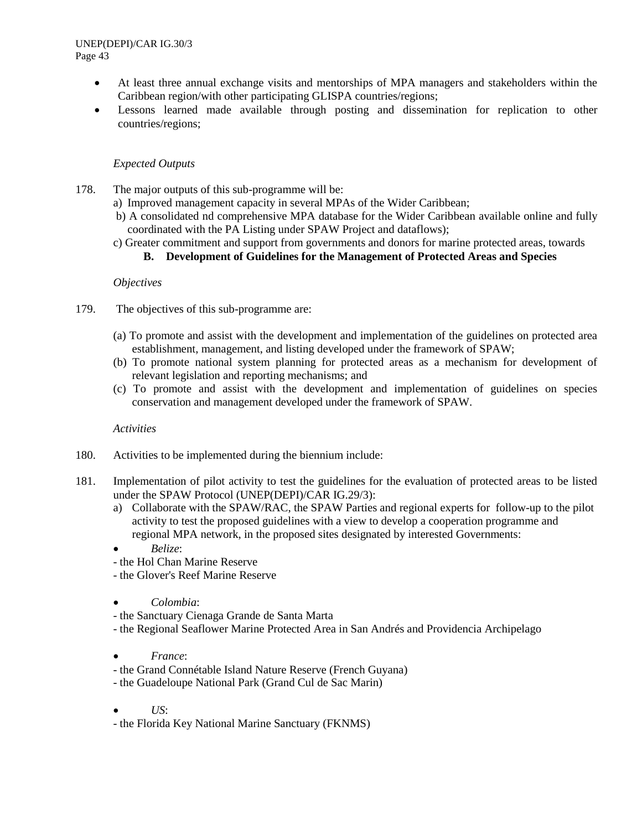- At least three annual exchange visits and mentorships of MPA managers and stakeholders within the Caribbean region/with other participating GLISPA countries/regions;
- Lessons learned made available through posting and dissemination for replication to other countries/regions;

# *Expected Outputs*

- 178. The major outputs of this sub-programme will be:
	- a) Improved management capacity in several MPAs of the Wider Caribbean;
	- b) A consolidated nd comprehensive MPA database for the Wider Caribbean available online and fully coordinated with the PA Listing under SPAW Project and dataflows);
	- c) Greater commitment and support from governments and donors for marine protected areas, towards
		- **B. Development of Guidelines for the Management of Protected Areas and Species**

#### *Objectives*

- 179. The objectives of this sub-programme are:
	- (a) To promote and assist with the development and implementation of the guidelines on protected area establishment, management, and listing developed under the framework of SPAW;
	- (b) To promote national system planning for protected areas as a mechanism for development of relevant legislation and reporting mechanisms; and
	- (c) To promote and assist with the development and implementation of guidelines on species conservation and management developed under the framework of SPAW.

#### *Activities*

- 180. Activities to be implemented during the biennium include:
- <span id="page-50-0"></span>181. Implementation of pilot activity to test the guidelines for the evaluation of protected areas to be listed under the SPAW Protocol (UNEP(DEPI)/CAR IG.29/3):
	- a) Collaborate with the SPAW/RAC, the SPAW Parties and regional experts for follow-up to the pilot activity to test the proposed guidelines with a view to develop a cooperation programme and regional MPA network, in the proposed sites designated by interested Governments:
	- *Belize*:
	- the Hol Chan Marine Reserve
	- the Glover's Reef Marine Reserve
	- *Colombia*:
	- the Sanctuary Cienaga Grande de Santa Marta
	- the Regional Seaflower Marine Protected Area in San Andrés and Providencia Archipelago
	- *France*:
	- the Grand Connétable Island Nature Reserve (French Guyana)
	- the Guadeloupe National Park (Grand Cul de Sac Marin)
	- *US*:
	- the Florida Key National Marine Sanctuary (FKNMS)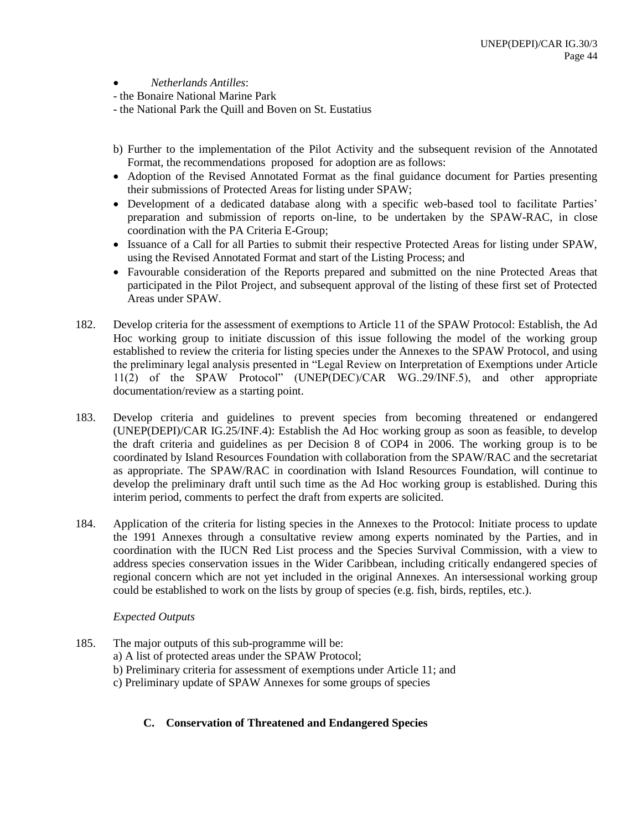- *Netherlands Antilles*:
- the Bonaire National Marine Park
- the National Park the Quill and Boven on St. Eustatius
- b) Further to the implementation of the Pilot Activity and the subsequent revision of the Annotated Format, the recommendations proposed for adoption are as follows:
- Adoption of the Revised Annotated Format as the final guidance document for Parties presenting their submissions of Protected Areas for listing under SPAW;
- Development of a dedicated database along with a specific web-based tool to facilitate Parties' preparation and submission of reports on-line, to be undertaken by the SPAW-RAC, in close coordination with the PA Criteria E-Group;
- Issuance of a Call for all Parties to submit their respective Protected Areas for listing under SPAW, using the Revised Annotated Format and start of the Listing Process; and
- Favourable consideration of the Reports prepared and submitted on the nine Protected Areas that participated in the Pilot Project, and subsequent approval of the listing of these first set of Protected Areas under SPAW.
- 182. Develop criteria for the assessment of exemptions to Article 11 of the SPAW Protocol: Establish, the Ad Hoc working group to initiate discussion of this issue following the model of the working group established to review the criteria for listing species under the Annexes to the SPAW Protocol, and using the preliminary legal analysis presented in "Legal Review on Interpretation of Exemptions under Article 11(2) of the SPAW Protocol" (UNEP(DEC)/CAR WG..29/INF.5), and other appropriate documentation/review as a starting point.
- 183. Develop criteria and guidelines to prevent species from becoming threatened or endangered (UNEP(DEPI)/CAR IG.25/INF.4): Establish the Ad Hoc working group as soon as feasible, to develop the draft criteria and guidelines as per Decision 8 of COP4 in 2006. The working group is to be coordinated by Island Resources Foundation with collaboration from the SPAW/RAC and the secretariat as appropriate. The SPAW/RAC in coordination with Island Resources Foundation, will continue to develop the preliminary draft until such time as the Ad Hoc working group is established. During this interim period, comments to perfect the draft from experts are solicited.
- 184. Application of the criteria for listing species in the Annexes to the Protocol: Initiate process to update the 1991 Annexes through a consultative review among experts nominated by the Parties, and in coordination with the IUCN Red List process and the Species Survival Commission, with a view to address species conservation issues in the Wider Caribbean, including critically endangered species of regional concern which are not yet included in the original Annexes. An intersessional working group could be established to work on the lists by group of species (e.g. fish, birds, reptiles, etc.).

# *Expected Outputs*

- 185. The major outputs of this sub-programme will be:
	- a) A list of protected areas under the SPAW Protocol;
	- b) Preliminary criteria for assessment of exemptions under Article 11; and
	- c) Preliminary update of SPAW Annexes for some groups of species

# **C. Conservation of Threatened and Endangered Species**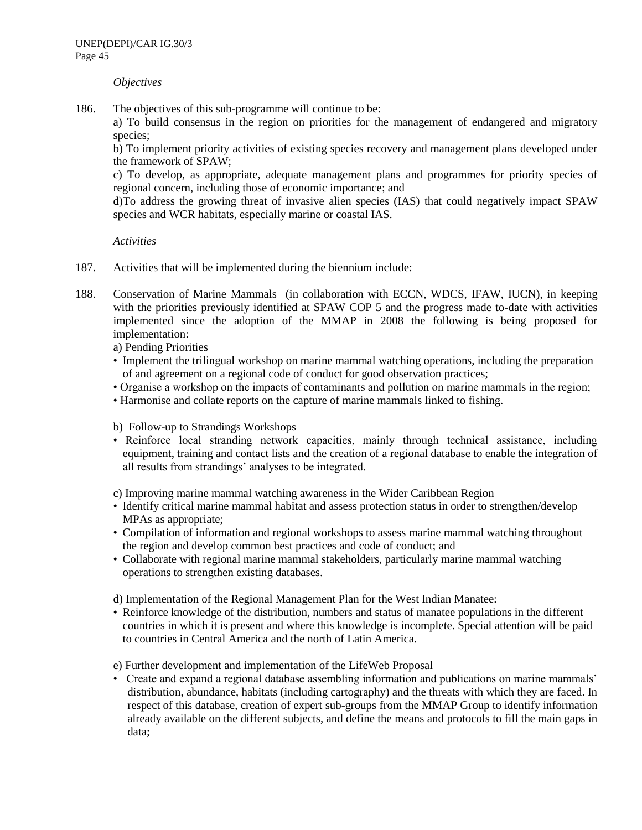#### *Objectives*

186. The objectives of this sub-programme will continue to be:

a) To build consensus in the region on priorities for the management of endangered and migratory species;

b) To implement priority activities of existing species recovery and management plans developed under the framework of SPAW;

c) To develop, as appropriate, adequate management plans and programmes for priority species of regional concern, including those of economic importance; and

d)To address the growing threat of invasive alien species (IAS) that could negatively impact SPAW species and WCR habitats, especially marine or coastal IAS.

*Activities*

- 187. Activities that will be implemented during the biennium include:
- 188. Conservation of Marine Mammals (in collaboration with ECCN, WDCS, IFAW, IUCN), in keeping with the priorities previously identified at SPAW COP 5 and the progress made to-date with activities implemented since the adoption of the MMAP in 2008 the following is being proposed for implementation:

a) Pending Priorities

- Implement the trilingual workshop on marine mammal watching operations, including the preparation of and agreement on a regional code of conduct for good observation practices;
- Organise a workshop on the impacts of contaminants and pollution on marine mammals in the region;
- Harmonise and collate reports on the capture of marine mammals linked to fishing.

b) Follow-up to Strandings Workshops

• Reinforce local stranding network capacities, mainly through technical assistance, including equipment, training and contact lists and the creation of a regional database to enable the integration of all results from strandings" analyses to be integrated.

c) Improving marine mammal watching awareness in the Wider Caribbean Region

- Identify critical marine mammal habitat and assess protection status in order to strengthen/develop MPAs as appropriate;
- Compilation of information and regional workshops to assess marine mammal watching throughout the region and develop common best practices and code of conduct; and
- Collaborate with regional marine mammal stakeholders, particularly marine mammal watching operations to strengthen existing databases.

d) Implementation of the Regional Management Plan for the West Indian Manatee:

• Reinforce knowledge of the distribution, numbers and status of manatee populations in the different countries in which it is present and where this knowledge is incomplete. Special attention will be paid to countries in Central America and the north of Latin America.

e) Further development and implementation of the LifeWeb Proposal

• Create and expand a regional database assembling information and publications on marine mammals' distribution, abundance, habitats (including cartography) and the threats with which they are faced. In respect of this database, creation of expert sub-groups from the MMAP Group to identify information already available on the different subjects, and define the means and protocols to fill the main gaps in data;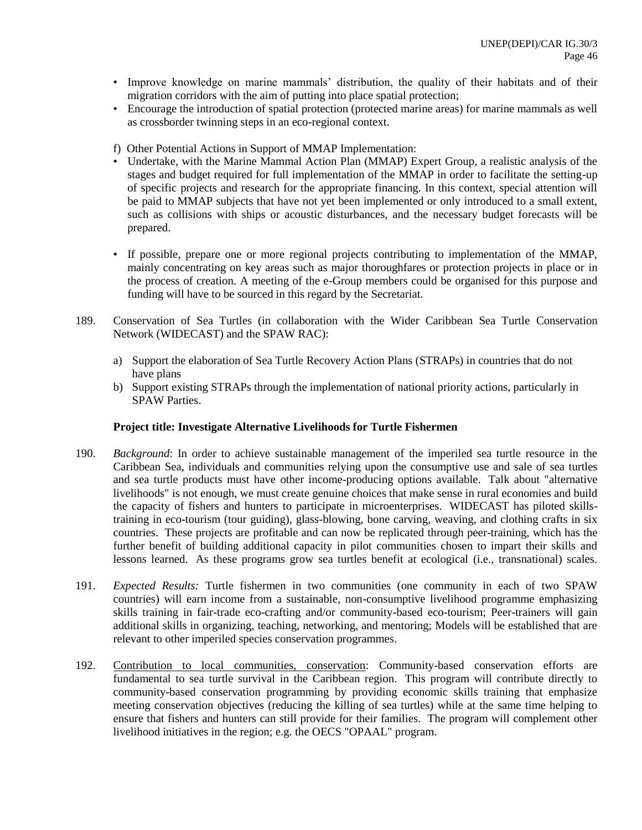- Improve knowledge on marine mammals" distribution, the quality of their habitats and of their migration corridors with the aim of putting into place spatial protection;
- Encourage the introduction of spatial protection (protected marine areas) for marine mammals as well as crossborder twinning steps in an eco-regional context.
- f) Other Potential Actions in Support of MMAP Implementation:
- Undertake, with the Marine Mammal Action Plan (MMAP) Expert Group, a realistic analysis of the stages and budget required for full implementation of the MMAP in order to facilitate the setting-up of specific projects and research for the appropriate financing. In this context, special attention will be paid to MMAP subjects that have not yet been implemented or only introduced to a small extent, such as collisions with ships or acoustic disturbances, and the necessary budget forecasts will be prepared.
- If possible, prepare one or more regional projects contributing to implementation of the MMAP, mainly concentrating on key areas such as major thoroughfares or protection projects in place or in the process of creation. A meeting of the e-Group members could be organised for this purpose and funding will have to be sourced in this regard by the Secretariat.
- 189. Conservation of Sea Turtles (in collaboration with the Wider Caribbean Sea Turtle Conservation Network (WIDECAST) and the SPAW RAC):
	- a) Support the elaboration of Sea Turtle Recovery Action Plans (STRAPs) in countries that do not have plans
	- b) Support existing STRAPs through the implementation of national priority actions, particularly in SPAW Parties.

# **Project title: Investigate Alternative Livelihoods for Turtle Fishermen**

- 190. *Background*: In order to achieve sustainable management of the imperiled sea turtle resource in the Caribbean Sea, individuals and communities relying upon the consumptive use and sale of sea turtles and sea turtle products must have other income-producing options available. Talk about "alternative livelihoods" is not enough, we must create genuine choices that make sense in rural economies and build the capacity of fishers and hunters to participate in microenterprises. WIDECAST has piloted skillstraining in eco-tourism (tour guiding), glass-blowing, bone carving, weaving, and clothing crafts in six countries. These projects are profitable and can now be replicated through peer-training, which has the further benefit of building additional capacity in pilot communities chosen to impart their skills and lessons learned. As these programs grow sea turtles benefit at ecological (i.e., transnational) scales.
- 191. *Expected Results:* Turtle fishermen in two communities (one community in each of two SPAW countries) will earn income from a sustainable, non-consumptive livelihood programme emphasizing skills training in fair-trade eco-crafting and/or community-based eco-tourism; Peer-trainers will gain additional skills in organizing, teaching, networking, and mentoring; Models will be established that are relevant to other imperiled species conservation programmes.
- 192. Contribution to local communities, conservation: Community-based conservation efforts are fundamental to sea turtle survival in the Caribbean region. This program will contribute directly to community-based conservation programming by providing economic skills training that emphasize meeting conservation objectives (reducing the killing of sea turtles) while at the same time helping to ensure that fishers and hunters can still provide for their families. The program will complement other livelihood initiatives in the region; e.g. the OECS "OPAAL" program.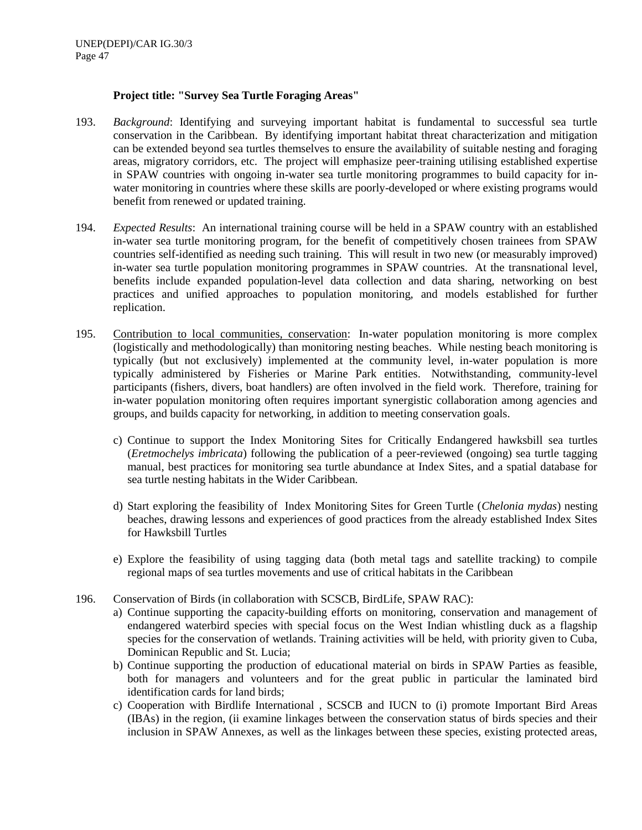# **Project title: "Survey Sea Turtle Foraging Areas"**

- 193. *Background*: Identifying and surveying important habitat is fundamental to successful sea turtle conservation in the Caribbean. By identifying important habitat threat characterization and mitigation can be extended beyond sea turtles themselves to ensure the availability of suitable nesting and foraging areas, migratory corridors, etc. The project will emphasize peer-training utilising established expertise in SPAW countries with ongoing in-water sea turtle monitoring programmes to build capacity for inwater monitoring in countries where these skills are poorly-developed or where existing programs would benefit from renewed or updated training.
- 194. *Expected Results*: An international training course will be held in a SPAW country with an established in-water sea turtle monitoring program, for the benefit of competitively chosen trainees from SPAW countries self-identified as needing such training. This will result in two new (or measurably improved) in-water sea turtle population monitoring programmes in SPAW countries. At the transnational level, benefits include expanded population-level data collection and data sharing, networking on best practices and unified approaches to population monitoring, and models established for further replication.
- 195. Contribution to local communities, conservation: In-water population monitoring is more complex (logistically and methodologically) than monitoring nesting beaches. While nesting beach monitoring is typically (but not exclusively) implemented at the community level, in-water population is more typically administered by Fisheries or Marine Park entities. Notwithstanding, community-level participants (fishers, divers, boat handlers) are often involved in the field work. Therefore, training for in-water population monitoring often requires important synergistic collaboration among agencies and groups, and builds capacity for networking, in addition to meeting conservation goals.
	- c) Continue to support the Index Monitoring Sites for Critically Endangered hawksbill sea turtles (*Eretmochelys imbricata*) following the publication of a peer-reviewed (ongoing) sea turtle tagging manual, best practices for monitoring sea turtle abundance at Index Sites, and a spatial database for sea turtle nesting habitats in the Wider Caribbean.
	- d) Start exploring the feasibility of Index Monitoring Sites for Green Turtle (*Chelonia mydas*) nesting beaches, drawing lessons and experiences of good practices from the already established Index Sites for Hawksbill Turtles
	- e) Explore the feasibility of using tagging data (both metal tags and satellite tracking) to compile regional maps of sea turtles movements and use of critical habitats in the Caribbean
- 196. Conservation of Birds (in collaboration with SCSCB, BirdLife, SPAW RAC):
	- a) Continue supporting the capacity-building efforts on monitoring, conservation and management of endangered waterbird species with special focus on the West Indian whistling duck as a flagship species for the conservation of wetlands. Training activities will be held, with priority given to Cuba, Dominican Republic and St. Lucia;
	- b) Continue supporting the production of educational material on birds in SPAW Parties as feasible, both for managers and volunteers and for the great public in particular the laminated bird identification cards for land birds;
	- c) Cooperation with Birdlife International , SCSCB and IUCN to (i) promote Important Bird Areas (IBAs) in the region, (ii examine linkages between the conservation status of birds species and their inclusion in SPAW Annexes, as well as the linkages between these species, existing protected areas,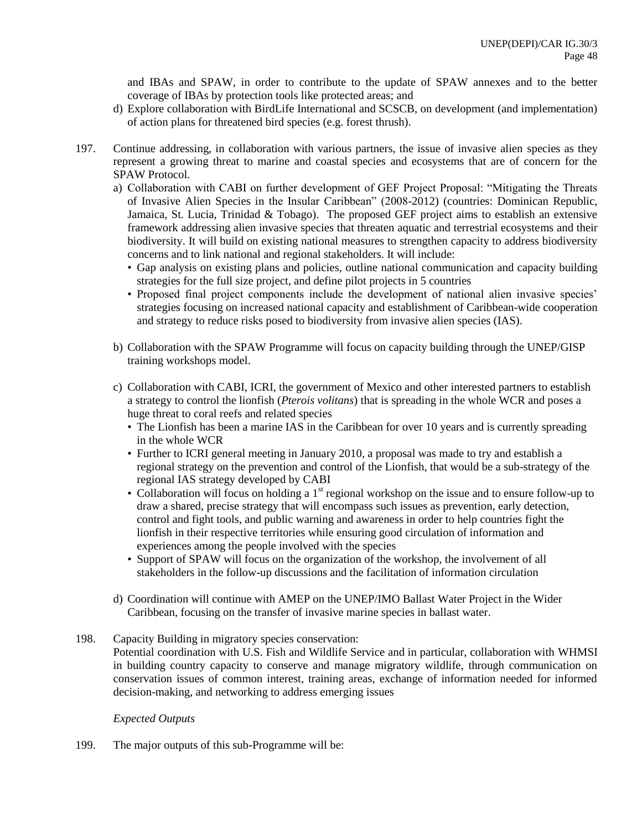and IBAs and SPAW, in order to contribute to the update of SPAW annexes and to the better coverage of IBAs by protection tools like protected areas; and

- d) Explore collaboration with BirdLife International and SCSCB, on development (and implementation) of action plans for threatened bird species (e.g. forest thrush).
- 197. Continue addressing, in collaboration with various partners, the issue of invasive alien species as they represent a growing threat to marine and coastal species and ecosystems that are of concern for the SPAW Protocol.
	- a) Collaboration with CABI on further development of GEF Project Proposal: "Mitigating the Threats of Invasive Alien Species in the Insular Caribbean" (2008-2012) (countries: Dominican Republic, Jamaica, St. Lucia, Trinidad & Tobago). The proposed GEF project aims to establish an extensive framework addressing alien invasive species that threaten aquatic and terrestrial ecosystems and their biodiversity. It will build on existing national measures to strengthen capacity to address biodiversity concerns and to link national and regional stakeholders. It will include:
		- Gap analysis on existing plans and policies, outline national communication and capacity building strategies for the full size project, and define pilot projects in 5 countries
		- Proposed final project components include the development of national alien invasive species" strategies focusing on increased national capacity and establishment of Caribbean-wide cooperation and strategy to reduce risks posed to biodiversity from invasive alien species (IAS).
	- b) Collaboration with the SPAW Programme will focus on capacity building through the UNEP/GISP training workshops model.
	- c) Collaboration with CABI, ICRI, the government of Mexico and other interested partners to establish a strategy to control the lionfish (*Pterois volitans*) that is spreading in the whole WCR and poses a huge threat to coral reefs and related species
		- The Lionfish has been a marine IAS in the Caribbean for over 10 years and is currently spreading in the whole WCR
		- Further to ICRI general meeting in January 2010, a proposal was made to try and establish a regional strategy on the prevention and control of the Lionfish, that would be a sub-strategy of the regional IAS strategy developed by CABI
		- Collaboration will focus on holding a  $1<sup>st</sup>$  regional workshop on the issue and to ensure follow-up to draw a shared, precise strategy that will encompass such issues as prevention, early detection, control and fight tools, and public warning and awareness in order to help countries fight the lionfish in their respective territories while ensuring good circulation of information and experiences among the people involved with the species
		- Support of SPAW will focus on the organization of the workshop, the involvement of all stakeholders in the follow-up discussions and the facilitation of information circulation
	- d) Coordination will continue with AMEP on the UNEP/IMO Ballast Water Project in the Wider Caribbean, focusing on the transfer of invasive marine species in ballast water.
- <span id="page-55-0"></span>198. Capacity Building in migratory species conservation: Potential coordination with U.S. Fish and Wildlife Service and in particular, collaboration with WHMSI in building country capacity to conserve and manage migratory wildlife, through communication on conservation issues of common interest, training areas, exchange of information needed for informed decision-making, and networking to address emerging issues

# *Expected Outputs*

199. The major outputs of this sub-Programme will be: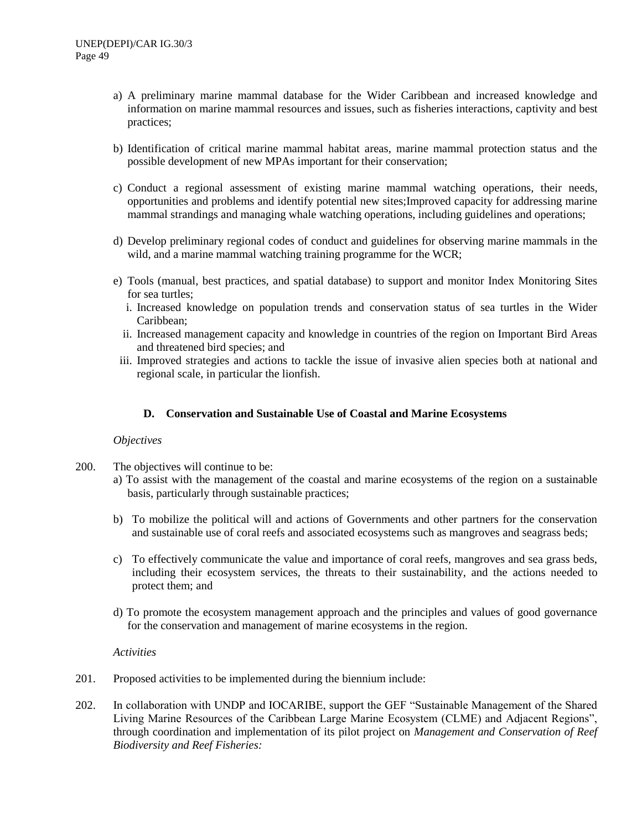- a) A preliminary marine mammal database for the Wider Caribbean and increased knowledge and information on marine mammal resources and issues, such as fisheries interactions, captivity and best practices;
- b) Identification of critical marine mammal habitat areas, marine mammal protection status and the possible development of new MPAs important for their conservation;
- c) Conduct a regional assessment of existing marine mammal watching operations, their needs, opportunities and problems and identify potential new sites;Improved capacity for addressing marine mammal strandings and managing whale watching operations, including guidelines and operations;
- d) Develop preliminary regional codes of conduct and guidelines for observing marine mammals in the wild, and a marine mammal watching training programme for the WCR;
- e) Tools (manual, best practices, and spatial database) to support and monitor Index Monitoring Sites for sea turtles;
	- i. Increased knowledge on population trends and conservation status of sea turtles in the Wider Caribbean;
	- ii. Increased management capacity and knowledge in countries of the region on Important Bird Areas and threatened bird species; and
- iii. Improved strategies and actions to tackle the issue of invasive alien species both at national and regional scale, in particular the lionfish.

#### **D. Conservation and Sustainable Use of Coastal and Marine Ecosystems**

#### *Objectives*

- 200. The objectives will continue to be:
	- a) To assist with the management of the coastal and marine ecosystems of the region on a sustainable basis, particularly through sustainable practices;
	- b) To mobilize the political will and actions of Governments and other partners for the conservation and sustainable use of coral reefs and associated ecosystems such as mangroves and seagrass beds;
	- c) To effectively communicate the value and importance of coral reefs, mangroves and sea grass beds, including their ecosystem services, the threats to their sustainability, and the actions needed to protect them; and
	- d) To promote the ecosystem management approach and the principles and values of good governance for the conservation and management of marine ecosystems in the region.

#### *Activities*

- 201. Proposed activities to be implemented during the biennium include:
- 202. In collaboration with UNDP and IOCARIBE, support the GEF "Sustainable Management of the Shared Living Marine Resources of the Caribbean Large Marine Ecosystem (CLME) and Adjacent Regions", through coordination and implementation of its pilot project on *Management and Conservation of Reef Biodiversity and Reef Fisheries:*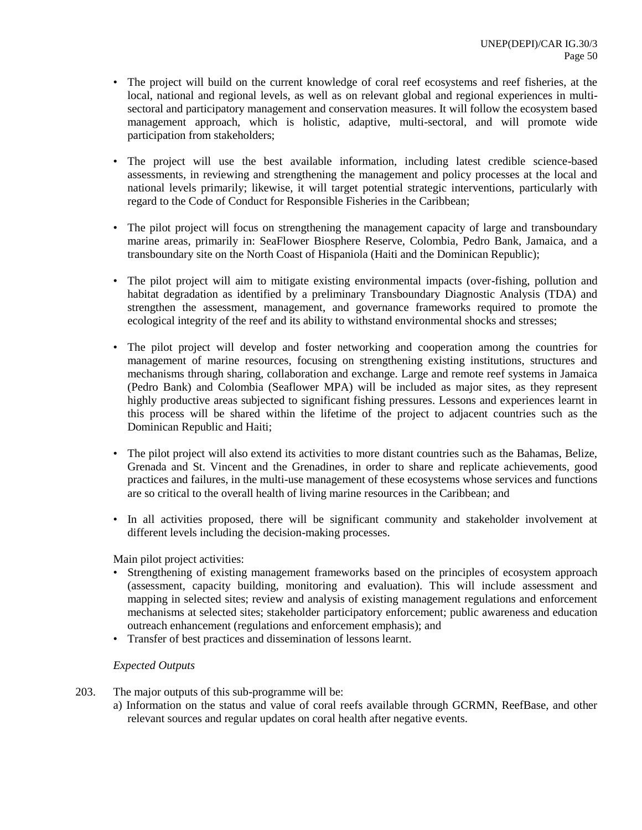- The project will build on the current knowledge of coral reef ecosystems and reef fisheries, at the local, national and regional levels, as well as on relevant global and regional experiences in multisectoral and participatory management and conservation measures. It will follow the ecosystem based management approach, which is holistic, adaptive, multi-sectoral, and will promote wide participation from stakeholders;
- The project will use the best available information, including latest credible science-based assessments, in reviewing and strengthening the management and policy processes at the local and national levels primarily; likewise, it will target potential strategic interventions, particularly with regard to the Code of Conduct for Responsible Fisheries in the Caribbean;
- <span id="page-57-0"></span>• The pilot project will focus on strengthening the management capacity of large and transboundary marine areas, primarily in: SeaFlower Biosphere Reserve, Colombia, Pedro Bank, Jamaica, and a transboundary site on the North Coast of Hispaniola (Haiti and the Dominican Republic);
- <span id="page-57-1"></span>• The pilot project will aim to mitigate existing environmental impacts (over-fishing, pollution and habitat degradation as identified by a preliminary Transboundary Diagnostic Analysis (TDA) and strengthen the assessment, management, and governance frameworks required to promote the ecological integrity of the reef and its ability to withstand environmental shocks and stresses;
- The pilot project will develop and foster networking and cooperation among the countries for management of marine resources, focusing on strengthening existing institutions, structures and mechanisms through sharing, collaboration and exchange. Large and remote reef systems in Jamaica (Pedro Bank) and Colombia (Seaflower MPA) will be included as major sites, as they represent highly productive areas subjected to significant fishing pressures. Lessons and experiences learnt in this process will be shared within the lifetime of the project to adjacent countries such as the Dominican Republic and Haiti;
- The pilot project will also extend its activities to more distant countries such as the Bahamas, Belize, Grenada and St. Vincent and the Grenadines, in order to share and replicate achievements, good practices and failures, in the multi-use management of these ecosystems whose services and functions are so critical to the overall health of living marine resources in the Caribbean; and
- In all activities proposed, there will be significant community and stakeholder involvement at different levels including the decision-making processes.

Main pilot project activities:

- Strengthening of existing management frameworks based on the principles of ecosystem approach (assessment, capacity building, monitoring and evaluation). This will include assessment and mapping in selected sites; review and analysis of existing management regulations and enforcement mechanisms at selected sites; stakeholder participatory enforcement; public awareness and education outreach enhancement (regulations and enforcement emphasis); and
- Transfer of best practices and dissemination of lessons learnt.

# *Expected Outputs*

- 203. The major outputs of this sub-programme will be:
	- a) Information on the status and value of coral reefs available through GCRMN, ReefBase, and other relevant sources and regular updates on coral health after negative events.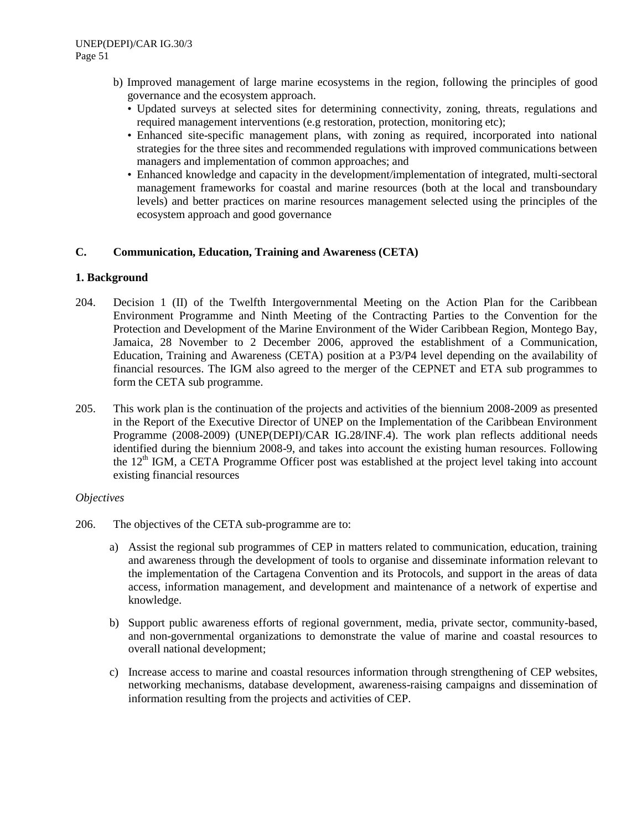- <span id="page-58-1"></span><span id="page-58-0"></span>b) Improved management of large marine ecosystems in the region, following the principles of good governance and the ecosystem approach.
	- Updated surveys at selected sites for determining connectivity, zoning, threats, regulations and required management interventions (e.g restoration, protection, monitoring etc);
	- Enhanced site-specific management plans, with zoning as required, incorporated into national strategies for the three sites and recommended regulations with improved communications between managers and implementation of common approaches; and
	- Enhanced knowledge and capacity in the development/implementation of integrated, multi-sectoral management frameworks for coastal and marine resources (both at the local and transboundary levels) and better practices on marine resources management selected using the principles of the ecosystem approach and good governance

# **C. Communication, Education, Training and Awareness (CETA)**

# **1. Background**

- 204. Decision 1 (II) of the Twelfth Intergovernmental Meeting on the Action Plan for the Caribbean Environment Programme and Ninth Meeting of the Contracting Parties to the Convention for the Protection and Development of the Marine Environment of the Wider Caribbean Region, Montego Bay, Jamaica, 28 November to 2 December 2006, approved the establishment of a Communication, Education, Training and Awareness (CETA) position at a P3/P4 level depending on the availability of financial resources. The IGM also agreed to the merger of the CEPNET and ETA sub programmes to form the CETA sub programme.
- 205. This work plan is the continuation of the projects and activities of the biennium 2008-2009 as presented in the Report of the Executive Director of UNEP on the Implementation of the Caribbean Environment Programme (2008-2009) (UNEP(DEPI)/CAR IG.28/INF.4). The work plan reflects additional needs identified during the biennium 2008-9, and takes into account the existing human resources. Following the  $12<sup>th</sup>$  IGM, a CETA Programme Officer post was established at the project level taking into account existing financial resources

# *Objectives*

- 206. The objectives of the CETA sub-programme are to:
	- a) Assist the regional sub programmes of CEP in matters related to communication, education, training and awareness through the development of tools to organise and disseminate information relevant to the implementation of the Cartagena Convention and its Protocols, and support in the areas of data access, information management, and development and maintenance of a network of expertise and knowledge.
	- b) Support public awareness efforts of regional government, media, private sector, community-based, and non-governmental organizations to demonstrate the value of marine and coastal resources to overall national development;
	- c) Increase access to marine and coastal resources information through strengthening of CEP websites, networking mechanisms, database development, awareness-raising campaigns and dissemination of information resulting from the projects and activities of CEP.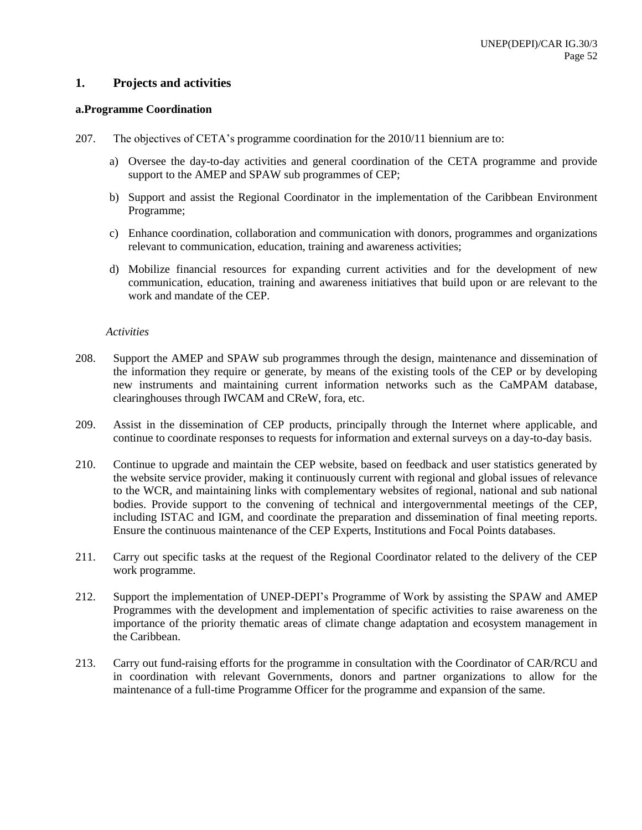## <span id="page-59-0"></span>**1. Projects and activities**

#### **a.Programme Coordination**

- 207. The objectives of CETA"s programme coordination for the 2010/11 biennium are to:
	- a) Oversee the day-to-day activities and general coordination of the CETA programme and provide support to the AMEP and SPAW sub programmes of CEP;
	- b) Support and assist the Regional Coordinator in the implementation of the Caribbean Environment Programme;
	- c) Enhance coordination, collaboration and communication with donors, programmes and organizations relevant to communication, education, training and awareness activities;
	- d) Mobilize financial resources for expanding current activities and for the development of new communication, education, training and awareness initiatives that build upon or are relevant to the work and mandate of the CEP.

#### *Activities*

- 208. Support the AMEP and SPAW sub programmes through the design, maintenance and dissemination of the information they require or generate, by means of the existing tools of the CEP or by developing new instruments and maintaining current information networks such as the CaMPAM database, clearinghouses through IWCAM and CReW, fora, etc.
- 209. Assist in the dissemination of CEP products, principally through the Internet where applicable, and continue to coordinate responses to requests for information and external surveys on a day-to-day basis.
- 210. Continue to upgrade and maintain the CEP website, based on feedback and user statistics generated by the website service provider, making it continuously current with regional and global issues of relevance to the WCR, and maintaining links with complementary websites of regional, national and sub national bodies. Provide support to the convening of technical and intergovernmental meetings of the CEP, including ISTAC and IGM, and coordinate the preparation and dissemination of final meeting reports. Ensure the continuous maintenance of the CEP Experts, Institutions and Focal Points databases.
- 211. Carry out specific tasks at the request of the Regional Coordinator related to the delivery of the CEP work programme.
- 212. Support the implementation of UNEP-DEPI"s Programme of Work by assisting the SPAW and AMEP Programmes with the development and implementation of specific activities to raise awareness on the importance of the priority thematic areas of climate change adaptation and ecosystem management in the Caribbean.
- 213. Carry out fund-raising efforts for the programme in consultation with the Coordinator of CAR/RCU and in coordination with relevant Governments, donors and partner organizations to allow for the maintenance of a full-time Programme Officer for the programme and expansion of the same.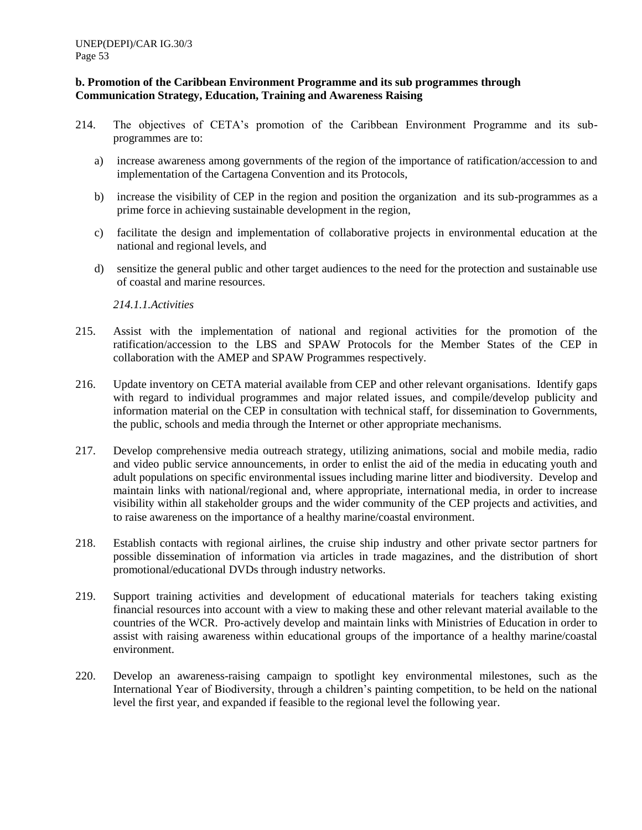#### <span id="page-60-0"></span>**b. Promotion of the Caribbean Environment Programme and its sub programmes through Communication Strategy, Education, Training and Awareness Raising**

- 214. The objectives of CETA"s promotion of the Caribbean Environment Programme and its subprogrammes are to:
	- a) increase awareness among governments of the region of the importance of ratification/accession to and implementation of the Cartagena Convention and its Protocols,
	- b) increase the visibility of CEP in the region and position the organization and its sub-programmes as a prime force in achieving sustainable development in the region,
	- c) facilitate the design and implementation of collaborative projects in environmental education at the national and regional levels, and
	- d) sensitize the general public and other target audiences to the need for the protection and sustainable use of coastal and marine resources.

*214.1.1.Activities*

- 215. Assist with the implementation of national and regional activities for the promotion of the ratification/accession to the LBS and SPAW Protocols for the Member States of the CEP in collaboration with the AMEP and SPAW Programmes respectively.
- 216. Update inventory on CETA material available from CEP and other relevant organisations. Identify gaps with regard to individual programmes and major related issues, and compile/develop publicity and information material on the CEP in consultation with technical staff, for dissemination to Governments, the public, schools and media through the Internet or other appropriate mechanisms.
- 217. Develop comprehensive media outreach strategy, utilizing animations, social and mobile media, radio and video public service announcements, in order to enlist the aid of the media in educating youth and adult populations on specific environmental issues including marine litter and biodiversity. Develop and maintain links with national/regional and, where appropriate, international media, in order to increase visibility within all stakeholder groups and the wider community of the CEP projects and activities, and to raise awareness on the importance of a healthy marine/coastal environment.
- 218. Establish contacts with regional airlines, the cruise ship industry and other private sector partners for possible dissemination of information via articles in trade magazines, and the distribution of short promotional/educational DVDs through industry networks.
- 219. Support training activities and development of educational materials for teachers taking existing financial resources into account with a view to making these and other relevant material available to the countries of the WCR. Pro-actively develop and maintain links with Ministries of Education in order to assist with raising awareness within educational groups of the importance of a healthy marine/coastal environment.
- 220. Develop an awareness-raising campaign to spotlight key environmental milestones, such as the International Year of Biodiversity, through a children"s painting competition, to be held on the national level the first year, and expanded if feasible to the regional level the following year.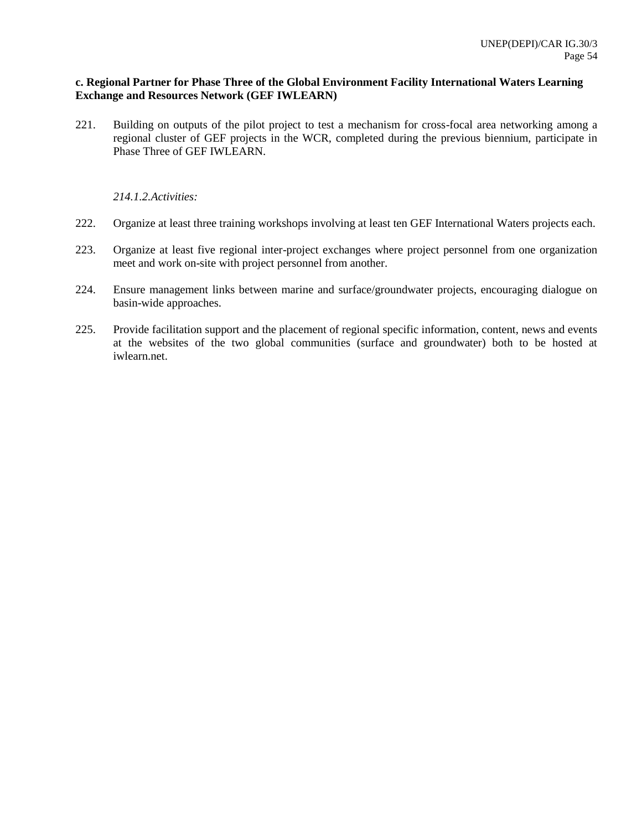#### **c. Regional Partner for Phase Three of the Global Environment Facility International Waters Learning Exchange and Resources Network (GEF IWLEARN)**

221. Building on outputs of the pilot project to test a mechanism for cross-focal area networking among a regional cluster of GEF projects in the WCR, completed during the previous biennium, participate in Phase Three of GEF IWLEARN.

#### *214.1.2.Activities:*

- 222. Organize at least three training workshops involving at least ten GEF International Waters projects each.
- 223. Organize at least five regional inter-project exchanges where project personnel from one organization meet and work on-site with project personnel from another.
- 224. Ensure management links between marine and surface/groundwater projects, encouraging dialogue on basin-wide approaches.
- 225. Provide facilitation support and the placement of regional specific information, content, news and events at the websites of the two global communities (surface and groundwater) both to be hosted at iwlearn.net.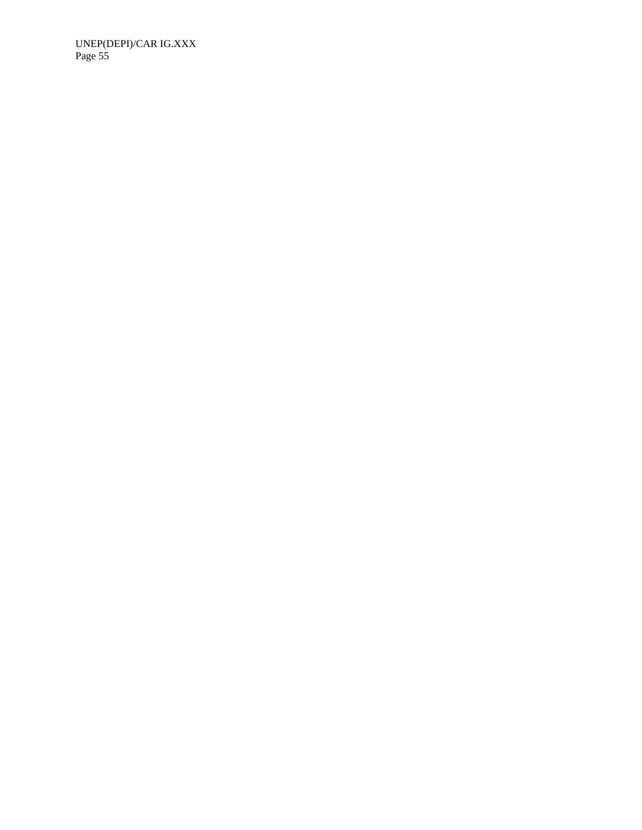<span id="page-62-1"></span><span id="page-62-0"></span>UNEP(DEPI)/CAR IG.XXX Page 55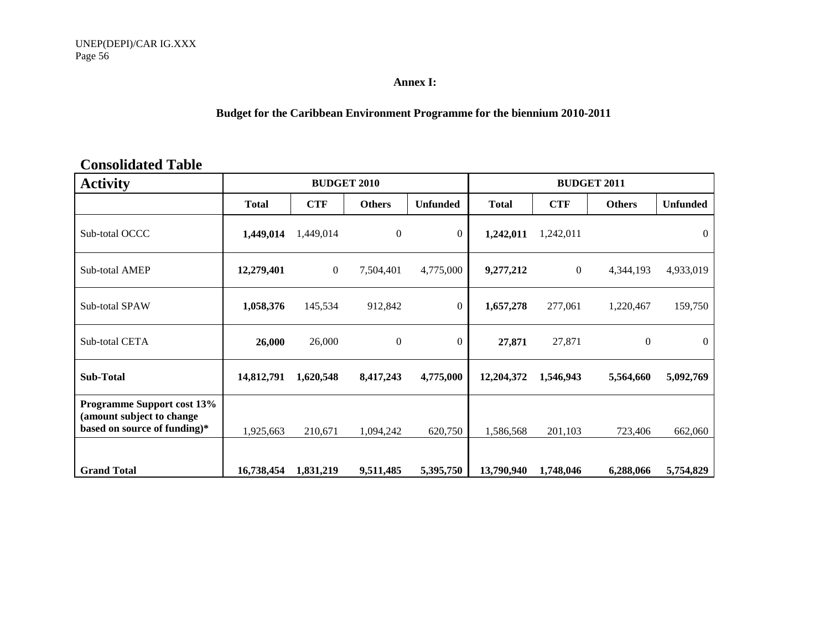# **Annex I:**

# **Budget for the Caribbean Environment Programme for the biennium 2010-2011**

# **Consolidated Table**

<span id="page-63-0"></span>

| <b>Activity</b>                                                                                |              |                | <b>BUDGET 2010</b> |                 |              |                | <b>BUDGET 2011</b> |                  |
|------------------------------------------------------------------------------------------------|--------------|----------------|--------------------|-----------------|--------------|----------------|--------------------|------------------|
|                                                                                                | <b>Total</b> | <b>CTF</b>     | <b>Others</b>      | <b>Unfunded</b> | <b>Total</b> | <b>CTF</b>     | <b>Others</b>      | <b>Unfunded</b>  |
| Sub-total OCCC                                                                                 | 1,449,014    | 1,449,014      | $\overline{0}$     | $\overline{0}$  | 1,242,011    | 1,242,011      |                    | $\boldsymbol{0}$ |
| Sub-total AMEP                                                                                 | 12,279,401   | $\overline{0}$ | 7,504,401          | 4,775,000       | 9,277,212    | $\overline{0}$ | 4,344,193          | 4,933,019        |
| Sub-total SPAW                                                                                 | 1,058,376    | 145,534        | 912,842            | $\overline{0}$  | 1,657,278    | 277,061        | 1,220,467          | 159,750          |
| Sub-total CETA                                                                                 | 26,000       | 26,000         | $\overline{0}$     | $\overline{0}$  | 27,871       | 27,871         | $\boldsymbol{0}$   | $\boldsymbol{0}$ |
| <b>Sub-Total</b>                                                                               | 14,812,791   | 1,620,548      | 8,417,243          | 4,775,000       | 12,204,372   | 1,546,943      | 5,564,660          | 5,092,769        |
| <b>Programme Support cost 13%</b><br>(amount subject to change<br>based on source of funding)* | 1,925,663    | 210,671        | 1,094,242          | 620,750         | 1,586,568    | 201,103        | 723,406            | 662,060          |
| <b>Grand Total</b>                                                                             | 16,738,454   | 1,831,219      | 9,511,485          | 5,395,750       | 13,790,940   | 1,748,046      | 6,288,066          | 5,754,829        |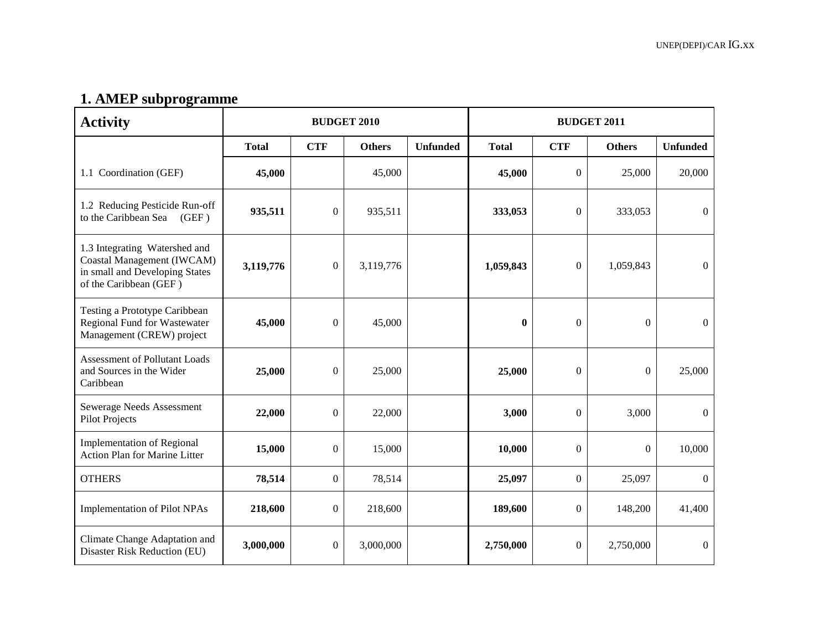# **1. AMEP subprogramme**

| <b>Activity</b>                                                                                                         | <b>BUDGET 2010</b> |                  |               | <b>BUDGET 2011</b> |              |                  |                |                  |
|-------------------------------------------------------------------------------------------------------------------------|--------------------|------------------|---------------|--------------------|--------------|------------------|----------------|------------------|
|                                                                                                                         | <b>Total</b>       | <b>CTF</b>       | <b>Others</b> | <b>Unfunded</b>    | <b>Total</b> | <b>CTF</b>       | <b>Others</b>  | <b>Unfunded</b>  |
| 1.1 Coordination (GEF)                                                                                                  | 45,000             |                  | 45,000        |                    | 45,000       | $\Omega$         | 25,000         | 20,000           |
| 1.2 Reducing Pesticide Run-off<br>to the Caribbean Sea<br>(GEF)                                                         | 935,511            | $\boldsymbol{0}$ | 935,511       |                    | 333,053      | $\overline{0}$   | 333,053        | $\overline{0}$   |
| 1.3 Integrating Watershed and<br>Coastal Management (IWCAM)<br>in small and Developing States<br>of the Caribbean (GEF) | 3,119,776          | $\boldsymbol{0}$ | 3,119,776     |                    | 1,059,843    | $\overline{0}$   | 1,059,843      | $\overline{0}$   |
| Testing a Prototype Caribbean<br>Regional Fund for Wastewater<br>Management (CREW) project                              | 45,000             | $\boldsymbol{0}$ | 45,000        |                    | $\bf{0}$     | $\mathbf{0}$     | $\overline{0}$ | $\overline{0}$   |
| <b>Assessment of Pollutant Loads</b><br>and Sources in the Wider<br>Caribbean                                           | 25,000             | $\mathbf{0}$     | 25,000        |                    | 25,000       | $\Omega$         | $\overline{0}$ | 25,000           |
| Sewerage Needs Assessment<br><b>Pilot Projects</b>                                                                      | 22,000             | $\boldsymbol{0}$ | 22,000        |                    | 3,000        | $\overline{0}$   | 3,000          | $\overline{0}$   |
| <b>Implementation of Regional</b><br>Action Plan for Marine Litter                                                      | 15,000             | $\mathbf{0}$     | 15,000        |                    | 10,000       | $\overline{0}$   | $\overline{0}$ | 10,000           |
| <b>OTHERS</b>                                                                                                           | 78,514             | $\boldsymbol{0}$ | 78,514        |                    | 25,097       | $\overline{0}$   | 25,097         | $\overline{0}$   |
| <b>Implementation of Pilot NPAs</b>                                                                                     | 218,600            | $\boldsymbol{0}$ | 218,600       |                    | 189,600      | $\boldsymbol{0}$ | 148,200        | 41,400           |
| Climate Change Adaptation and<br>Disaster Risk Reduction (EU)                                                           | 3,000,000          | $\boldsymbol{0}$ | 3,000,000     |                    | 2,750,000    | $\overline{0}$   | 2,750,000      | $\boldsymbol{0}$ |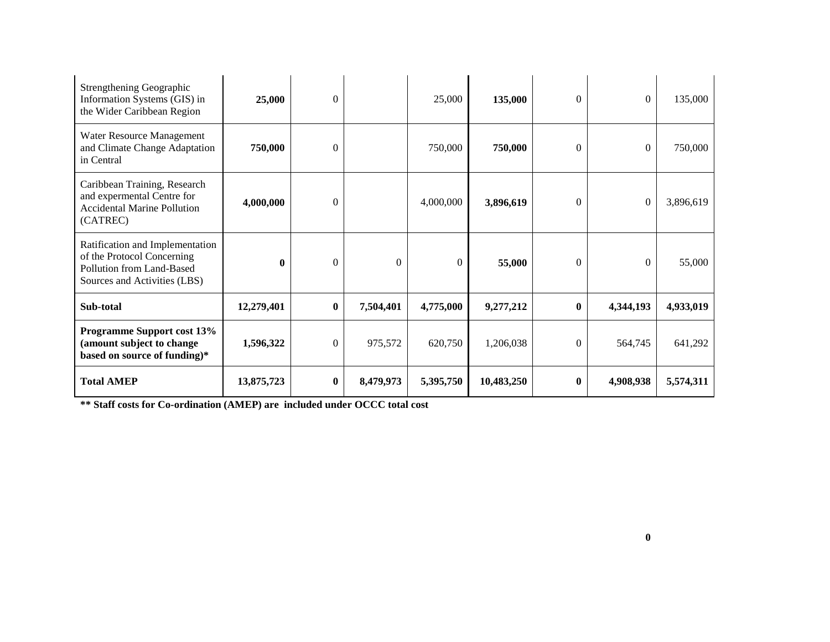| Strengthening Geographic<br>Information Systems (GIS) in<br>the Wider Caribbean Region                                     | 25,000     | $\mathbf{0}$ |           | 25,000    | 135,000    | $\Omega$ | $\Omega$     | 135,000   |
|----------------------------------------------------------------------------------------------------------------------------|------------|--------------|-----------|-----------|------------|----------|--------------|-----------|
| Water Resource Management<br>and Climate Change Adaptation<br>in Central                                                   | 750,000    | $\Omega$     |           | 750,000   | 750,000    | $\Omega$ | $\Omega$     | 750,000   |
| Caribbean Training, Research<br>and expermental Centre for<br><b>Accidental Marine Pollution</b><br>(CATREC)               | 4,000,000  | $\theta$     |           | 4,000,000 | 3,896,619  | $\Omega$ | $\mathbf{0}$ | 3,896,619 |
| Ratification and Implementation<br>of the Protocol Concerning<br>Pollution from Land-Based<br>Sources and Activities (LBS) | $\bf{0}$   | $\mathbf{0}$ | $\theta$  | $\Omega$  | 55,000     | $\Omega$ | $\Omega$     | 55,000    |
| Sub-total                                                                                                                  | 12,279,401 | $\bf{0}$     | 7,504,401 | 4,775,000 | 9,277,212  | $\bf{0}$ | 4,344,193    | 4,933,019 |
| <b>Programme Support cost 13%</b><br>(amount subject to change<br>based on source of funding)*                             | 1,596,322  | $\mathbf{0}$ | 975,572   | 620,750   | 1,206,038  | $\Omega$ | 564,745      | 641,292   |
| <b>Total AMEP</b>                                                                                                          | 13,875,723 | $\bf{0}$     | 8,479,973 | 5,395,750 | 10,483,250 | 0        | 4,908,938    | 5,574,311 |

<span id="page-65-0"></span>**\*\* Staff costs for Co-ordination (AMEP) are included under OCCC total cost**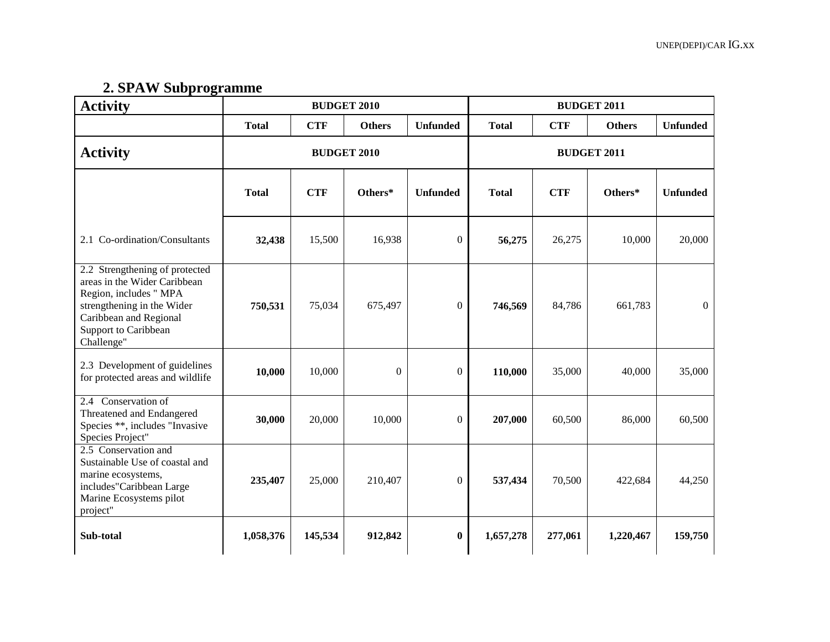# **2. SPAW Subprogramme**

<span id="page-66-0"></span>

| <b>Activity</b>                                                                                                                                                                               |              |            | <b>BUDGET 2010</b> |                  | <b>BUDGET 2011</b> |                    |               |                 |  |
|-----------------------------------------------------------------------------------------------------------------------------------------------------------------------------------------------|--------------|------------|--------------------|------------------|--------------------|--------------------|---------------|-----------------|--|
|                                                                                                                                                                                               | <b>Total</b> | <b>CTF</b> | <b>Others</b>      | <b>Unfunded</b>  | <b>Total</b>       | <b>CTF</b>         | <b>Others</b> | <b>Unfunded</b> |  |
| <b>Activity</b>                                                                                                                                                                               |              |            | <b>BUDGET 2010</b> |                  |                    | <b>BUDGET 2011</b> |               |                 |  |
|                                                                                                                                                                                               | <b>Total</b> | <b>CTF</b> | Others*            | <b>Unfunded</b>  | <b>Total</b>       | <b>CTF</b>         | Others*       | <b>Unfunded</b> |  |
| 2.1 Co-ordination/Consultants                                                                                                                                                                 | 32,438       | 15,500     | 16,938             | $\boldsymbol{0}$ | 56,275             | 26,275             | 10,000        | 20,000          |  |
| 2.2 Strengthening of protected<br>areas in the Wider Caribbean<br>Region, includes " MPA<br>strengthening in the Wider<br>Caribbean and Regional<br><b>Support to Caribbean</b><br>Challenge" | 750,531      | 75,034     | 675,497            | $\theta$         | 746,569            | 84,786             | 661,783       | $\mathbf{0}$    |  |
| 2.3 Development of guidelines<br>for protected areas and wildlife                                                                                                                             | 10,000       | 10,000     | $\Omega$           | $\boldsymbol{0}$ | 110,000            | 35,000             | 40,000        | 35,000          |  |
| 2.4 Conservation of<br>Threatened and Endangered<br>Species **, includes "Invasive<br>Species Project"                                                                                        | 30,000       | 20,000     | 10,000             | $\boldsymbol{0}$ | 207,000            | 60,500             | 86,000        | 60,500          |  |
| 2.5 Conservation and<br>Sustainable Use of coastal and<br>marine ecosystems,<br>includes"Caribbean Large<br>Marine Ecosystems pilot<br>project"                                               | 235,407      | 25,000     | 210,407            | $\boldsymbol{0}$ | 537,434            | 70,500             | 422,684       | 44,250          |  |
| Sub-total                                                                                                                                                                                     | 1,058,376    | 145,534    | 912,842            | $\boldsymbol{0}$ | 1,657,278          | 277,061            | 1,220,467     | 159,750         |  |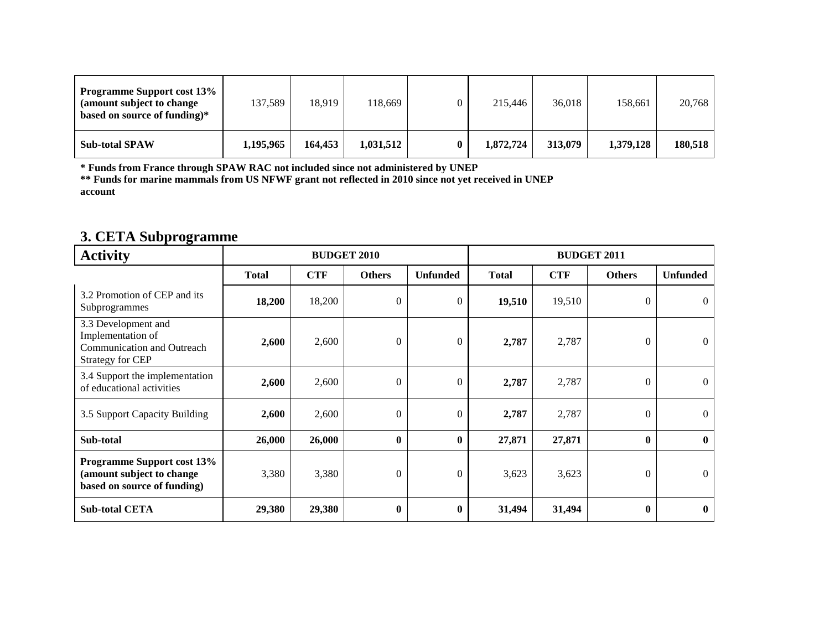| <b>Programme Support cost 13%</b><br>(amount subject to change<br>based on source of funding)* | 137.589   | 18.919  | 118,669   | 215,446   | 36,018  | 158.661   | 20,768  |
|------------------------------------------------------------------------------------------------|-----------|---------|-----------|-----------|---------|-----------|---------|
| <b>Sub-total SPAW</b>                                                                          | 1.195.965 | 164,453 | 1,031,512 | 1,872,724 | 313,079 | 1.379.128 | 180,518 |

**\* Funds from France through SPAW RAC not included since not administered by UNEP**

**\*\* Funds for marine mammals from US NFWF grant not reflected in 2010 since not yet received in UNEP account**

# **3. CETA Subprogramme**

| <b>Activity</b>                                                                                          |              |            | <b>BUDGET 2010</b> |                 | <b>BUDGET 2011</b> |            |               |                 |  |
|----------------------------------------------------------------------------------------------------------|--------------|------------|--------------------|-----------------|--------------------|------------|---------------|-----------------|--|
|                                                                                                          | <b>Total</b> | <b>CTF</b> | <b>Others</b>      | <b>Unfunded</b> | <b>Total</b>       | <b>CTF</b> | <b>Others</b> | <b>Unfunded</b> |  |
| 3.2 Promotion of CEP and its<br>Subprogrammes                                                            | 18,200       | 18,200     | $\mathbf{0}$       | $\Omega$        | 19,510             | 19,510     | $\Omega$      | $\Omega$        |  |
| 3.3 Development and<br>Implementation of<br><b>Communication and Outreach</b><br><b>Strategy for CEP</b> | 2,600        | 2,600      | $\Omega$           | $\Omega$        | 2,787              | 2,787      | $\Omega$      | $\theta$        |  |
| 3.4 Support the implementation<br>of educational activities                                              | 2,600        | 2,600      | $\Omega$           | $\Omega$        | 2,787              | 2,787      | $\theta$      | $\Omega$        |  |
| 3.5 Support Capacity Building                                                                            | 2,600        | 2,600      | $\overline{0}$     | $\theta$        | 2,787              | 2,787      | $\theta$      | $\overline{0}$  |  |
| Sub-total                                                                                                | 26,000       | 26,000     | $\mathbf{0}$       | $\mathbf 0$     | 27,871             | 27,871     | $\bf{0}$      | $\mathbf{0}$    |  |
| <b>Programme Support cost 13%</b><br>(amount subject to change<br>based on source of funding)            | 3,380        | 3,380      | $\mathbf{0}$       | $\theta$        | 3,623              | 3,623      | $\Omega$      | $\overline{0}$  |  |
| <b>Sub-total CETA</b>                                                                                    | 29,380       | 29,380     | $\bf{0}$           | $\bf{0}$        | 31,494             | 31,494     | $\bf{0}$      | $\bf{0}$        |  |